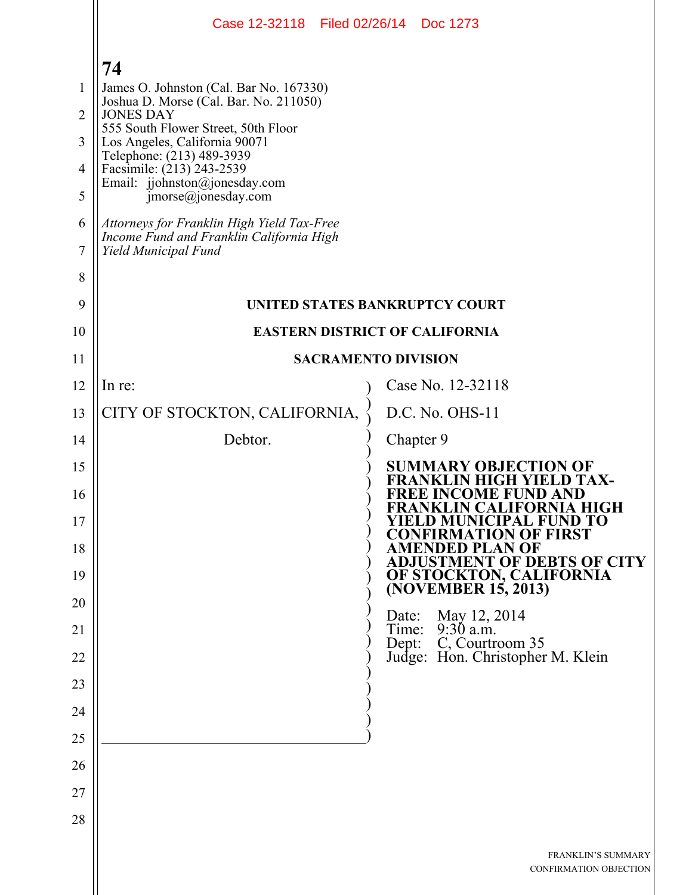|                | Case 12-32118 Filed 02/26/14 Doc 1273                                                                          |                                                                                   |
|----------------|----------------------------------------------------------------------------------------------------------------|-----------------------------------------------------------------------------------|
|                | 74                                                                                                             |                                                                                   |
| $\mathbf{1}$   | James O. Johnston (Cal. Bar No. 167330)                                                                        |                                                                                   |
| $\overline{2}$ | Joshua D. Morse (Cal. Bar. No. 211050)<br><b>JONES DAY</b>                                                     |                                                                                   |
| 3              | 555 South Flower Street, 50th Floor<br>Los Angeles, California 90071                                           |                                                                                   |
| $\overline{4}$ | Telephone: (213) 489-3939<br>Facsimile: (213) 243-2539                                                         |                                                                                   |
| 5              | Email: jjohnston@jonesday.com<br>$\text{imorse}(a)$ jonesday.com                                               |                                                                                   |
| 6<br>7         | Attorneys for Franklin High Yield Tax-Free<br>Income Fund and Franklin California High<br>Yield Municipal Fund |                                                                                   |
| 8              |                                                                                                                |                                                                                   |
| 9              |                                                                                                                | UNITED STATES BANKRUPTCY COURT                                                    |
| 10             |                                                                                                                | <b>EASTERN DISTRICT OF CALIFORNIA</b>                                             |
| 11             |                                                                                                                | <b>SACRAMENTO DIVISION</b>                                                        |
| 12             | In re:                                                                                                         | Case No. 12-32118                                                                 |
| 13             | CITY OF STOCKTON, CALIFORNIA,                                                                                  | D.C. No. OHS-11                                                                   |
| 14             | Debtor.                                                                                                        | Chapter 9                                                                         |
| 15             |                                                                                                                | <b>SUMMARY OBJECTION OF</b><br>TAX-                                               |
| 16<br>17       |                                                                                                                | REE INCOME FUND AND<br><b>FRANKLIN CALIFORNIA HIGH</b><br>YIELD MUNICIPAL FUND TO |
| 18             |                                                                                                                | <b>CONFIRMATION OF FIRST</b><br>AMENDED PLAN OF                                   |
| 19             |                                                                                                                | <b>ADJUSTMENT OF DEBTS OF CITY</b>                                                |
| 20             |                                                                                                                | OF STOCKTON, CALIFORNIA<br>(NOVEMBER 15, 2013)                                    |
| 21             |                                                                                                                | Date: May 12, 2014<br>Time: 9:30 a.m.                                             |
| 22             |                                                                                                                | Dept: C, Courtroom 35<br>Judge: Hon. Christopher M. Klein                         |
| 23             |                                                                                                                |                                                                                   |
| 24             |                                                                                                                |                                                                                   |
| 25             |                                                                                                                |                                                                                   |
| 26             |                                                                                                                |                                                                                   |
| 27             |                                                                                                                |                                                                                   |
| 28             |                                                                                                                |                                                                                   |
|                |                                                                                                                | <b>FRANKLIN'S SUMMARY</b><br>CONFIRMATION OBJECTION                               |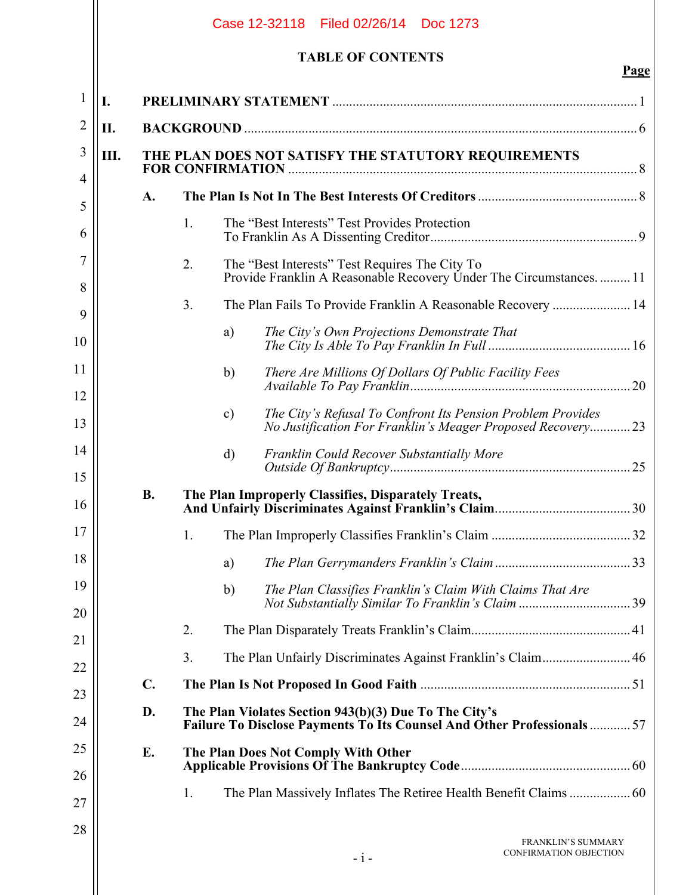|              |    |               |    |               | Case 12-32118 Filed 02/26/14 Doc 1273                                                                                                  |             |
|--------------|----|---------------|----|---------------|----------------------------------------------------------------------------------------------------------------------------------------|-------------|
|              |    |               |    |               | <b>TABLE OF CONTENTS</b>                                                                                                               | <b>Page</b> |
| $\mathbf{1}$ | I. |               |    |               |                                                                                                                                        |             |
| 2            | П. |               |    |               |                                                                                                                                        |             |
| 3            | Ш. |               |    |               | THE PLAN DOES NOT SATISFY THE STATUTORY REQUIREMENTS                                                                                   |             |
| 4            |    | A.            |    |               |                                                                                                                                        |             |
| 5            |    |               | 1. |               | The "Best Interests" Test Provides Protection                                                                                          |             |
| 6            |    |               |    |               |                                                                                                                                        |             |
| 7<br>8       |    |               | 2. |               | The "Best Interests" Test Requires The City To<br>Provide Franklin A Reasonable Recovery Under The Circumstances.  11                  |             |
| 9            |    |               | 3. |               | The Plan Fails To Provide Franklin A Reasonable Recovery  14                                                                           |             |
| 10           |    |               |    | a)            | The City's Own Projections Demonstrate That                                                                                            |             |
| 11<br>12     |    |               |    | b)            |                                                                                                                                        |             |
| 13           |    |               |    | $\mathbf{c})$ | The City's Refusal To Confront Its Pension Problem Provides<br>No Justification For Franklin's Meager Proposed Recovery 23             |             |
| 14<br>15     |    |               |    | $\mathbf{d}$  | Franklin Could Recover Substantially More                                                                                              |             |
| 16           |    | <b>B.</b>     |    |               | The Plan Improperly Classifies, Disparately Treats,                                                                                    |             |
| 17           |    |               | 1. |               |                                                                                                                                        |             |
| 18           |    |               |    | a)            |                                                                                                                                        |             |
| 19           |    |               |    | b)            | The Plan Classifies Franklin's Claim With Claims That Are                                                                              |             |
| 20           |    |               | 2. |               |                                                                                                                                        |             |
| 21           |    |               | 3. |               | The Plan Unfairly Discriminates Against Franklin's Claim 46                                                                            |             |
| 22           |    | $C_{\bullet}$ |    |               |                                                                                                                                        |             |
| 23<br>24     |    | D.            |    |               | The Plan Violates Section 943(b)(3) Due To The City's<br><b>Failure To Disclose Payments To Its Counsel And Other Professionals 57</b> |             |
| 25           |    | E.            |    |               | The Plan Does Not Comply With Other                                                                                                    |             |
| 26           |    |               | 1. |               |                                                                                                                                        |             |
| 27           |    |               |    |               |                                                                                                                                        |             |
| 28           |    |               |    |               | <b>FRANKLIN'S SUMMARY</b><br>CONFIRMATION OBJECTION<br>$-i-$                                                                           |             |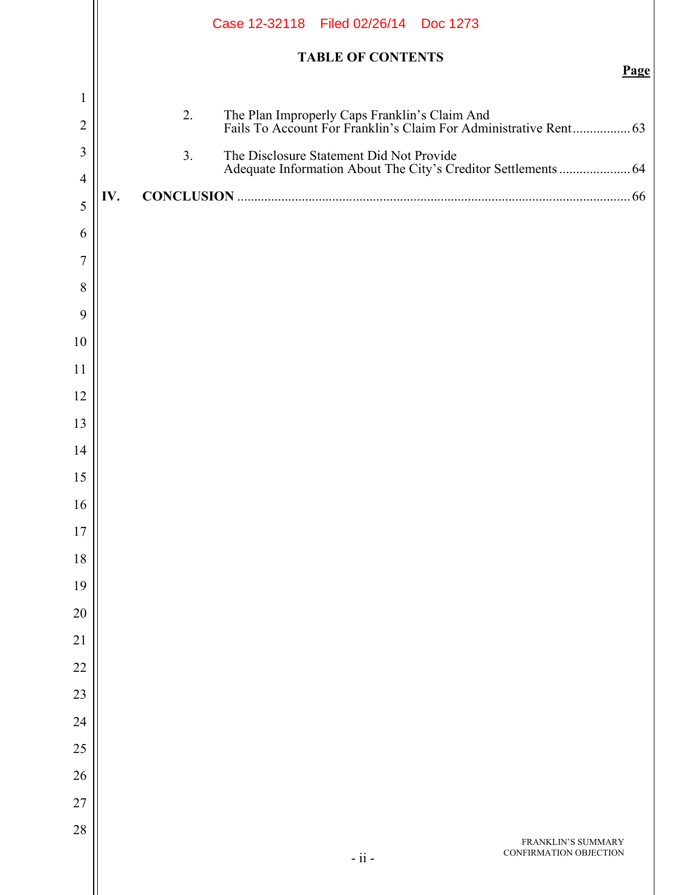|                |     |                | Case 12-32118 Filed 02/26/14 Doc 1273                          |      |
|----------------|-----|----------------|----------------------------------------------------------------|------|
|                |     |                | <b>TABLE OF CONTENTS</b>                                       |      |
| $\mathbf{1}$   |     |                |                                                                | Page |
| $\overline{2}$ |     | 2.             |                                                                |      |
| $\overline{3}$ |     | 3 <sub>1</sub> | The Disclosure Statement Did Not Provide                       |      |
| $\overline{4}$ |     |                | Adequate Information About The City's Creditor Settlements  64 |      |
| 5              | IV. |                |                                                                |      |
| 6              |     |                |                                                                |      |
| $\overline{7}$ |     |                |                                                                |      |
| 8              |     |                |                                                                |      |
| 9              |     |                |                                                                |      |
| 10<br>11       |     |                |                                                                |      |
| 12             |     |                |                                                                |      |
| 13             |     |                |                                                                |      |
| 14             |     |                |                                                                |      |
| 15             |     |                |                                                                |      |
| 16             |     |                |                                                                |      |
| 17             |     |                |                                                                |      |
| 18             |     |                |                                                                |      |
| 19             |     |                |                                                                |      |
| 20             |     |                |                                                                |      |
| 21             |     |                |                                                                |      |
| $22\,$         |     |                |                                                                |      |
| 23             |     |                |                                                                |      |
| 24             |     |                |                                                                |      |
| 25             |     |                |                                                                |      |
| 26<br>27       |     |                |                                                                |      |
| 28             |     |                |                                                                |      |
|                |     |                | FRANKLIN'S SUMMARY<br>CONFIRMATION OBJECTION<br>$-ii -$        |      |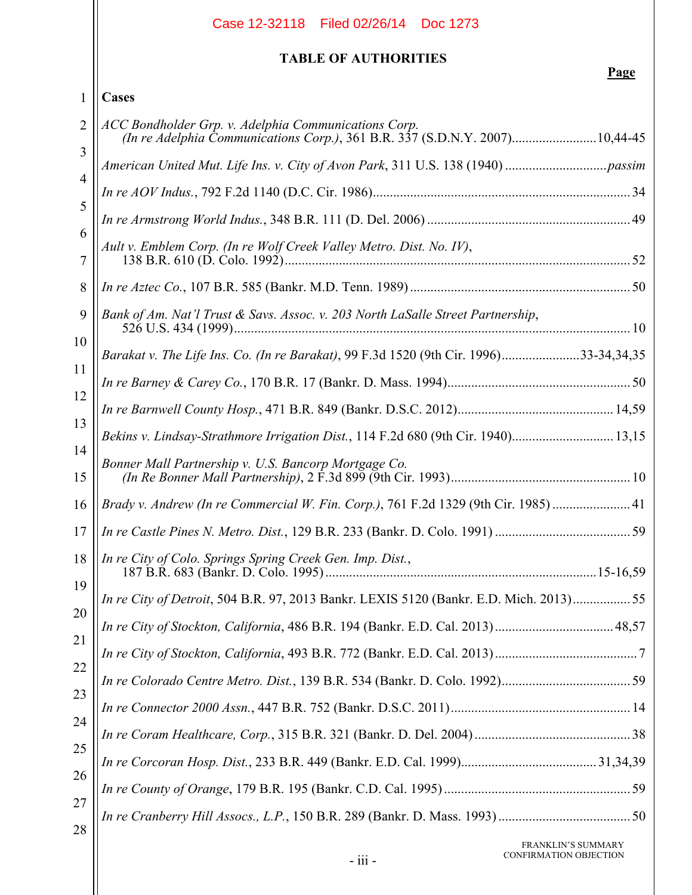|                | Case 12-32118 Filed 02/26/14 Doc 1273                                                                                               |
|----------------|-------------------------------------------------------------------------------------------------------------------------------------|
|                | <b>TABLE OF AUTHORITIES</b><br>Page                                                                                                 |
| 1              | Cases                                                                                                                               |
| $\overline{2}$ | ACC Bondholder Grp. v. Adelphia Communications Corp.<br>(In re Adelphia Communications Corp.), 361 B.R. 337 (S.D.N.Y. 2007)10,44-45 |
| 3              |                                                                                                                                     |
| $\overline{4}$ |                                                                                                                                     |
| 5              |                                                                                                                                     |
| 6<br>7         | Ault v. Emblem Corp. (In re Wolf Creek Valley Metro. Dist. No. IV),                                                                 |
| 8              |                                                                                                                                     |
| 9              | Bank of Am. Nat'l Trust & Savs. Assoc. v. 203 North LaSalle Street Partnership,                                                     |
| 10             | Barakat v. The Life Ins. Co. (In re Barakat), 99 F.3d 1520 (9th Cir. 1996)33-34,34,35                                               |
| 11             |                                                                                                                                     |
| 12             |                                                                                                                                     |
| 13             | Bekins v. Lindsay-Strathmore Irrigation Dist., 114 F.2d 680 (9th Cir. 1940) 13,15                                                   |
| 14<br>15       | Bonner Mall Partnership v. U.S. Bancorp Mortgage Co.                                                                                |
| 16             | Brady v. Andrew (In re Commercial W. Fin. Corp.), 761 F.2d 1329 (9th Cir. 1985)  41                                                 |
| 17             |                                                                                                                                     |
| 18             | In re City of Colo. Springs Spring Creek Gen. Imp. Dist.,                                                                           |
| 19             | In re City of Detroit, 504 B.R. 97, 2013 Bankr. LEXIS 5120 (Bankr. E.D. Mich. 2013)55                                               |
| 20             |                                                                                                                                     |
| 21             |                                                                                                                                     |
| 22             |                                                                                                                                     |
| 23             |                                                                                                                                     |
| 24             |                                                                                                                                     |
| 25             |                                                                                                                                     |
| 26<br>27       |                                                                                                                                     |
| 28             |                                                                                                                                     |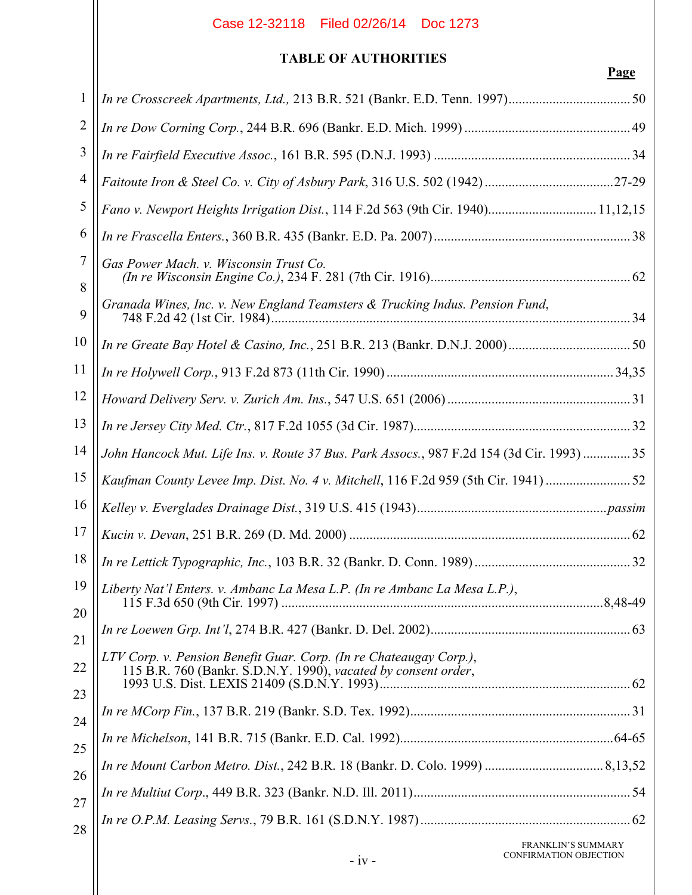## **TABLE OF AUTHORITIES**

| 1              |                                                                                                                                      |  |
|----------------|--------------------------------------------------------------------------------------------------------------------------------------|--|
| $\overline{2}$ |                                                                                                                                      |  |
| 3              |                                                                                                                                      |  |
| 4              |                                                                                                                                      |  |
| 5              | Fano v. Newport Heights Irrigation Dist., 114 F.2d 563 (9th Cir. 1940) 11,12,15                                                      |  |
| 6              |                                                                                                                                      |  |
| 7<br>8         | Gas Power Mach. v. Wisconsin Trust Co.                                                                                               |  |
| 9              | Granada Wines, Inc. v. New England Teamsters & Trucking Indus. Pension Fund,                                                         |  |
| 10             |                                                                                                                                      |  |
| 11             |                                                                                                                                      |  |
| 12             |                                                                                                                                      |  |
| 13             |                                                                                                                                      |  |
| 14             | John Hancock Mut. Life Ins. v. Route 37 Bus. Park Assocs., 987 F.2d 154 (3d Cir. 1993)  35                                           |  |
| 15             | Kaufman County Levee Imp. Dist. No. 4 v. Mitchell, 116 F.2d 959 (5th Cir. 1941) 52                                                   |  |
| 16             |                                                                                                                                      |  |
| 17             |                                                                                                                                      |  |
| 18             |                                                                                                                                      |  |
| 20             | 19    Liberty Nat'l Enters. v. Ambanc La Mesa L.P. (In re Ambanc La Mesa L.P.),                                                      |  |
| 21             |                                                                                                                                      |  |
| 22             | LTV Corp. v. Pension Benefit Guar. Corp. (In re Chateaugay Corp.),<br>115 B.R. 760 (Bankr. S.D.N.Y. 1990), vacated by consent order, |  |
| 23<br>24       |                                                                                                                                      |  |
| 25             |                                                                                                                                      |  |
| 26             |                                                                                                                                      |  |
| 27             |                                                                                                                                      |  |
| 28             |                                                                                                                                      |  |
|                | FRANKLIN'S SUMMARY                                                                                                                   |  |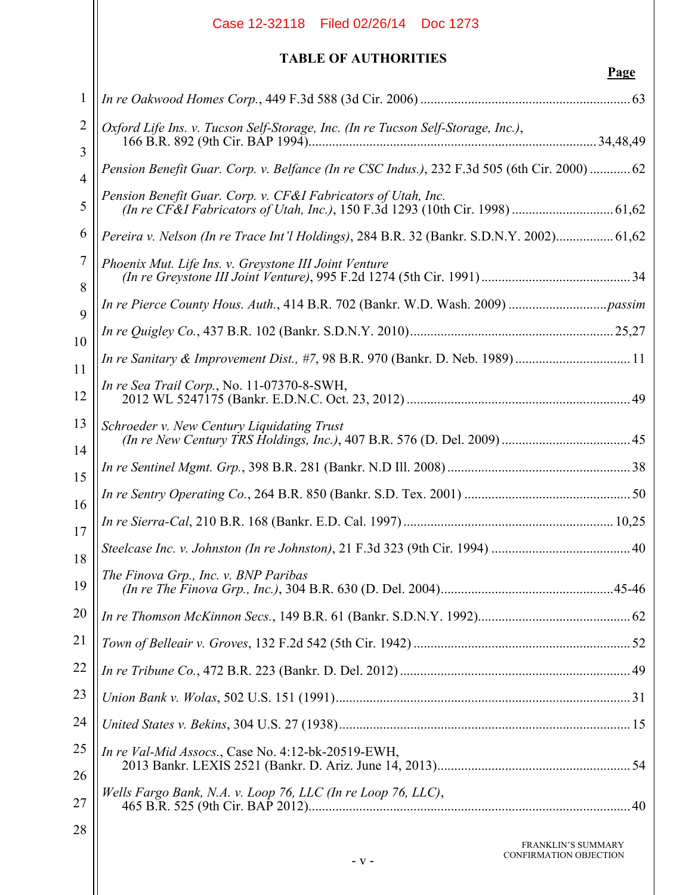|                     | Case 12-32118 Filed 02/26/14 Doc 1273                                                        |      |
|---------------------|----------------------------------------------------------------------------------------------|------|
|                     | <b>TABLE OF AUTHORITIES</b>                                                                  | Page |
| $\mathbf{1}$        |                                                                                              |      |
| $\overline{2}$      | Oxford Life Ins. v. Tucson Self-Storage, Inc. (In re Tucson Self-Storage, Inc.),             |      |
| 3<br>$\overline{4}$ | Pension Benefit Guar. Corp. v. Belfance (In re CSC Indus.), 232 F.3d 505 (6th Cir. 2000)  62 |      |
| 5                   | Pension Benefit Guar. Corp. v. CF&I Fabricators of Utah, Inc.                                |      |
| 6                   | Pereira v. Nelson (In re Trace Int'l Holdings), 284 B.R. 32 (Bankr. S.D.N.Y. 2002) 61,62     |      |
| 7<br>8              | Phoenix Mut. Life Ins. v. Greystone III Joint Venture                                        |      |
| 9                   |                                                                                              |      |
| 10                  |                                                                                              |      |
| 11                  | In re Sanitary & Improvement Dist., #7, 98 B.R. 970 (Bankr. D. Neb. 1989)  11                |      |
| 12                  | In re Sea Trail Corp., No. 11-07370-8-SWH,                                                   |      |
| 13<br>14            | Schroeder v. New Century Liquidating Trust                                                   |      |
| 15                  |                                                                                              |      |
| 16                  |                                                                                              |      |
| 17                  |                                                                                              |      |
| 18                  |                                                                                              |      |
| 19                  | The Finova Grp., Inc. v. BNP Paribas                                                         |      |
| 20                  |                                                                                              |      |
| 21                  |                                                                                              |      |
| 22                  |                                                                                              |      |
| 23                  |                                                                                              |      |
| 24                  |                                                                                              |      |
| 25<br>26            | In re Val-Mid Assocs., Case No. 4:12-bk-20519-EWH,                                           |      |
| 27                  | Wells Fargo Bank, N.A. v. Loop 76, LLC (In re Loop 76, LLC),                                 |      |
| 28                  | <b>FRANKLIN'S SUMMARY</b><br>CONFIRMATION OBJECTION<br>- V -                                 |      |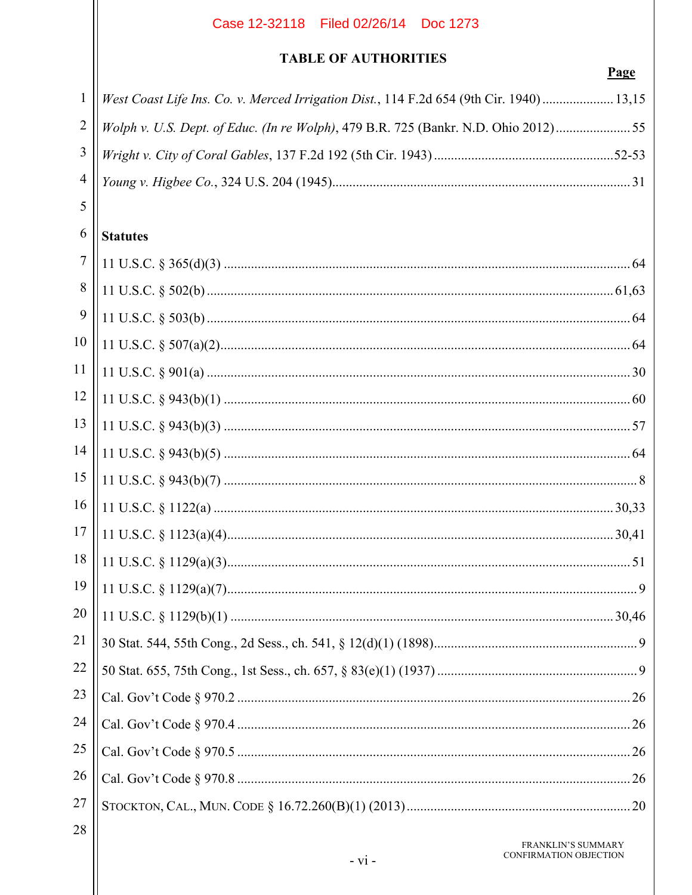## **TABLE OF AUTHORITIES**

## Page

| $1$   West Coast Life Ins. Co. v. Merced Irrigation Dist., 114 F.2d 654 (9th Cir. 1940)  13,15 |
|------------------------------------------------------------------------------------------------|
|                                                                                                |
|                                                                                                |
|                                                                                                |
|                                                                                                |

# $6$  Statutes

| $\overline{7}$ |  |
|----------------|--|
| 8              |  |
| 9              |  |
| 10             |  |
| 11             |  |
| 12             |  |
| 13             |  |
| 14             |  |
| 15             |  |
| 16             |  |
| 17             |  |
| 18             |  |
| 19             |  |
| 20             |  |
| 21             |  |
| 22             |  |
| 23             |  |
| 24             |  |
| 25             |  |
| 26             |  |
| 27             |  |
| 28             |  |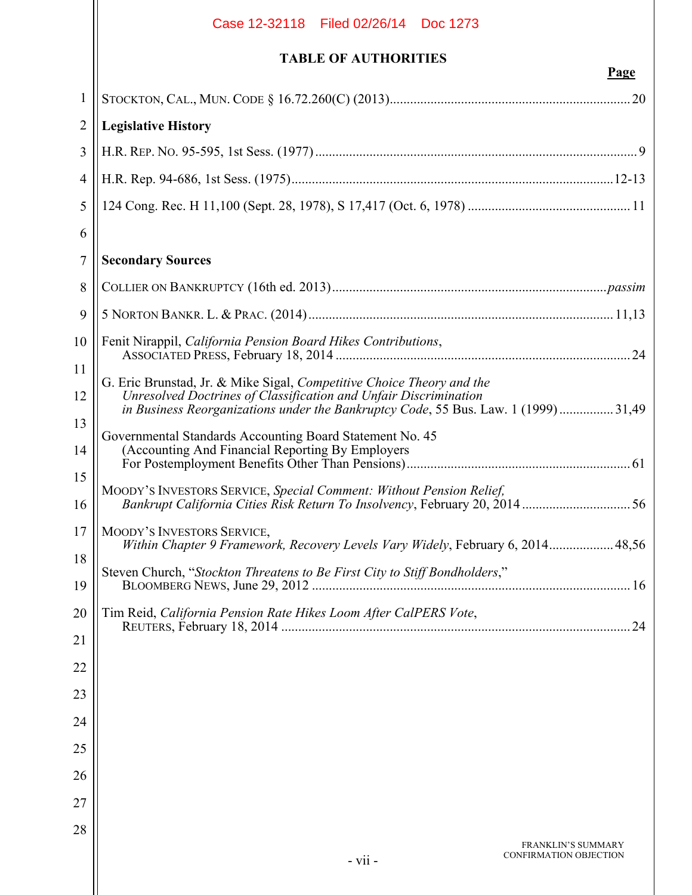|                | Case 12-32118 Filed 02/26/14 Doc 1273                                                                                                                                                                                          |
|----------------|--------------------------------------------------------------------------------------------------------------------------------------------------------------------------------------------------------------------------------|
|                | <b>TABLE OF AUTHORITIES</b><br><b>Page</b>                                                                                                                                                                                     |
| $\mathbf{1}$   |                                                                                                                                                                                                                                |
| 2              | <b>Legislative History</b>                                                                                                                                                                                                     |
| $\overline{3}$ |                                                                                                                                                                                                                                |
| $\overline{4}$ |                                                                                                                                                                                                                                |
| 5              |                                                                                                                                                                                                                                |
| 6              |                                                                                                                                                                                                                                |
| 7              | <b>Secondary Sources</b>                                                                                                                                                                                                       |
| 8              |                                                                                                                                                                                                                                |
| 9              |                                                                                                                                                                                                                                |
| 10             | Fenit Nirappil, California Pension Board Hikes Contributions,                                                                                                                                                                  |
| 11             |                                                                                                                                                                                                                                |
| 12             | G. Eric Brunstad, Jr. & Mike Sigal, Competitive Choice Theory and the<br>Unresolved Doctrines of Classification and Unfair Discrimination<br>in Business Reorganizations under the Bankruptcy Code, 55 Bus. Law. 1 (1999)31,49 |
| 13<br>14       | Governmental Standards Accounting Board Statement No. 45<br>(Accounting And Financial Reporting By Employers)                                                                                                                  |
| 15<br>16       | MOODY'S INVESTORS SERVICE, Special Comment: Without Pension Relief,                                                                                                                                                            |
| 17             | MOODY'S INVESTORS SERVICE,<br>Within Chapter 9 Framework, Recovery Levels Vary Widely, February 6, 2014 48,56                                                                                                                  |
| 18<br>19       | Steven Church, "Stockton Threatens to Be First City to Stiff Bondholders,"                                                                                                                                                     |
| 20             | Tim Reid, California Pension Rate Hikes Loom After CalPERS Vote,                                                                                                                                                               |
| 21             |                                                                                                                                                                                                                                |
| 22             |                                                                                                                                                                                                                                |
| 23             |                                                                                                                                                                                                                                |
| 24             |                                                                                                                                                                                                                                |
| 25             |                                                                                                                                                                                                                                |
| 26             |                                                                                                                                                                                                                                |
| 27             |                                                                                                                                                                                                                                |
| 28             | <b>FRANKLIN'S SUMMARY</b><br>CONFIRMATION OBJECTION<br>- vii -                                                                                                                                                                 |
|                |                                                                                                                                                                                                                                |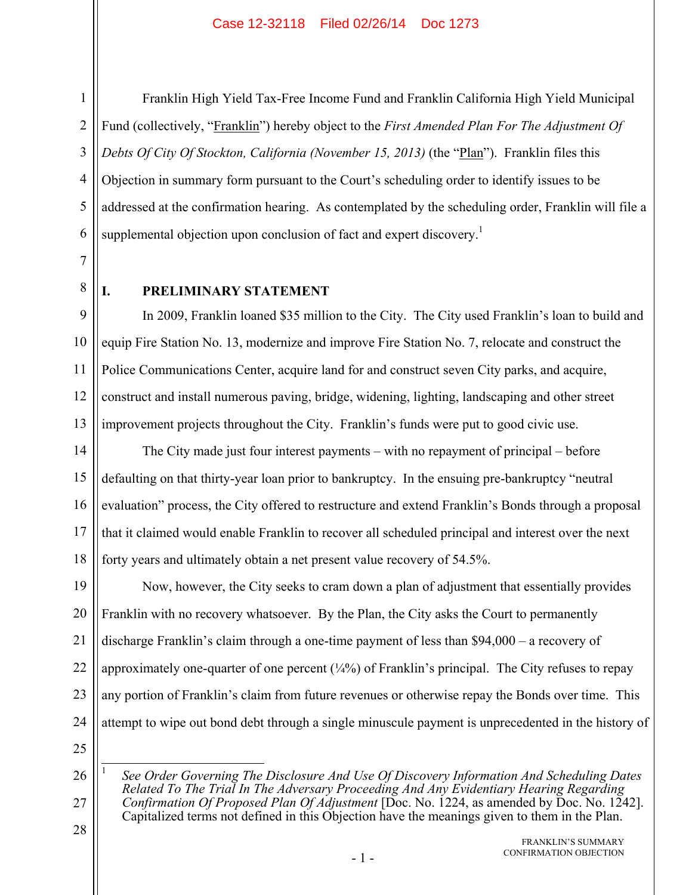1

2

3

5

7

8

Franklin High Yield Tax-Free Income Fund and Franklin California High Yield Municipal Fund (collectively, "Franklin") hereby object to the *First Amended Plan For The Adjustment Of Debts Of City Of Stockton, California (November 15, 2013)* (the "Plan"). Franklin files this Objection in summary form pursuant to the Court's scheduling order to identify issues to be addressed at the confirmation hearing. As contemplated by the scheduling order, Franklin will file a supplemental objection upon conclusion of fact and expert discovery.<sup>1</sup>

**I. PRELIMINARY STATEMENT** 

9 11 12 13 In 2009, Franklin loaned \$35 million to the City. The City used Franklin's loan to build and equip Fire Station No. 13, modernize and improve Fire Station No. 7, relocate and construct the Police Communications Center, acquire land for and construct seven City parks, and acquire, construct and install numerous paving, bridge, widening, lighting, landscaping and other street improvement projects throughout the City. Franklin's funds were put to good civic use.

14 15 16 17 18 The City made just four interest payments – with no repayment of principal – before defaulting on that thirty-year loan prior to bankruptcy. In the ensuing pre-bankruptcy "neutral evaluation" process, the City offered to restructure and extend Franklin's Bonds through a proposal that it claimed would enable Franklin to recover all scheduled principal and interest over the next forty years and ultimately obtain a net present value recovery of 54.5%.

19 20 21 22 23 24 Now, however, the City seeks to cram down a plan of adjustment that essentially provides Franklin with no recovery whatsoever. By the Plan, the City asks the Court to permanently discharge Franklin's claim through a one-time payment of less than \$94,000 – a recovery of approximately one-quarter of one percent  $(\frac{1}{4}\%)$  of Franklin's principal. The City refuses to repay any portion of Franklin's claim from future revenues or otherwise repay the Bonds over time. This attempt to wipe out bond debt through a single minuscule payment is unprecedented in the history of

25 26

 $\overline{a}$ 1 *See Order Governing The Disclosure And Use Of Discovery Information And Scheduling Dates Related To The Trial In The Adversary Proceeding And Any Evidentiary Hearing Regarding Confirmation Of Proposed Plan Of Adjustment* [Doc. No. 1224, as amended by Doc. No. 1242]. Capitalized terms not defined in this Objection have the meanings given to them in the Plan.

28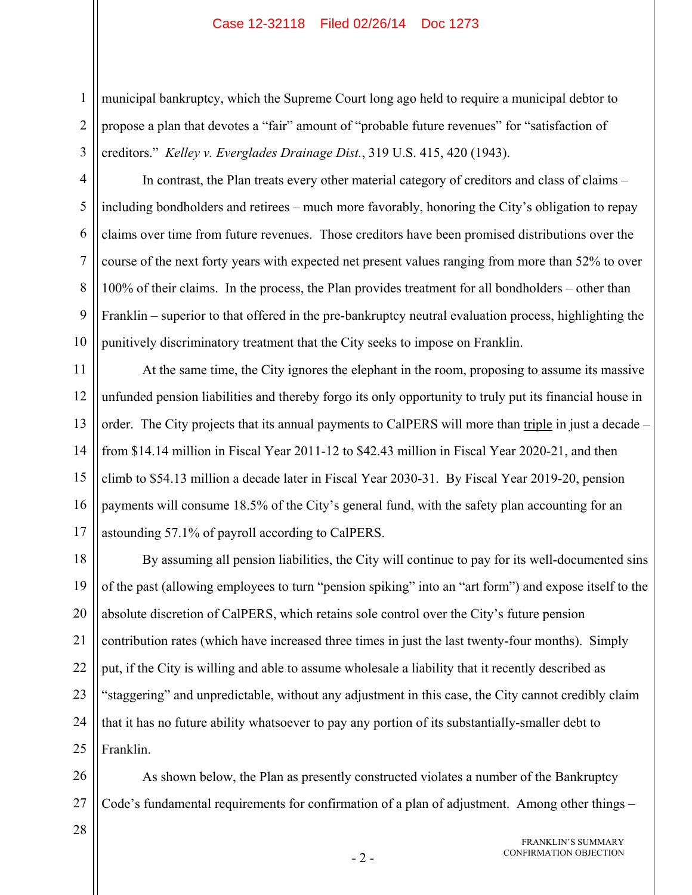2 3 municipal bankruptcy, which the Supreme Court long ago held to require a municipal debtor to propose a plan that devotes a "fair" amount of "probable future revenues" for "satisfaction of creditors." *Kelley v. Everglades Drainage Dist.*, 319 U.S. 415, 420 (1943).

In contrast, the Plan treats every other material category of creditors and class of claims – including bondholders and retirees – much more favorably, honoring the City's obligation to repay claims over time from future revenues. Those creditors have been promised distributions over the course of the next forty years with expected net present values ranging from more than 52% to over 100% of their claims. In the process, the Plan provides treatment for all bondholders – other than Franklin – superior to that offered in the pre-bankruptcy neutral evaluation process, highlighting the punitively discriminatory treatment that the City seeks to impose on Franklin.

11 12 13 14 15 16 17 At the same time, the City ignores the elephant in the room, proposing to assume its massive unfunded pension liabilities and thereby forgo its only opportunity to truly put its financial house in order. The City projects that its annual payments to CalPERS will more than triple in just a decade – from \$14.14 million in Fiscal Year 2011-12 to \$42.43 million in Fiscal Year 2020-21, and then climb to \$54.13 million a decade later in Fiscal Year 2030-31. By Fiscal Year 2019-20, pension payments will consume 18.5% of the City's general fund, with the safety plan accounting for an astounding 57.1% of payroll according to CalPERS.

18 19 20 21 22 23 24 25 By assuming all pension liabilities, the City will continue to pay for its well-documented sins of the past (allowing employees to turn "pension spiking" into an "art form") and expose itself to the absolute discretion of CalPERS, which retains sole control over the City's future pension contribution rates (which have increased three times in just the last twenty-four months). Simply put, if the City is willing and able to assume wholesale a liability that it recently described as "staggering" and unpredictable, without any adjustment in this case, the City cannot credibly claim that it has no future ability whatsoever to pay any portion of its substantially-smaller debt to Franklin.

26 27 As shown below, the Plan as presently constructed violates a number of the Bankruptcy Code's fundamental requirements for confirmation of a plan of adjustment. Among other things –

28

1

4

5

6

7

8

9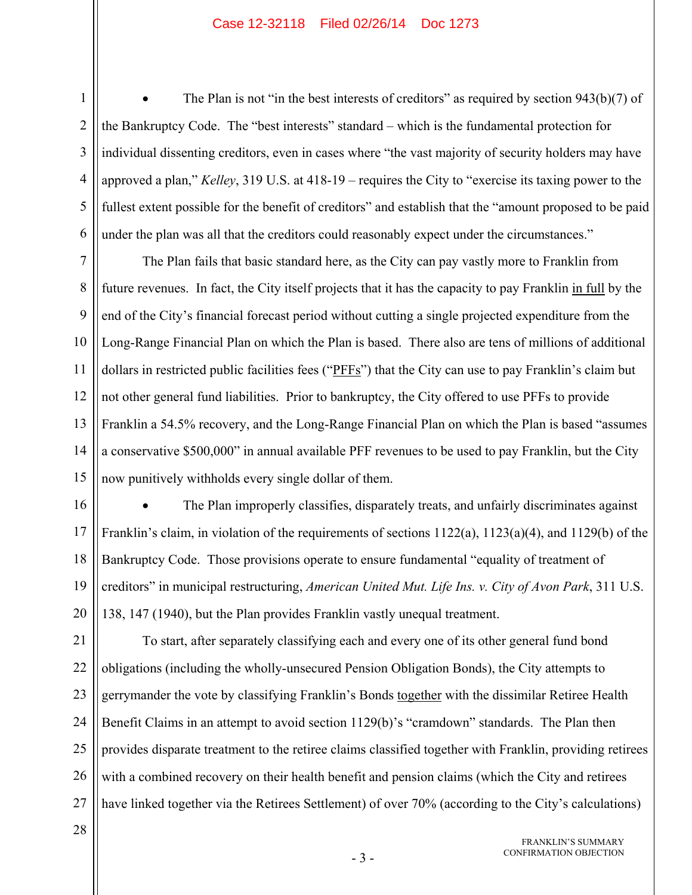2 3 4 5 6 The Plan is not "in the best interests of creditors" as required by section 943(b)(7) of the Bankruptcy Code. The "best interests" standard – which is the fundamental protection for individual dissenting creditors, even in cases where "the vast majority of security holders may have approved a plan," *Kelley*, 319 U.S. at 418-19 – requires the City to "exercise its taxing power to the fullest extent possible for the benefit of creditors" and establish that the "amount proposed to be paid under the plan was all that the creditors could reasonably expect under the circumstances."

7 8 9 10 11 12 13 14 15 The Plan fails that basic standard here, as the City can pay vastly more to Franklin from future revenues. In fact, the City itself projects that it has the capacity to pay Franklin in full by the end of the City's financial forecast period without cutting a single projected expenditure from the Long-Range Financial Plan on which the Plan is based. There also are tens of millions of additional dollars in restricted public facilities fees ("PFFs") that the City can use to pay Franklin's claim but not other general fund liabilities. Prior to bankruptcy, the City offered to use PFFs to provide Franklin a 54.5% recovery, and the Long-Range Financial Plan on which the Plan is based "assumes a conservative \$500,000" in annual available PFF revenues to be used to pay Franklin, but the City now punitively withholds every single dollar of them.

16 17 18 19 20 The Plan improperly classifies, disparately treats, and unfairly discriminates against Franklin's claim, in violation of the requirements of sections 1122(a), 1123(a)(4), and 1129(b) of the Bankruptcy Code. Those provisions operate to ensure fundamental "equality of treatment of creditors" in municipal restructuring, *American United Mut. Life Ins. v. City of Avon Park*, 311 U.S. 138, 147 (1940), but the Plan provides Franklin vastly unequal treatment.

21 22 23 24 25 26 27 To start, after separately classifying each and every one of its other general fund bond obligations (including the wholly-unsecured Pension Obligation Bonds), the City attempts to gerrymander the vote by classifying Franklin's Bonds together with the dissimilar Retiree Health Benefit Claims in an attempt to avoid section 1129(b)'s "cramdown" standards. The Plan then provides disparate treatment to the retiree claims classified together with Franklin, providing retirees with a combined recovery on their health benefit and pension claims (which the City and retirees have linked together via the Retirees Settlement) of over 70% (according to the City's calculations)

28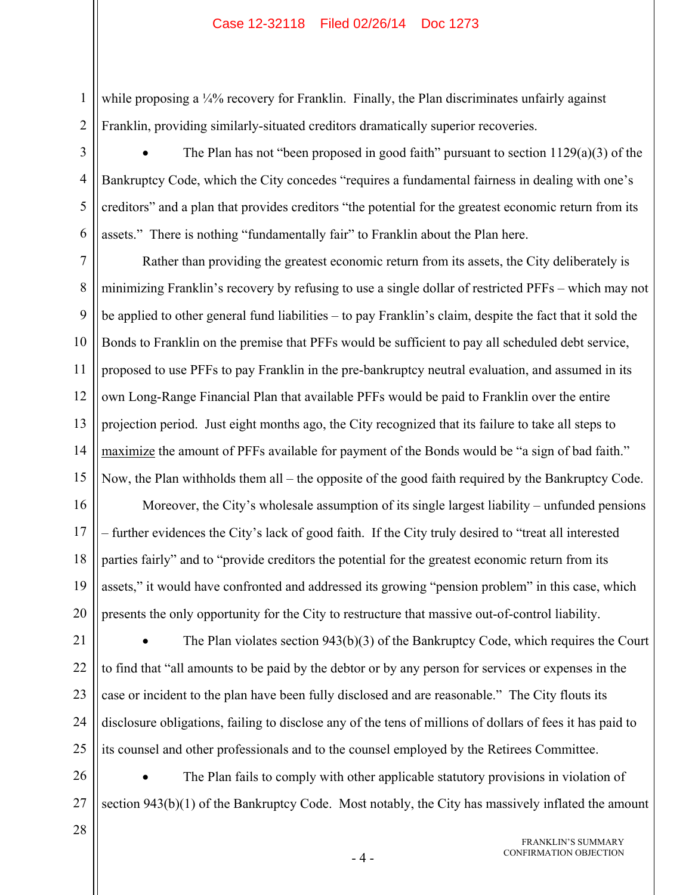while proposing a ¼% recovery for Franklin. Finally, the Plan discriminates unfairly against Franklin, providing similarly-situated creditors dramatically superior recoveries.

 The Plan has not "been proposed in good faith" pursuant to section 1129(a)(3) of the Bankruptcy Code, which the City concedes "requires a fundamental fairness in dealing with one's creditors" and a plan that provides creditors "the potential for the greatest economic return from its assets." There is nothing "fundamentally fair" to Franklin about the Plan here.

7 8 9 10 11 12 13 14 15 Rather than providing the greatest economic return from its assets, the City deliberately is minimizing Franklin's recovery by refusing to use a single dollar of restricted PFFs – which may not be applied to other general fund liabilities – to pay Franklin's claim, despite the fact that it sold the Bonds to Franklin on the premise that PFFs would be sufficient to pay all scheduled debt service, proposed to use PFFs to pay Franklin in the pre-bankruptcy neutral evaluation, and assumed in its own Long-Range Financial Plan that available PFFs would be paid to Franklin over the entire projection period. Just eight months ago, the City recognized that its failure to take all steps to maximize the amount of PFFs available for payment of the Bonds would be "a sign of bad faith." Now, the Plan withholds them all – the opposite of the good faith required by the Bankruptcy Code.

16 17 18 19 20 Moreover, the City's wholesale assumption of its single largest liability – unfunded pensions – further evidences the City's lack of good faith. If the City truly desired to "treat all interested parties fairly" and to "provide creditors the potential for the greatest economic return from its assets," it would have confronted and addressed its growing "pension problem" in this case, which presents the only opportunity for the City to restructure that massive out-of-control liability.

21 22 23 24 25 The Plan violates section 943(b)(3) of the Bankruptcy Code, which requires the Court to find that "all amounts to be paid by the debtor or by any person for services or expenses in the case or incident to the plan have been fully disclosed and are reasonable." The City flouts its disclosure obligations, failing to disclose any of the tens of millions of dollars of fees it has paid to its counsel and other professionals and to the counsel employed by the Retirees Committee.

26 27 The Plan fails to comply with other applicable statutory provisions in violation of section 943(b)(1) of the Bankruptcy Code. Most notably, the City has massively inflated the amount

28

1

2

3

4

5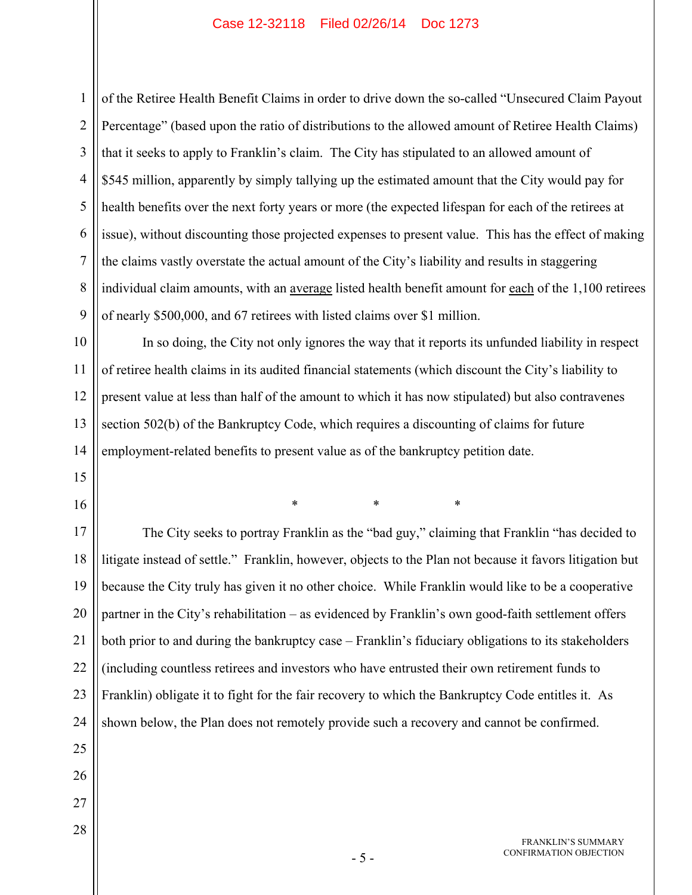1 2 3 4 5 6 7 8 9 of the Retiree Health Benefit Claims in order to drive down the so-called "Unsecured Claim Payout Percentage" (based upon the ratio of distributions to the allowed amount of Retiree Health Claims) that it seeks to apply to Franklin's claim. The City has stipulated to an allowed amount of \$545 million, apparently by simply tallying up the estimated amount that the City would pay for health benefits over the next forty years or more (the expected lifespan for each of the retirees at issue), without discounting those projected expenses to present value. This has the effect of making the claims vastly overstate the actual amount of the City's liability and results in staggering individual claim amounts, with an average listed health benefit amount for each of the 1,100 retirees of nearly \$500,000, and 67 retirees with listed claims over \$1 million.

10 11 12 13 14 In so doing, the City not only ignores the way that it reports its unfunded liability in respect of retiree health claims in its audited financial statements (which discount the City's liability to present value at less than half of the amount to which it has now stipulated) but also contravenes section 502(b) of the Bankruptcy Code, which requires a discounting of claims for future employment-related benefits to present value as of the bankruptcy petition date.

15 16

26

27

28

\* \* \*

17 18 19 20 21 22 23 24 25 The City seeks to portray Franklin as the "bad guy," claiming that Franklin "has decided to litigate instead of settle." Franklin, however, objects to the Plan not because it favors litigation but because the City truly has given it no other choice. While Franklin would like to be a cooperative partner in the City's rehabilitation – as evidenced by Franklin's own good-faith settlement offers both prior to and during the bankruptcy case – Franklin's fiduciary obligations to its stakeholders (including countless retirees and investors who have entrusted their own retirement funds to Franklin) obligate it to fight for the fair recovery to which the Bankruptcy Code entitles it. As shown below, the Plan does not remotely provide such a recovery and cannot be confirmed.

> FRANKLIN'S SUMMARY CONFIRMATION OBJECTION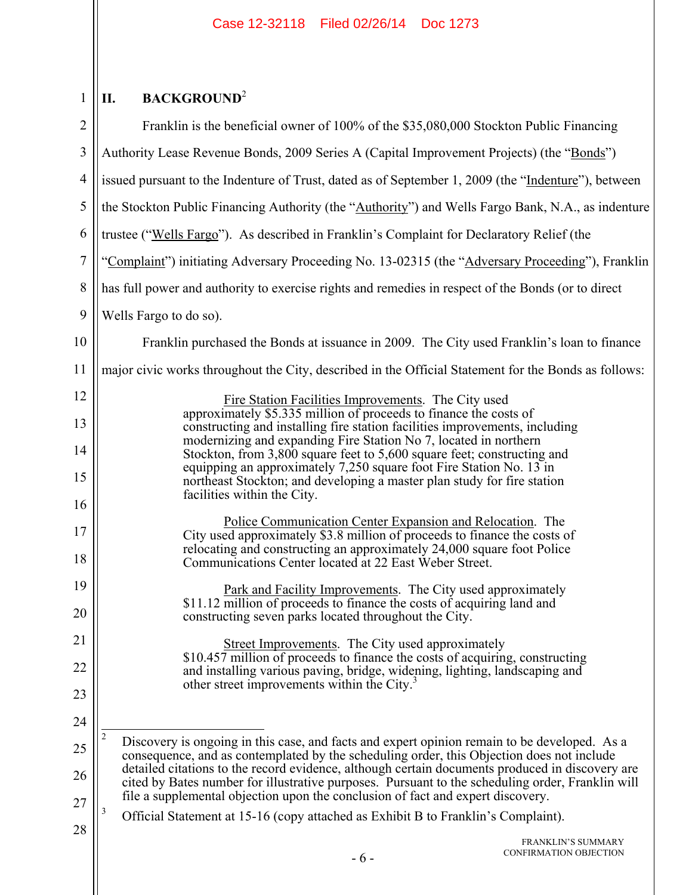#### $1$  ||  $\mathbf{II}$ . **II. BACKGROUND**<sup>2</sup>

| $\overline{2}$ | Franklin is the beneficial owner of 100% of the \$35,080,000 Stockton Public Financing                                                                                                                           |
|----------------|------------------------------------------------------------------------------------------------------------------------------------------------------------------------------------------------------------------|
| 3              | Authority Lease Revenue Bonds, 2009 Series A (Capital Improvement Projects) (the "Bonds")                                                                                                                        |
| $\overline{4}$ | issued pursuant to the Indenture of Trust, dated as of September 1, 2009 (the "Indenture"), between                                                                                                              |
| 5              | the Stockton Public Financing Authority (the "Authority") and Wells Fargo Bank, N.A., as indenture                                                                                                               |
| 6              | trustee ("Wells Fargo"). As described in Franklin's Complaint for Declaratory Relief (the                                                                                                                        |
| $\tau$         | "Complaint") initiating Adversary Proceeding No. 13-02315 (the "Adversary Proceeding"), Franklin                                                                                                                 |
| 8              | has full power and authority to exercise rights and remedies in respect of the Bonds (or to direct                                                                                                               |
| 9              | Wells Fargo to do so).                                                                                                                                                                                           |
| 10             | Franklin purchased the Bonds at issuance in 2009. The City used Franklin's loan to finance                                                                                                                       |
| 11             | major civic works throughout the City, described in the Official Statement for the Bonds as follows:                                                                                                             |
| 12             | Fire Station Facilities Improvements. The City used                                                                                                                                                              |
| 13             | approximately \$5.335 million of proceeds to finance the costs of<br>constructing and installing fire station facilities improvements, including                                                                 |
| 14             | modernizing and expanding Fire Station No 7, located in northern<br>Stockton, from 3,800 square feet to 5,600 square feet; constructing and                                                                      |
| 15             | equipping an approximately 7,250 square foot Fire Station No. 13 in<br>northeast Stockton; and developing a master plan study for fire station                                                                   |
| 16             | facilities within the City.                                                                                                                                                                                      |
| 17             | Police Communication Center Expansion and Relocation. The<br>City used approximately \$3.8 million of proceeds to finance the costs of<br>relocating and constructing an approximately 24,000 square foot Police |
| 18             | Communications Center located at 22 East Weber Street.                                                                                                                                                           |
| 19<br>20       | Park and Facility Improvements. The City used approximately<br>\$11.12 million of proceeds to finance the costs of acquiring land and                                                                            |
|                | constructing seven parks located throughout the City.                                                                                                                                                            |
| 21<br>22       | <b>Street Improvements.</b> The City used approximately<br>\$10.457 million of proceeds to finance the costs of acquiring, constructing                                                                          |
| 23             | and installing various paving, bridge, widening, lighting, landscaping and<br>other street improvements within the City.                                                                                         |
| 24             |                                                                                                                                                                                                                  |
| 25             | 2<br>Discovery is ongoing in this case, and facts and expert opinion remain to be developed. As a                                                                                                                |
| 26             | consequence, and as contemplated by the scheduling order, this Objection does not include<br>detailed citations to the record evidence, although certain documents produced in discovery are                     |
| 27             | cited by Bates number for illustrative purposes. Pursuant to the scheduling order, Franklin will<br>file a supplemental objection upon the conclusion of fact and expert discovery.                              |
| 28             | 3<br>Official Statement at 15-16 (copy attached as Exhibit B to Franklin's Complaint).                                                                                                                           |
|                | <b>FRANKLIN'S SUMMARY</b><br>CONFIRMATION OBJECTION<br>$-6-$                                                                                                                                                     |
|                |                                                                                                                                                                                                                  |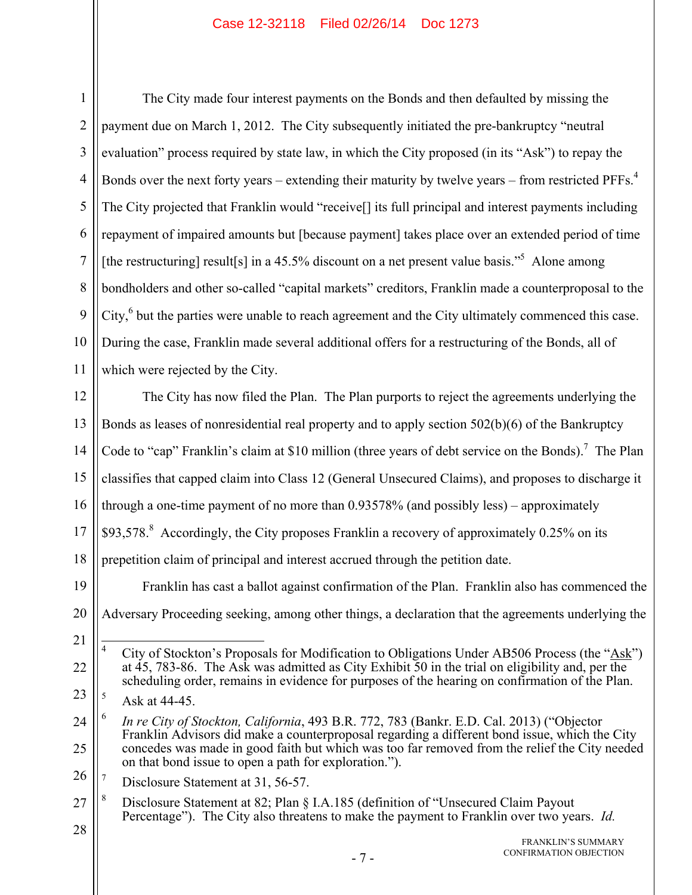1 2 3 4 5 6 7 8 9 10 11 The City made four interest payments on the Bonds and then defaulted by missing the payment due on March 1, 2012. The City subsequently initiated the pre-bankruptcy "neutral evaluation" process required by state law, in which the City proposed (in its "Ask") to repay the Bonds over the next forty years – extending their maturity by twelve years – from restricted  $PFFs.<sup>4</sup>$ The City projected that Franklin would "receive[] its full principal and interest payments including repayment of impaired amounts but [because payment] takes place over an extended period of time [the restructuring] result[s] in a 45.5% discount on a net present value basis."<sup>5</sup> Alone among bondholders and other so-called "capital markets" creditors, Franklin made a counterproposal to the City, $6$  but the parties were unable to reach agreement and the City ultimately commenced this case. During the case, Franklin made several additional offers for a restructuring of the Bonds, all of which were rejected by the City.

12 13 14 15 16 17 18 The City has now filed the Plan. The Plan purports to reject the agreements underlying the Bonds as leases of nonresidential real property and to apply section 502(b)(6) of the Bankruptcy Code to "cap" Franklin's claim at \$10 million (three years of debt service on the Bonds).<sup>7</sup> The Plan classifies that capped claim into Class 12 (General Unsecured Claims), and proposes to discharge it through a one-time payment of no more than 0.93578% (and possibly less) – approximately \$93,578.<sup>8</sup> Accordingly, the City proposes Franklin a recovery of approximately 0.25% on its prepetition claim of principal and interest accrued through the petition date.

19 20 Franklin has cast a ballot against confirmation of the Plan. Franklin also has commenced the Adversary Proceeding seeking, among other things, a declaration that the agreements underlying the

26 7 Disclosure Statement at 31, 56-57.

<sup>21</sup>

<sup>22</sup> 4 City of Stockton's Proposals for Modification to Obligations Under AB506 Process (the "Ask") at 45, 783-86. The Ask was admitted as City Exhibit 50 in the trial on eligibility and, per the scheduling order, remains in evidence for purposes of the hearing on confirmation of the Plan.

<sup>23</sup> 5 Ask at 44-45.

<sup>24</sup> 25 6 *In re City of Stockton, California*, 493 B.R. 772, 783 (Bankr. E.D. Cal. 2013) ("Objector Franklin Advisors did make a counterproposal regarding a different bond issue, which the City concedes was made in good faith but which was too far removed from the relief the City needed on that bond issue to open a path for exploration.").

<sup>27</sup> 8 Disclosure Statement at 82; Plan § I.A.185 (definition of "Unsecured Claim Payout Percentage"). The City also threatens to make the payment to Franklin over two years. *Id.*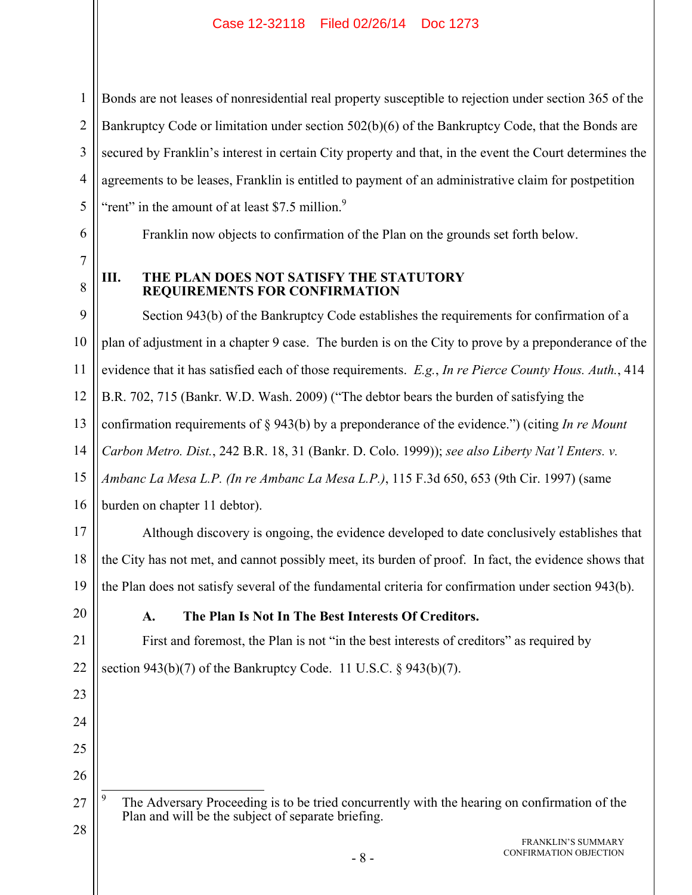Bonds are not leases of nonresidential real property susceptible to rejection under section 365 of the Bankruptcy Code or limitation under section 502(b)(6) of the Bankruptcy Code, that the Bonds are secured by Franklin's interest in certain City property and that, in the event the Court determines the agreements to be leases, Franklin is entitled to payment of an administrative claim for postpetition "rent" in the amount of at least \$7.5 million. $9$ 

Franklin now objects to confirmation of the Plan on the grounds set forth below.

8

1

2

3

4

5

6

7

#### **III. THE PLAN DOES NOT SATISFY THE STATUTORY REQUIREMENTS FOR CONFIRMATION**

9 10 11 12 13 14 15 16 17 Section 943(b) of the Bankruptcy Code establishes the requirements for confirmation of a plan of adjustment in a chapter 9 case. The burden is on the City to prove by a preponderance of the evidence that it has satisfied each of those requirements. *E.g.*, *In re Pierce County Hous. Auth.*, 414 B.R. 702, 715 (Bankr. W.D. Wash. 2009) ("The debtor bears the burden of satisfying the confirmation requirements of § 943(b) by a preponderance of the evidence.") (citing *In re Mount Carbon Metro. Dist.*, 242 B.R. 18, 31 (Bankr. D. Colo. 1999)); *see also Liberty Nat'l Enters. v. Ambanc La Mesa L.P. (In re Ambanc La Mesa L.P.)*, 115 F.3d 650, 653 (9th Cir. 1997) (same burden on chapter 11 debtor). Although discovery is ongoing, the evidence developed to date conclusively establishes that

18 19 the City has not met, and cannot possibly meet, its burden of proof. In fact, the evidence shows that the Plan does not satisfy several of the fundamental criteria for confirmation under section 943(b).

20

21

22

23

24

25

26

## **A. The Plan Is Not In The Best Interests Of Creditors.**

First and foremost, the Plan is not "in the best interests of creditors" as required by section 943(b)(7) of the Bankruptcy Code. 11 U.S.C. § 943(b)(7).

27 28  $\overline{a}$ 9 The Adversary Proceeding is to be tried concurrently with the hearing on confirmation of the Plan and will be the subject of separate briefing.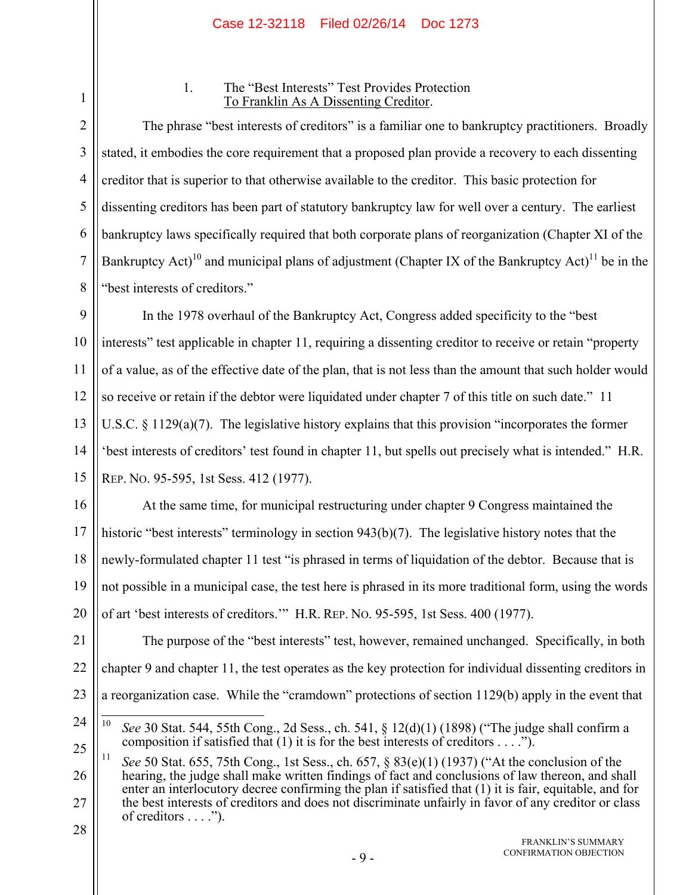3

4

5

6

7

8

#### 1. The "Best Interests" Test Provides Protection To Franklin As A Dissenting Creditor.

The phrase "best interests of creditors" is a familiar one to bankruptcy practitioners. Broadly stated, it embodies the core requirement that a proposed plan provide a recovery to each dissenting creditor that is superior to that otherwise available to the creditor. This basic protection for dissenting creditors has been part of statutory bankruptcy law for well over a century. The earliest bankruptcy laws specifically required that both corporate plans of reorganization (Chapter XI of the Bankruptcy Act)<sup>10</sup> and municipal plans of adjustment (Chapter IX of the Bankruptcy Act)<sup>11</sup> be in the "best interests of creditors."

9 10 11 12 13 14 15 In the 1978 overhaul of the Bankruptcy Act, Congress added specificity to the "best interests" test applicable in chapter 11, requiring a dissenting creditor to receive or retain "property of a value, as of the effective date of the plan, that is not less than the amount that such holder would so receive or retain if the debtor were liquidated under chapter 7 of this title on such date." 11 U.S.C. § 1129(a)(7). The legislative history explains that this provision "incorporates the former 'best interests of creditors' test found in chapter 11, but spells out precisely what is intended." H.R. REP. NO. 95-595, 1st Sess. 412 (1977).

16 17 18 19 20 At the same time, for municipal restructuring under chapter 9 Congress maintained the historic "best interests" terminology in section 943(b)(7). The legislative history notes that the newly-formulated chapter 11 test "is phrased in terms of liquidation of the debtor. Because that is not possible in a municipal case, the test here is phrased in its more traditional form, using the words of art 'best interests of creditors.'" H.R. REP. NO. 95-595, 1st Sess. 400 (1977).

21 22 23 The purpose of the "best interests" test, however, remained unchanged. Specifically, in both chapter 9 and chapter 11, the test operates as the key protection for individual dissenting creditors in a reorganization case. While the "cramdown" protections of section 1129(b) apply in the event that

25

 $10$ 10 *See* 30 Stat. 544, 55th Cong., 2d Sess., ch. 541, § 12(d)(1) (1898) ("The judge shall confirm a composition if satisfied that  $(1)$  it is for the best interests of creditors . . . .").

<sup>1</sup> 2

<sup>24</sup>

<sup>26</sup> 27 11 *See* 50 Stat. 655, 75th Cong., 1st Sess., ch. 657, § 83(e)(1) (1937) ("At the conclusion of the hearing, the judge shall make written findings of fact and conclusions of law thereon, and shall enter an interlocutory decree confirming the plan if satisfied that (1) it is fair, equitable, and for the best interests of creditors and does not discriminate unfairly in favor of any creditor or class of creditors  $\dots$ .").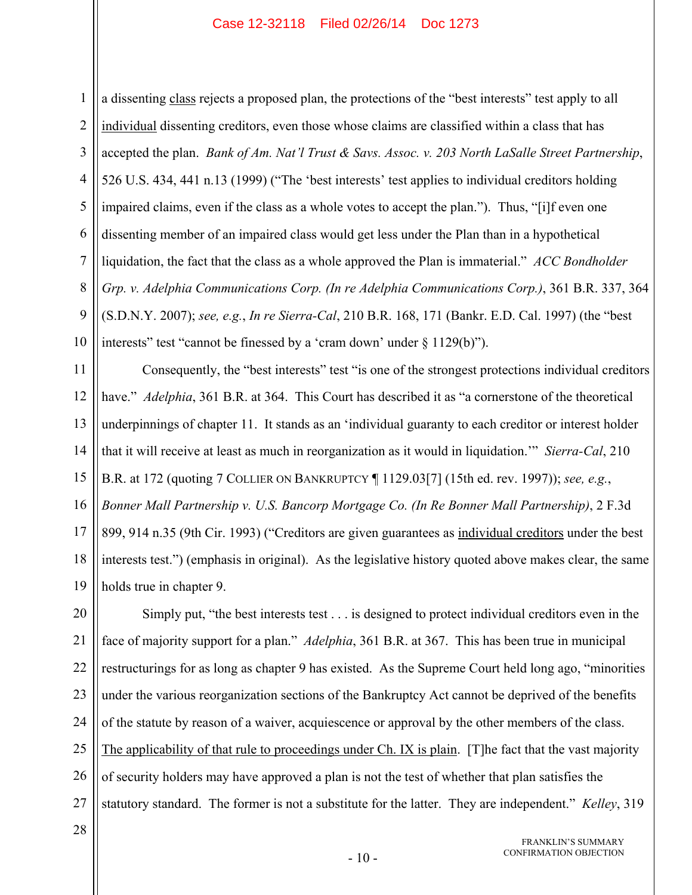1 2 3 4 5 6 7 8 9 10 a dissenting class rejects a proposed plan, the protections of the "best interests" test apply to all individual dissenting creditors, even those whose claims are classified within a class that has accepted the plan. *Bank of Am. Nat'l Trust & Savs. Assoc. v. 203 North LaSalle Street Partnership*, 526 U.S. 434, 441 n.13 (1999) ("The 'best interests' test applies to individual creditors holding impaired claims, even if the class as a whole votes to accept the plan."). Thus, "[i]f even one dissenting member of an impaired class would get less under the Plan than in a hypothetical liquidation, the fact that the class as a whole approved the Plan is immaterial." *ACC Bondholder Grp. v. Adelphia Communications Corp. (In re Adelphia Communications Corp.)*, 361 B.R. 337, 364 (S.D.N.Y. 2007); *see, e.g.*, *In re Sierra-Cal*, 210 B.R. 168, 171 (Bankr. E.D. Cal. 1997) (the "best interests" test "cannot be finessed by a 'cram down' under § 1129(b)").

11 12 13 14 15 16 17 18 19 Consequently, the "best interests" test "is one of the strongest protections individual creditors have." *Adelphia*, 361 B.R. at 364. This Court has described it as "a cornerstone of the theoretical underpinnings of chapter 11. It stands as an 'individual guaranty to each creditor or interest holder that it will receive at least as much in reorganization as it would in liquidation.'" *Sierra-Cal*, 210 B.R. at 172 (quoting 7 COLLIER ON BANKRUPTCY ¶ 1129.03[7] (15th ed. rev. 1997)); *see, e.g.*, *Bonner Mall Partnership v. U.S. Bancorp Mortgage Co. (In Re Bonner Mall Partnership)*, 2 F.3d 899, 914 n.35 (9th Cir. 1993) ("Creditors are given guarantees as individual creditors under the best interests test.") (emphasis in original). As the legislative history quoted above makes clear, the same holds true in chapter 9.

20 21 22 23 24 25 26 27 Simply put, "the best interests test . . . is designed to protect individual creditors even in the face of majority support for a plan." *Adelphia*, 361 B.R. at 367. This has been true in municipal restructurings for as long as chapter 9 has existed. As the Supreme Court held long ago, "minorities under the various reorganization sections of the Bankruptcy Act cannot be deprived of the benefits of the statute by reason of a waiver, acquiescence or approval by the other members of the class. The applicability of that rule to proceedings under Ch. IX is plain. [T]he fact that the vast majority of security holders may have approved a plan is not the test of whether that plan satisfies the statutory standard. The former is not a substitute for the latter. They are independent." *Kelley*, 319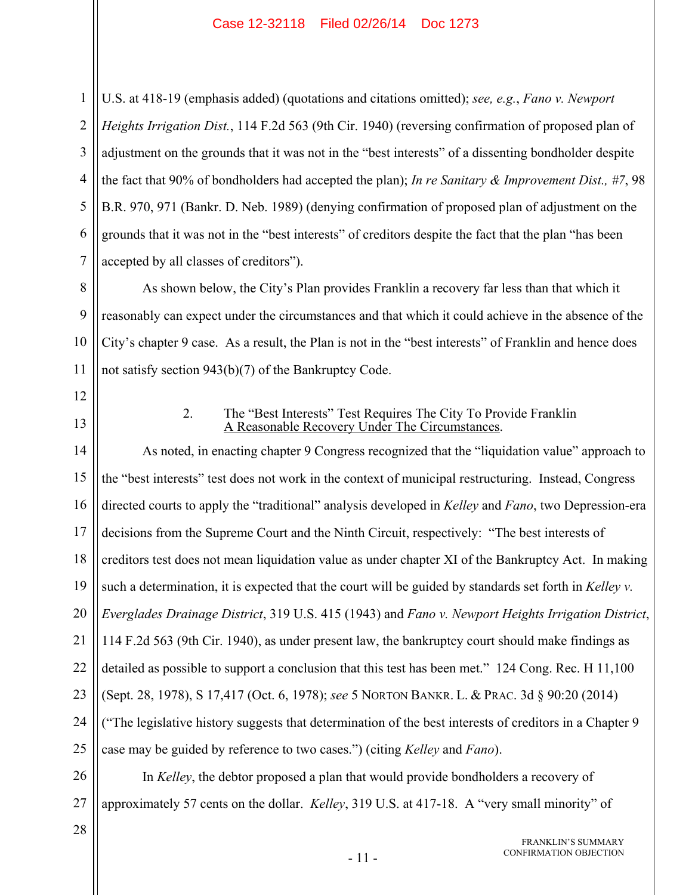2 3 4 5 6 7 U.S. at 418-19 (emphasis added) (quotations and citations omitted); *see, e.g.*, *Fano v. Newport Heights Irrigation Dist.*, 114 F.2d 563 (9th Cir. 1940) (reversing confirmation of proposed plan of adjustment on the grounds that it was not in the "best interests" of a dissenting bondholder despite the fact that 90% of bondholders had accepted the plan); *In re Sanitary & Improvement Dist., #7*, 98 B.R. 970, 971 (Bankr. D. Neb. 1989) (denying confirmation of proposed plan of adjustment on the grounds that it was not in the "best interests" of creditors despite the fact that the plan "has been accepted by all classes of creditors").

8 9 10 11 As shown below, the City's Plan provides Franklin a recovery far less than that which it reasonably can expect under the circumstances and that which it could achieve in the absence of the City's chapter 9 case. As a result, the Plan is not in the "best interests" of Franklin and hence does not satisfy section 943(b)(7) of the Bankruptcy Code.

12

1

13

#### 2. The "Best Interests" Test Requires The City To Provide Franklin A Reasonable Recovery Under The Circumstances.

14 15 16 17 18 19 20 21 22 23 24 25 As noted, in enacting chapter 9 Congress recognized that the "liquidation value" approach to the "best interests" test does not work in the context of municipal restructuring. Instead, Congress directed courts to apply the "traditional" analysis developed in *Kelley* and *Fano*, two Depression-era decisions from the Supreme Court and the Ninth Circuit, respectively: "The best interests of creditors test does not mean liquidation value as under chapter XI of the Bankruptcy Act. In making such a determination, it is expected that the court will be guided by standards set forth in *Kelley v. Everglades Drainage District*, 319 U.S. 415 (1943) and *Fano v. Newport Heights Irrigation District*, 114 F.2d 563 (9th Cir. 1940), as under present law, the bankruptcy court should make findings as detailed as possible to support a conclusion that this test has been met." 124 Cong. Rec. H 11,100 (Sept. 28, 1978), S 17,417 (Oct. 6, 1978); *see* 5 NORTON BANKR. L. & PRAC. 3d § 90:20 (2014) ("The legislative history suggests that determination of the best interests of creditors in a Chapter 9 case may be guided by reference to two cases.") (citing *Kelley* and *Fano*).

26 27 In *Kelley*, the debtor proposed a plan that would provide bondholders a recovery of approximately 57 cents on the dollar. *Kelley*, 319 U.S. at 417-18. A "very small minority" of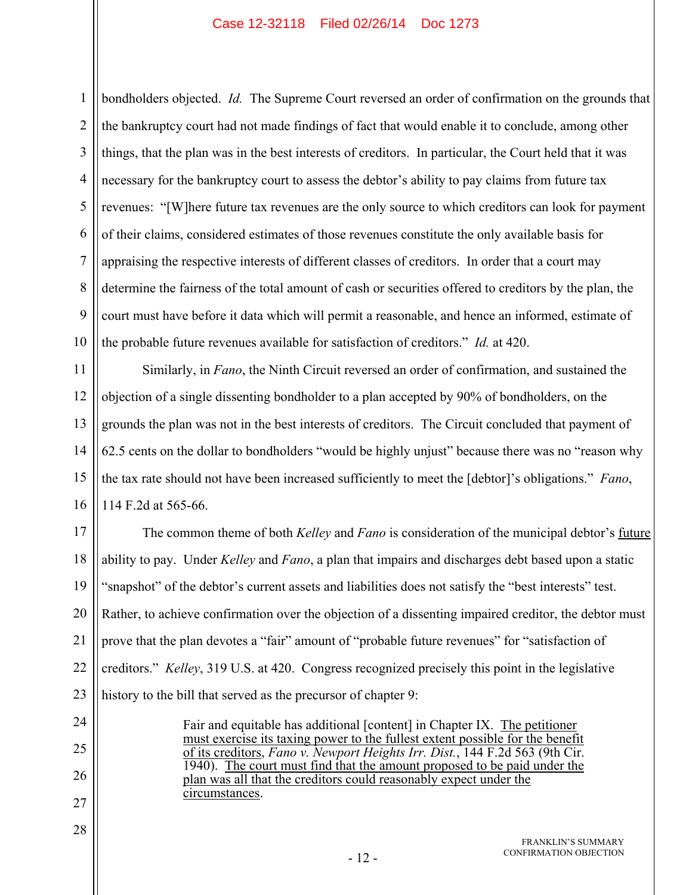1 2 3 4 5 6 7 8 9 10 bondholders objected. *Id.* The Supreme Court reversed an order of confirmation on the grounds that the bankruptcy court had not made findings of fact that would enable it to conclude, among other things, that the plan was in the best interests of creditors. In particular, the Court held that it was necessary for the bankruptcy court to assess the debtor's ability to pay claims from future tax revenues: "[W]here future tax revenues are the only source to which creditors can look for payment of their claims, considered estimates of those revenues constitute the only available basis for appraising the respective interests of different classes of creditors. In order that a court may determine the fairness of the total amount of cash or securities offered to creditors by the plan, the court must have before it data which will permit a reasonable, and hence an informed, estimate of the probable future revenues available for satisfaction of creditors." *Id.* at 420.

11 12 13 14 15 16 Similarly, in *Fano*, the Ninth Circuit reversed an order of confirmation, and sustained the objection of a single dissenting bondholder to a plan accepted by 90% of bondholders, on the grounds the plan was not in the best interests of creditors. The Circuit concluded that payment of 62.5 cents on the dollar to bondholders "would be highly unjust" because there was no "reason why the tax rate should not have been increased sufficiently to meet the [debtor]'s obligations." *Fano*, 114 F.2d at 565-66.

17 18 19 20 21 22 23 The common theme of both *Kelley* and *Fano* is consideration of the municipal debtor's future ability to pay. Under *Kelley* and *Fano*, a plan that impairs and discharges debt based upon a static "snapshot" of the debtor's current assets and liabilities does not satisfy the "best interests" test. Rather, to achieve confirmation over the objection of a dissenting impaired creditor, the debtor must prove that the plan devotes a "fair" amount of "probable future revenues" for "satisfaction of creditors." *Kelley*, 319 U.S. at 420. Congress recognized precisely this point in the legislative history to the bill that served as the precursor of chapter 9:

24

25

26

27

28

Fair and equitable has additional [content] in Chapter IX. The petitioner must exercise its taxing power to the fullest extent possible for the benefit of its creditors, *Fano v. Newport Heights Irr. Dist.*, 144 F.2d 563 (9th Cir. 1940). The court must find that the amount proposed to be paid under the plan was all that the creditors could reasonably expect under the circumstances.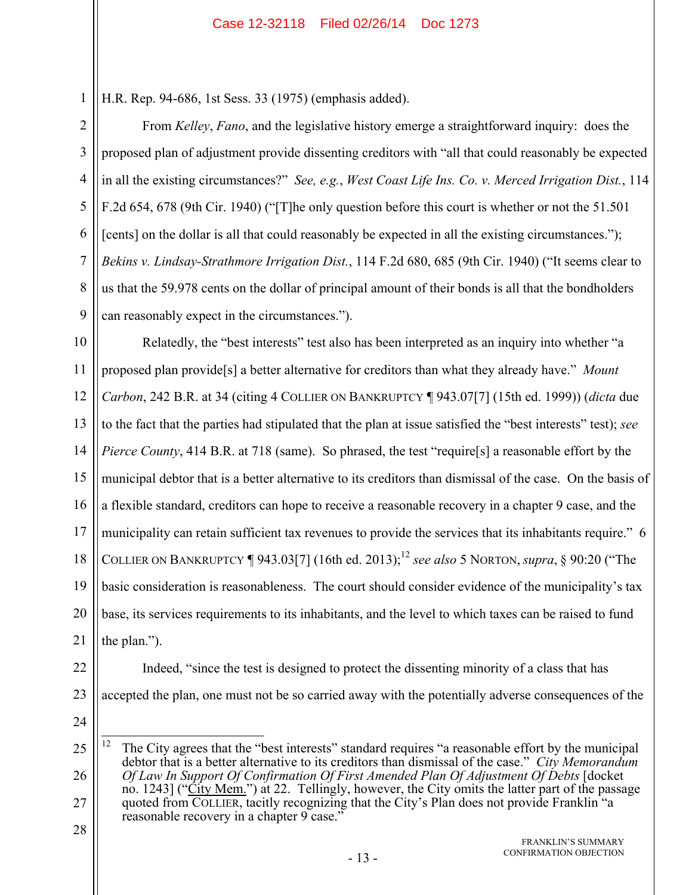H.R. Rep. 94-686, 1st Sess. 33 (1975) (emphasis added).

From *Kelley*, *Fano*, and the legislative history emerge a straightforward inquiry: does the proposed plan of adjustment provide dissenting creditors with "all that could reasonably be expected in all the existing circumstances?" *See, e.g.*, *West Coast Life Ins. Co. v. Merced Irrigation Dist.*, 114 F.2d 654, 678 (9th Cir. 1940) ("[T]he only question before this court is whether or not the 51.501 [cents] on the dollar is all that could reasonably be expected in all the existing circumstances."); *Bekins v. Lindsay-Strathmore Irrigation Dist.*, 114 F.2d 680, 685 (9th Cir. 1940) ("It seems clear to us that the 59.978 cents on the dollar of principal amount of their bonds is all that the bondholders can reasonably expect in the circumstances.").

10 11 12 13 14 15 16 17 18 19 20 21 Relatedly, the "best interests" test also has been interpreted as an inquiry into whether "a proposed plan provide[s] a better alternative for creditors than what they already have." *Mount Carbon*, 242 B.R. at 34 (citing 4 COLLIER ON BANKRUPTCY ¶ 943.07[7] (15th ed. 1999)) (*dicta* due to the fact that the parties had stipulated that the plan at issue satisfied the "best interests" test); *see Pierce County*, 414 B.R. at 718 (same). So phrased, the test "require [s] a reasonable effort by the municipal debtor that is a better alternative to its creditors than dismissal of the case. On the basis of a flexible standard, creditors can hope to receive a reasonable recovery in a chapter 9 case, and the municipality can retain sufficient tax revenues to provide the services that its inhabitants require." 6 COLLIER ON BANKRUPTCY  $\P$  943.03[7] (16th ed. 2013);<sup>12</sup> *see also* 5 NORTON, *supra*, § 90:20 ("The basic consideration is reasonableness. The court should consider evidence of the municipality's tax base, its services requirements to its inhabitants, and the level to which taxes can be raised to fund the plan.").

22

1

2

3

4

5

6

7

8

9

- 23
- 24

Indeed, "since the test is designed to protect the dissenting minority of a class that has

accepted the plan, one must not be so carried away with the potentially adverse consequences of the

<sup>25</sup> 26 27  $12\,$ The City agrees that the "best interests" standard requires "a reasonable effort by the municipal debtor that is a better alternative to its creditors than dismissal of the case." *City Memorandum Of Law In Support Of Confirmation Of First Amended Plan Of Adjustment Of Debts* [docket no. 1243] ("City Mem.") at 22. Tellingly, however, the City omits the latter part of the passage quoted from COLLIER, tacitly recognizing that the City's Plan does not provide Franklin "a reasonable recovery in a chapter 9 case."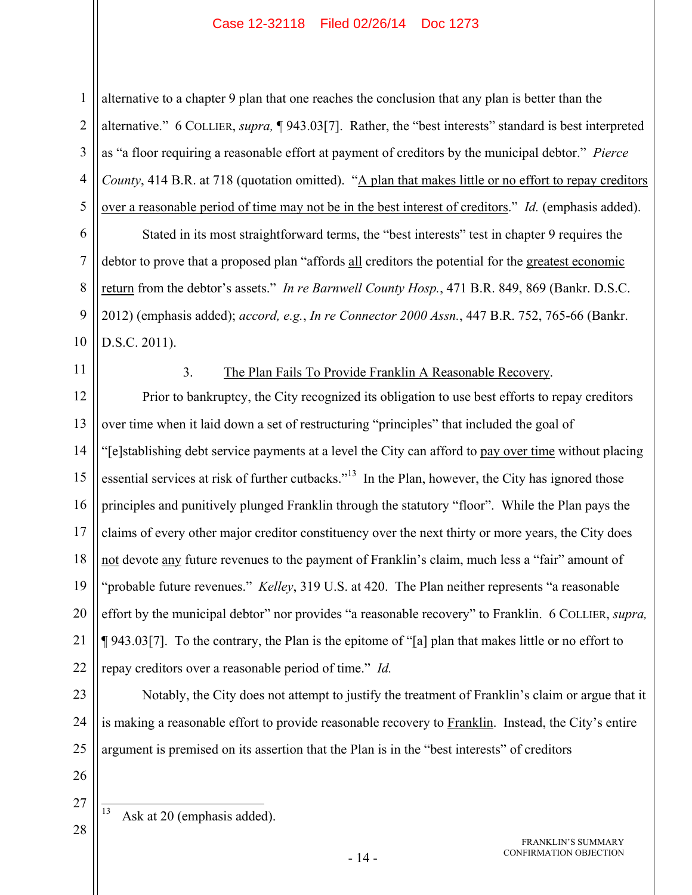2 3 4 5 alternative to a chapter 9 plan that one reaches the conclusion that any plan is better than the alternative." 6 COLLIER, *supra,* ¶ 943.03[7]. Rather, the "best interests" standard is best interpreted as "a floor requiring a reasonable effort at payment of creditors by the municipal debtor." *Pierce County*, 414 B.R. at 718 (quotation omitted). "A plan that makes little or no effort to repay creditors over a reasonable period of time may not be in the best interest of creditors." *Id.* (emphasis added).

Stated in its most straightforward terms, the "best interests" test in chapter 9 requires the debtor to prove that a proposed plan "affords all creditors the potential for the greatest economic return from the debtor's assets." *In re Barnwell County Hosp.*, 471 B.R. 849, 869 (Bankr. D.S.C. 2012) (emphasis added); *accord, e.g.*, *In re Connector 2000 Assn.*, 447 B.R. 752, 765-66 (Bankr. D.S.C. 2011).

11

10

1

6

7

8

9

#### 3. The Plan Fails To Provide Franklin A Reasonable Recovery.

12 13 14 15 16 17 18 19 20 21 22 Prior to bankruptcy, the City recognized its obligation to use best efforts to repay creditors over time when it laid down a set of restructuring "principles" that included the goal of "[e]stablishing debt service payments at a level the City can afford to pay over time without placing essential services at risk of further cutbacks."<sup>13</sup> In the Plan, however, the City has ignored those principles and punitively plunged Franklin through the statutory "floor". While the Plan pays the claims of every other major creditor constituency over the next thirty or more years, the City does not devote any future revenues to the payment of Franklin's claim, much less a "fair" amount of "probable future revenues." *Kelley*, 319 U.S. at 420. The Plan neither represents "a reasonable effort by the municipal debtor" nor provides "a reasonable recovery" to Franklin. 6 COLLIER, *supra,*  ¶ 943.03[7]. To the contrary, the Plan is the epitome of "[a] plan that makes little or no effort to repay creditors over a reasonable period of time." *Id.*

23 24 25 Notably, the City does not attempt to justify the treatment of Franklin's claim or argue that it is making a reasonable effort to provide reasonable recovery to Franklin. Instead, the City's entire argument is premised on its assertion that the Plan is in the "best interests" of creditors

26

27 28

13 Ask at 20 (emphasis added).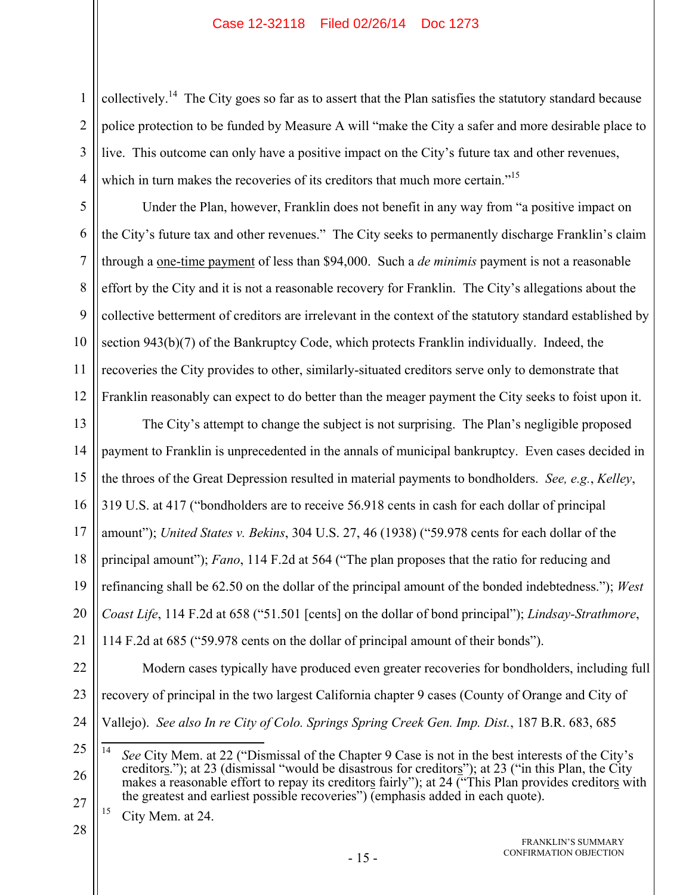collectively.<sup>14</sup> The City goes so far as to assert that the Plan satisfies the statutory standard because police protection to be funded by Measure A will "make the City a safer and more desirable place to live. This outcome can only have a positive impact on the City's future tax and other revenues, which in turn makes the recoveries of its creditors that much more certain."<sup>15</sup>

5 6 7 8 9 10 11 12 Under the Plan, however, Franklin does not benefit in any way from "a positive impact on the City's future tax and other revenues." The City seeks to permanently discharge Franklin's claim through a one-time payment of less than \$94,000. Such a *de minimis* payment is not a reasonable effort by the City and it is not a reasonable recovery for Franklin. The City's allegations about the collective betterment of creditors are irrelevant in the context of the statutory standard established by section 943(b)(7) of the Bankruptcy Code, which protects Franklin individually. Indeed, the recoveries the City provides to other, similarly-situated creditors serve only to demonstrate that Franklin reasonably can expect to do better than the meager payment the City seeks to foist upon it.

13 14 15 16 17 18 19 20 21 The City's attempt to change the subject is not surprising. The Plan's negligible proposed payment to Franklin is unprecedented in the annals of municipal bankruptcy. Even cases decided in the throes of the Great Depression resulted in material payments to bondholders. *See, e.g.*, *Kelley*, 319 U.S. at 417 ("bondholders are to receive 56.918 cents in cash for each dollar of principal amount"); *United States v. Bekins*, 304 U.S. 27, 46 (1938) ("59.978 cents for each dollar of the principal amount"); *Fano*, 114 F.2d at 564 ("The plan proposes that the ratio for reducing and refinancing shall be 62.50 on the dollar of the principal amount of the bonded indebtedness."); *West Coast Life*, 114 F.2d at 658 ("51.501 [cents] on the dollar of bond principal"); *Lindsay-Strathmore*, 114 F.2d at 685 ("59.978 cents on the dollar of principal amount of their bonds").

22 23 24 Modern cases typically have produced even greater recoveries for bondholders, including full recovery of principal in the two largest California chapter 9 cases (County of Orange and City of Vallejo). *See also In re City of Colo. Springs Spring Creek Gen. Imp. Dist.*, 187 B.R. 683, 685

 $15$  City Mem. at 24.

1

2

3

<sup>25</sup> 26 27  $14$ See City Mem. at 22 ("Dismissal of the Chapter 9 Case is not in the best interests of the City's creditors."); at 23 (dismissal "would be disastrous for creditors"); at 23 ("in this Plan, the City makes a reasonable effort to repay its creditors fairly"); at 24 ("This Plan provides creditors with the greatest and earliest possible recoveries")  $\overline{$ (emphasis added in each quote).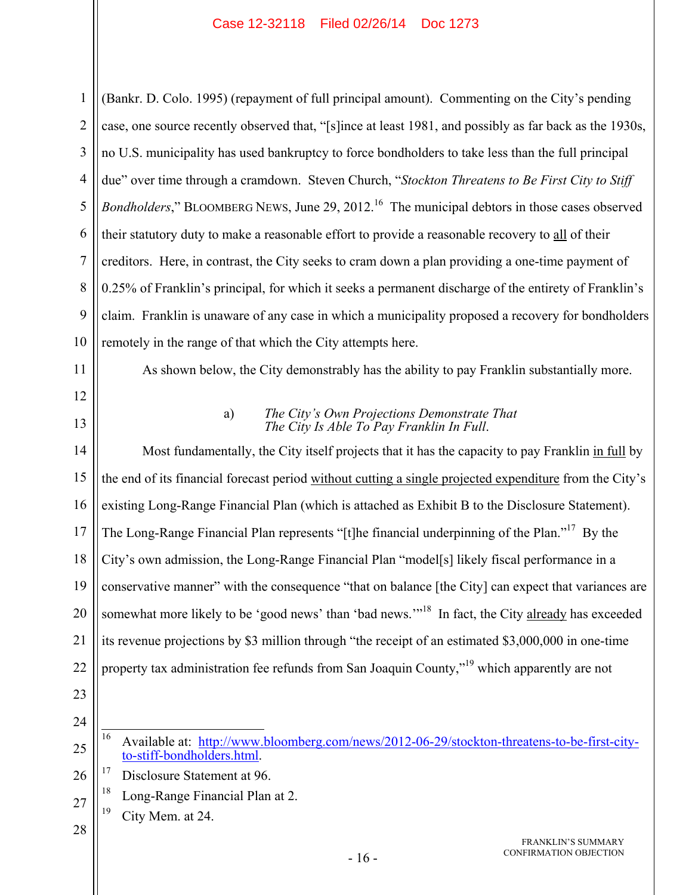1 2 3 4 5 6 7 8 9 10 (Bankr. D. Colo. 1995) (repayment of full principal amount). Commenting on the City's pending case, one source recently observed that, "[s]ince at least 1981, and possibly as far back as the 1930s, no U.S. municipality has used bankruptcy to force bondholders to take less than the full principal due" over time through a cramdown. Steven Church, "*Stockton Threatens to Be First City to Stiff Bondholders*," BLOOMBERG NEWS, June 29, 2012.<sup>16</sup> The municipal debtors in those cases observed their statutory duty to make a reasonable effort to provide a reasonable recovery to all of their creditors. Here, in contrast, the City seeks to cram down a plan providing a one-time payment of 0.25% of Franklin's principal, for which it seeks a permanent discharge of the entirety of Franklin's claim. Franklin is unaware of any case in which a municipality proposed a recovery for bondholders remotely in the range of that which the City attempts here.

11

12 13 As shown below, the City demonstrably has the ability to pay Franklin substantially more.

#### a) *The City's Own Projections Demonstrate That The City Is Able To Pay Franklin In Full*.

14 15 16 17 18 19 20 21 22 Most fundamentally, the City itself projects that it has the capacity to pay Franklin in full by the end of its financial forecast period without cutting a single projected expenditure from the City's existing Long-Range Financial Plan (which is attached as Exhibit B to the Disclosure Statement). The Long-Range Financial Plan represents "[t]he financial underpinning of the Plan."<sup>17</sup> By the City's own admission, the Long-Range Financial Plan "model[s] likely fiscal performance in a conservative manner" with the consequence "that on balance [the City] can expect that variances are somewhat more likely to be 'good news' than 'bad news."<sup>18</sup> In fact, the City already has exceeded its revenue projections by \$3 million through "the receipt of an estimated \$3,000,000 in one-time property tax administration fee refunds from San Joaquin County,"<sup>19</sup> which apparently are not

- 23
- 24 25

26 <sup>17</sup> Disclosure Statement at 96.

- 27 <sup>18</sup> Long-Range Financial Plan at 2.
- $19$  City Mem. at 24.
- 28

<sup>16</sup> 16 Available at: http://www.bloomberg.com/news/2012-06-29/stockton-threatens-to-be-first-cityto-stiff-bondholders.html.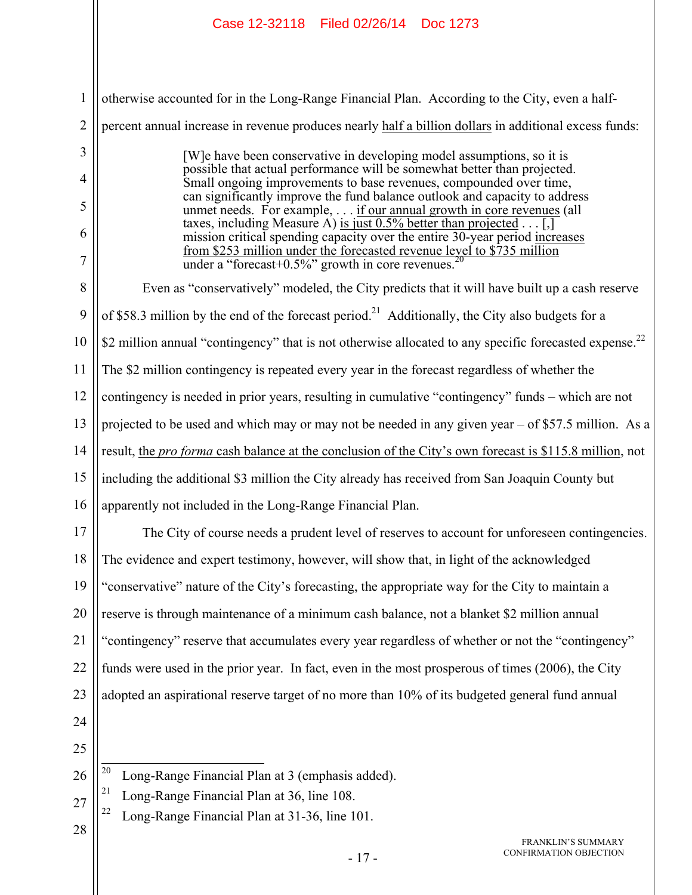|                | Case 12-32118 Filed 02/26/14 Doc 1273                                                                                                                                                                                                                                                      |  |
|----------------|--------------------------------------------------------------------------------------------------------------------------------------------------------------------------------------------------------------------------------------------------------------------------------------------|--|
|                |                                                                                                                                                                                                                                                                                            |  |
| $\mathbf{1}$   | otherwise accounted for in the Long-Range Financial Plan. According to the City, even a half-                                                                                                                                                                                              |  |
| $\overline{2}$ | percent annual increase in revenue produces nearly half a billion dollars in additional excess funds:                                                                                                                                                                                      |  |
| 3              | [W] e have been conservative in developing model assumptions, so it is                                                                                                                                                                                                                     |  |
| $\overline{4}$ | possible that actual performance will be somewhat better than projected.<br>Small ongoing improvements to base revenues, compounded over time,                                                                                                                                             |  |
| 5              | can significantly improve the fund balance outlook and capacity to address<br>unmet needs. For example, if our annual growth in core revenues (all                                                                                                                                         |  |
| 6<br>7         | taxes, including Measure A) is just 0.5% better than projected.<br>mission critical spending capacity over the entire 30-year period increases<br>from \$253 million under the forecasted revenue level to \$735 million<br>under a "forecast+0.5%" growth in core revenues. <sup>20</sup> |  |
| 8              | Even as "conservatively" modeled, the City predicts that it will have built up a cash reserve                                                                                                                                                                                              |  |
| 9              | of \$58.3 million by the end of the forecast period. <sup>21</sup> Additionally, the City also budgets for a                                                                                                                                                                               |  |
| 10             | \$2 million annual "contingency" that is not otherwise allocated to any specific forecasted expense. <sup>22</sup>                                                                                                                                                                         |  |
| 11             | The \$2 million contingency is repeated every year in the forecast regardless of whether the                                                                                                                                                                                               |  |
| 12             | contingency is needed in prior years, resulting in cumulative "contingency" funds – which are not                                                                                                                                                                                          |  |
| 13             | projected to be used and which may or may not be needed in any given year $-$ of \$57.5 million. As a                                                                                                                                                                                      |  |
| 14             | result, the <i>pro forma</i> cash balance at the conclusion of the City's own forecast is \$115.8 million, not                                                                                                                                                                             |  |
| 15             | including the additional \$3 million the City already has received from San Joaquin County but                                                                                                                                                                                             |  |
|                | 16    apparently not included in the Long-Range Financial Plan.                                                                                                                                                                                                                            |  |
| 17             | The City of course needs a prudent level of reserves to account for unforeseen contingencies.                                                                                                                                                                                              |  |
| 18             | The evidence and expert testimony, however, will show that, in light of the acknowledged                                                                                                                                                                                                   |  |
| 19             | "conservative" nature of the City's forecasting, the appropriate way for the City to maintain a                                                                                                                                                                                            |  |
| 20             | reserve is through maintenance of a minimum cash balance, not a blanket \$2 million annual                                                                                                                                                                                                 |  |
| 21             | "contingency" reserve that accumulates every year regardless of whether or not the "contingency"                                                                                                                                                                                           |  |
| 22             | funds were used in the prior year. In fact, even in the most prosperous of times (2006), the City                                                                                                                                                                                          |  |
| 23             | adopted an aspirational reserve target of no more than 10% of its budgeted general fund annual                                                                                                                                                                                             |  |
| 24             |                                                                                                                                                                                                                                                                                            |  |
| 25             |                                                                                                                                                                                                                                                                                            |  |
| 26             | 20<br>Long-Range Financial Plan at 3 (emphasis added).                                                                                                                                                                                                                                     |  |
| 27             | 21<br>Long-Range Financial Plan at 36, line 108.<br>22<br>Long-Range Financial Plan at 31-36, line 101.                                                                                                                                                                                    |  |
| 28             | FRANKLIN'S SUMMARY                                                                                                                                                                                                                                                                         |  |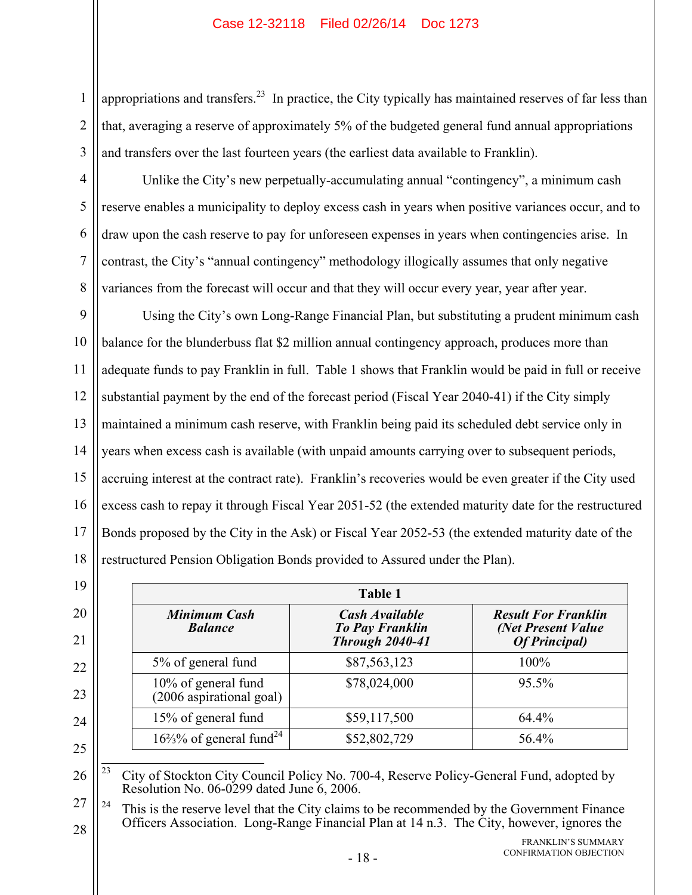appropriations and transfers.<sup>23</sup> In practice, the City typically has maintained reserves of far less than that, averaging a reserve of approximately 5% of the budgeted general fund annual appropriations and transfers over the last fourteen years (the earliest data available to Franklin).

Unlike the City's new perpetually-accumulating annual "contingency", a minimum cash reserve enables a municipality to deploy excess cash in years when positive variances occur, and to draw upon the cash reserve to pay for unforeseen expenses in years when contingencies arise. In contrast, the City's "annual contingency" methodology illogically assumes that only negative variances from the forecast will occur and that they will occur every year, year after year.

9 10 11 12 13 14 15 16 17 18 Using the City's own Long-Range Financial Plan, but substituting a prudent minimum cash balance for the blunderbuss flat \$2 million annual contingency approach, produces more than adequate funds to pay Franklin in full. Table 1 shows that Franklin would be paid in full or receive substantial payment by the end of the forecast period (Fiscal Year 2040-41) if the City simply maintained a minimum cash reserve, with Franklin being paid its scheduled debt service only in years when excess cash is available (with unpaid amounts carrying over to subsequent periods, accruing interest at the contract rate). Franklin's recoveries would be even greater if the City used excess cash to repay it through Fiscal Year 2051-52 (the extended maturity date for the restructured Bonds proposed by the City in the Ask) or Fiscal Year 2052-53 (the extended maturity date of the restructured Pension Obligation Bonds provided to Assured under the Plan).

|                                                 | Table 1                                                                   |                                                                           |
|-------------------------------------------------|---------------------------------------------------------------------------|---------------------------------------------------------------------------|
| <b>Minimum Cash</b><br><b>Balance</b>           | <b>Cash Available</b><br><b>To Pay Franklin</b><br><b>Through 2040-41</b> | <b>Result For Franklin</b><br>(Net Present Value<br><b>Of Principal</b> ) |
| 5% of general fund                              | \$87,563,123                                                              | 100%                                                                      |
| 10% of general fund<br>(2006 aspirational goal) | \$78,024,000                                                              | 95.5%                                                                     |
| 15% of general fund                             | \$59,117,500                                                              | 64.4%                                                                     |
| $16\frac{2}{3}$ % of general fund <sup>24</sup> | \$52,802,729                                                              | 56.4%                                                                     |

25

19

20

21

22

23

24

1

2

3

4

5

6

7

8

26  $23$ 23 City of Stockton City Council Policy No. 700-4, Reserve Policy-General Fund, adopted by Resolution No. 06-0299 dated June 6, 2006.

27 28  $24$  This is the reserve level that the City claims to be recommended by the Government Finance Officers Association. Long-Range Financial Plan at 14 n.3. The City, however, ignores the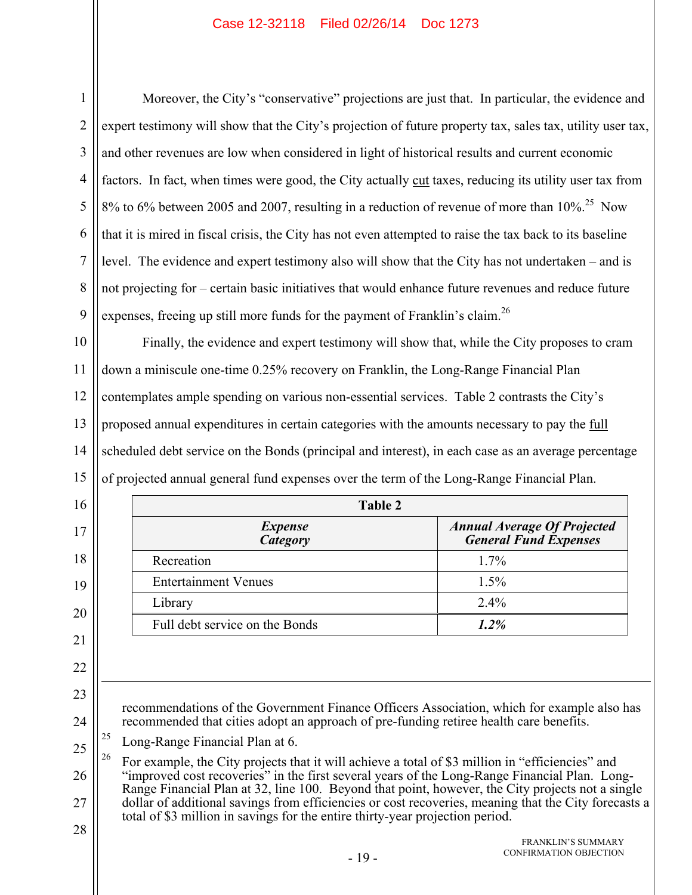| 1              | Moreover, the City's "conservative" projections are just that. In particular, the evidence and                                                                                                          |                                                                    |  |
|----------------|---------------------------------------------------------------------------------------------------------------------------------------------------------------------------------------------------------|--------------------------------------------------------------------|--|
| $\overline{2}$ | expert testimony will show that the City's projection of future property tax, sales tax, utility user tax,                                                                                              |                                                                    |  |
| 3              | and other revenues are low when considered in light of historical results and current economic                                                                                                          |                                                                    |  |
| $\overline{4}$ | factors. In fact, when times were good, the City actually cut taxes, reducing its utility user tax from                                                                                                 |                                                                    |  |
| 5              | 8% to 6% between 2005 and 2007, resulting in a reduction of revenue of more than 10%. <sup>25</sup> Now                                                                                                 |                                                                    |  |
| 6              | that it is mired in fiscal crisis, the City has not even attempted to raise the tax back to its baseline                                                                                                |                                                                    |  |
| $\overline{7}$ | level. The evidence and expert testimony also will show that the City has not undertaken – and is                                                                                                       |                                                                    |  |
| 8              | not projecting for - certain basic initiatives that would enhance future revenues and reduce future                                                                                                     |                                                                    |  |
| 9              | expenses, freeing up still more funds for the payment of Franklin's claim. <sup>26</sup>                                                                                                                |                                                                    |  |
| 10             | Finally, the evidence and expert testimony will show that, while the City proposes to cram                                                                                                              |                                                                    |  |
| 11             | down a miniscule one-time 0.25% recovery on Franklin, the Long-Range Financial Plan                                                                                                                     |                                                                    |  |
| 12             | contemplates ample spending on various non-essential services. Table 2 contrasts the City's                                                                                                             |                                                                    |  |
| 13             | proposed annual expenditures in certain categories with the amounts necessary to pay the full                                                                                                           |                                                                    |  |
| 14             | scheduled debt service on the Bonds (principal and interest), in each case as an average percentage                                                                                                     |                                                                    |  |
| 15             | of projected annual general fund expenses over the term of the Long-Range Financial Plan.                                                                                                               |                                                                    |  |
| 16             | <b>Table 2</b>                                                                                                                                                                                          |                                                                    |  |
| 17             | <b>Expense</b><br>Category                                                                                                                                                                              | <b>Annual Average Of Projected</b><br><b>General Fund Expenses</b> |  |
| 18             | Recreation                                                                                                                                                                                              | 1.7%                                                               |  |
| 19             | <b>Entertainment Venues</b>                                                                                                                                                                             | 1.5%                                                               |  |
| 20             |                                                                                                                                                                                                         |                                                                    |  |
|                | Library                                                                                                                                                                                                 | 2.4%                                                               |  |
|                | Full debt service on the Bonds                                                                                                                                                                          | 1.2%                                                               |  |
| 21             |                                                                                                                                                                                                         |                                                                    |  |
| 22             |                                                                                                                                                                                                         |                                                                    |  |
| 23             | recommendations of the Government Finance Officers Association, which for example also has                                                                                                              |                                                                    |  |
|                | recommended that cities adopt an approach of pre-funding retiree health care benefits.                                                                                                                  |                                                                    |  |
|                | 25<br>Long-Range Financial Plan at 6.                                                                                                                                                                   |                                                                    |  |
| 24<br>25       | 26<br>For example, the City projects that it will achieve a total of \$3 million in "efficiencies" and<br>"improved cost recoveries" in the first several years of the Long-Range Financial Plan. Long- |                                                                    |  |
| 26             | Range Financial Plan at 32, line 100. Beyond that point, however, the City projects not a single                                                                                                        |                                                                    |  |
| 27             | dollar of additional savings from efficiencies or cost recoveries, meaning that the City forecasts a<br>total of \$3 million in savings for the entire thirty-year projection period.                   |                                                                    |  |
| 28             | $-19-$                                                                                                                                                                                                  | <b>FRANKLIN'S SUMMARY</b><br>CONFIRMATION OBJECTION                |  |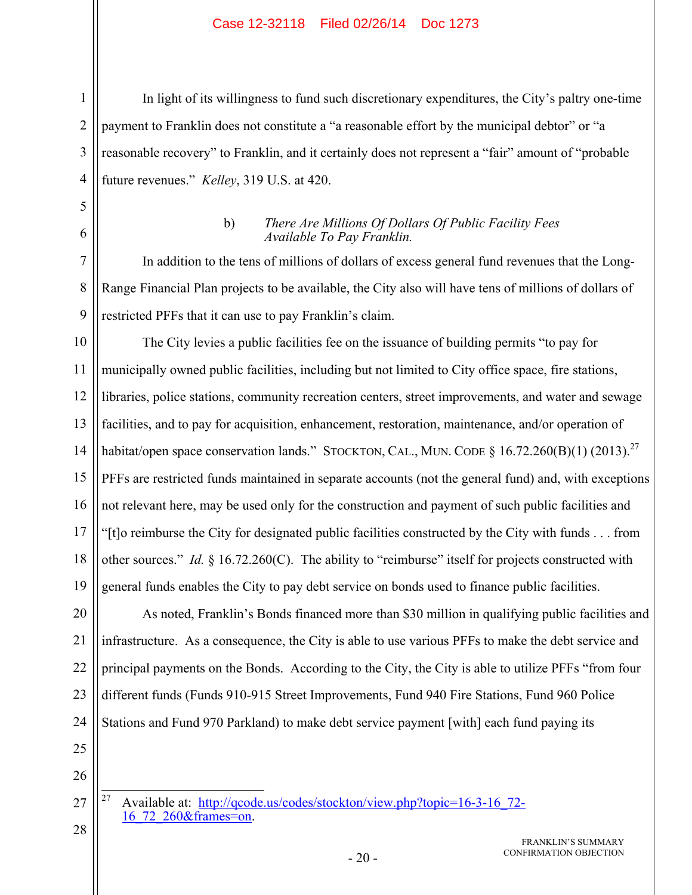In light of its willingness to fund such discretionary expenditures, the City's paltry one-time payment to Franklin does not constitute a "a reasonable effort by the municipal debtor" or "a reasonable recovery" to Franklin, and it certainly does not represent a "fair" amount of "probable future revenues." *Kelley*, 319 U.S. at 420.

#### b) *There Are Millions Of Dollars Of Public Facility Fees Available To Pay Franklin.*

In addition to the tens of millions of dollars of excess general fund revenues that the Long-Range Financial Plan projects to be available, the City also will have tens of millions of dollars of restricted PFFs that it can use to pay Franklin's claim.

10 11 12 13 14 15 16 17 18 19 The City levies a public facilities fee on the issuance of building permits "to pay for municipally owned public facilities, including but not limited to City office space, fire stations, libraries, police stations, community recreation centers, street improvements, and water and sewage facilities, and to pay for acquisition, enhancement, restoration, maintenance, and/or operation of habitat/open space conservation lands." STOCKTON, CAL., MUN. CODE § 16.72.260(B)(1) (2013).<sup>27</sup> PFFs are restricted funds maintained in separate accounts (not the general fund) and, with exceptions not relevant here, may be used only for the construction and payment of such public facilities and "[t]o reimburse the City for designated public facilities constructed by the City with funds . . . from other sources." *Id.* § 16.72.260(C). The ability to "reimburse" itself for projects constructed with general funds enables the City to pay debt service on bonds used to finance public facilities.

20 21 22 23 24 As noted, Franklin's Bonds financed more than \$30 million in qualifying public facilities and infrastructure. As a consequence, the City is able to use various PFFs to make the debt service and principal payments on the Bonds. According to the City, the City is able to utilize PFFs "from four different funds (Funds 910-915 Street Improvements, Fund 940 Fire Stations, Fund 960 Police Stations and Fund 970 Parkland) to make debt service payment [with] each fund paying its

25 26

27

28

1

2

3

4

5

6

7

8

9

27 Available at: http://qcode.us/codes/stockton/view.php?topic=16-3-16\_72-16<sup>72</sup> 260&frames=on.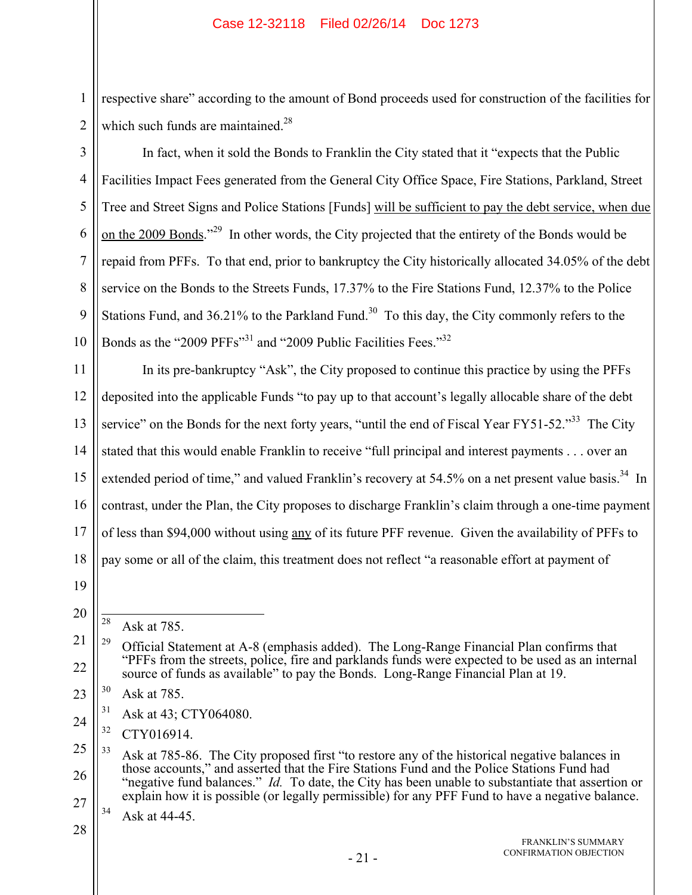respective share" according to the amount of Bond proceeds used for construction of the facilities for which such funds are maintained. $28$ 

3 4 5 6 7 8 9 10 In fact, when it sold the Bonds to Franklin the City stated that it "expects that the Public Facilities Impact Fees generated from the General City Office Space, Fire Stations, Parkland, Street Tree and Street Signs and Police Stations [Funds] will be sufficient to pay the debt service, when due on the 2009 Bonds."<sup>29</sup> In other words, the City projected that the entirety of the Bonds would be repaid from PFFs. To that end, prior to bankruptcy the City historically allocated 34.05% of the debt service on the Bonds to the Streets Funds, 17.37% to the Fire Stations Fund, 12.37% to the Police Stations Fund, and  $36.21\%$  to the Parkland Fund.<sup>30</sup> To this day, the City commonly refers to the Bonds as the "2009 PFFs"<sup>31</sup> and "2009 Public Facilities Fees."<sup>32</sup>

11 12 13 14 15 16 17 18 In its pre-bankruptcy "Ask", the City proposed to continue this practice by using the PFFs deposited into the applicable Funds "to pay up to that account's legally allocable share of the debt service" on the Bonds for the next forty years, "until the end of Fiscal Year FY51-52."<sup>33</sup> The City stated that this would enable Franklin to receive "full principal and interest payments . . . over an extended period of time," and valued Franklin's recovery at 54.5% on a net present value basis.<sup>34</sup> In contrast, under the Plan, the City proposes to discharge Franklin's claim through a one-time payment of less than \$94,000 without using any of its future PFF revenue. Given the availability of PFFs to pay some or all of the claim, this treatment does not reflect "a reasonable effort at payment of

19

20

1

2

24 <sup>31</sup> Ask at 43; CTY064080.

<sup>28</sup> Ask at 785.

<sup>21</sup> 22 <sup>29</sup> Official Statement at A-8 (emphasis added). The Long-Range Financial Plan confirms that "PFFs from the streets, police, fire and parklands funds were expected to be used as an internal source of funds as available" to pay the Bonds. Long-Range Financial Plan at 19.

<sup>23</sup> 30 Ask at 785.

<sup>32</sup> CTY016914.

<sup>25</sup> 26 27 <sup>33</sup> Ask at 785-86. The City proposed first "to restore any of the historical negative balances in those accounts," and asserted that the Fire Stations Fund and the Police Stations Fund had "negative fund balances." *Id.* To date, the City has been unable to substantiate that assertion or explain how it is possible (or legally permissible) for any PFF Fund to have a negative balance.

 $34$  Ask at 44-45.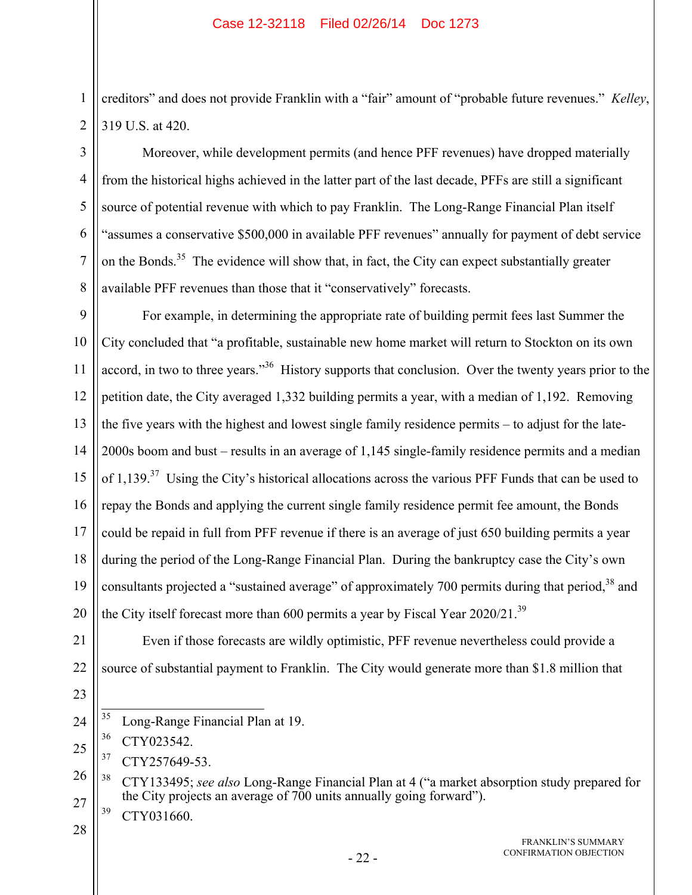creditors" and does not provide Franklin with a "fair" amount of "probable future revenues." *Kelley*, 319 U.S. at 420.

Moreover, while development permits (and hence PFF revenues) have dropped materially from the historical highs achieved in the latter part of the last decade, PFFs are still a significant source of potential revenue with which to pay Franklin. The Long-Range Financial Plan itself "assumes a conservative \$500,000 in available PFF revenues" annually for payment of debt service on the Bonds.<sup>35</sup> The evidence will show that, in fact, the City can expect substantially greater available PFF revenues than those that it "conservatively" forecasts.

9 10 11 12 13 14 15 16 17 18 19 20 For example, in determining the appropriate rate of building permit fees last Summer the City concluded that "a profitable, sustainable new home market will return to Stockton on its own accord, in two to three years."<sup>36</sup> History supports that conclusion. Over the twenty years prior to the petition date, the City averaged 1,332 building permits a year, with a median of 1,192. Removing the five years with the highest and lowest single family residence permits – to adjust for the late-2000s boom and bust – results in an average of 1,145 single-family residence permits and a median of 1,139.<sup>37</sup> Using the City's historical allocations across the various PFF Funds that can be used to repay the Bonds and applying the current single family residence permit fee amount, the Bonds could be repaid in full from PFF revenue if there is an average of just 650 building permits a year during the period of the Long-Range Financial Plan. During the bankruptcy case the City's own consultants projected a "sustained average" of approximately 700 permits during that period,  $38$  and the City itself forecast more than 600 permits a year by Fiscal Year 2020/21.<sup>39</sup>

Even if those forecasts are wildly optimistic, PFF revenue nevertheless could provide a

source of substantial payment to Franklin. The City would generate more than \$1.8 million that

21 22 23

1

2

3

4

5

6

7

8

- 25 36 CTY023542.
- 37 CTY257649-53.
- 26 27 38 CTY133495; *see also* Long-Range Financial Plan at 4 ("a market absorption study prepared for the City projects an average of 700 units annually going forward").
	- 39 CTY031660.

<sup>35</sup> Long-Range Financial Plan at 19.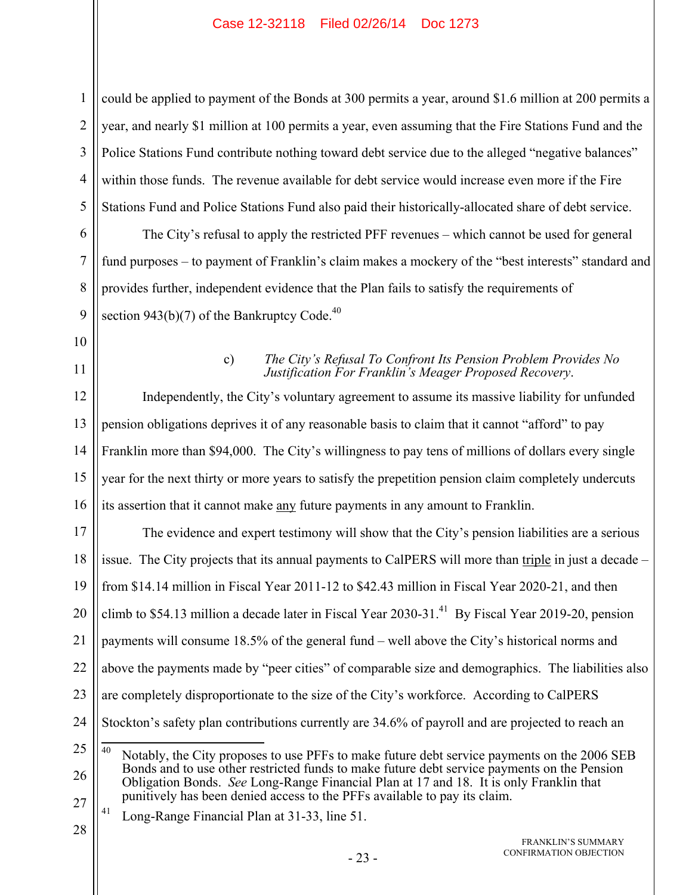1 2 3 4 5 could be applied to payment of the Bonds at 300 permits a year, around \$1.6 million at 200 permits a year, and nearly \$1 million at 100 permits a year, even assuming that the Fire Stations Fund and the Police Stations Fund contribute nothing toward debt service due to the alleged "negative balances" within those funds. The revenue available for debt service would increase even more if the Fire Stations Fund and Police Stations Fund also paid their historically-allocated share of debt service.

The City's refusal to apply the restricted PFF revenues – which cannot be used for general fund purposes – to payment of Franklin's claim makes a mockery of the "best interests" standard and provides further, independent evidence that the Plan fails to satisfy the requirements of section 943(b)(7) of the Bankruptcy Code.<sup>40</sup>

## 10

6

7

8

9

11

## c) *The City's Refusal To Confront Its Pension Problem Provides No Justification For Franklin's Meager Proposed Recovery*.

12 13 14 15 16 Independently, the City's voluntary agreement to assume its massive liability for unfunded pension obligations deprives it of any reasonable basis to claim that it cannot "afford" to pay Franklin more than \$94,000. The City's willingness to pay tens of millions of dollars every single year for the next thirty or more years to satisfy the prepetition pension claim completely undercuts its assertion that it cannot make any future payments in any amount to Franklin.

17 18 19 20 21 22 23 24 25 26 The evidence and expert testimony will show that the City's pension liabilities are a serious issue. The City projects that its annual payments to CalPERS will more than triple in just a decade – from \$14.14 million in Fiscal Year 2011-12 to \$42.43 million in Fiscal Year 2020-21, and then climb to \$54.13 million a decade later in Fiscal Year 2030-31.<sup>41</sup> By Fiscal Year 2019-20, pension payments will consume 18.5% of the general fund – well above the City's historical norms and above the payments made by "peer cities" of comparable size and demographics. The liabilities also are completely disproportionate to the size of the City's workforce. According to CalPERS Stockton's safety plan contributions currently are 34.6% of payroll and are projected to reach an 40 Notably, the City proposes to use PFFs to make future debt service payments on the 2006 SEB Bonds and to use other restricted funds to make future debt service payments on the Pension

- 27 Obligation Bonds. *See* Long-Range Financial Plan at 17 and 18. It is only Franklin that punitively has been denied access to the PFFs available to pay its claim.
	- 41 Long-Range Financial Plan at 31-33, line 51.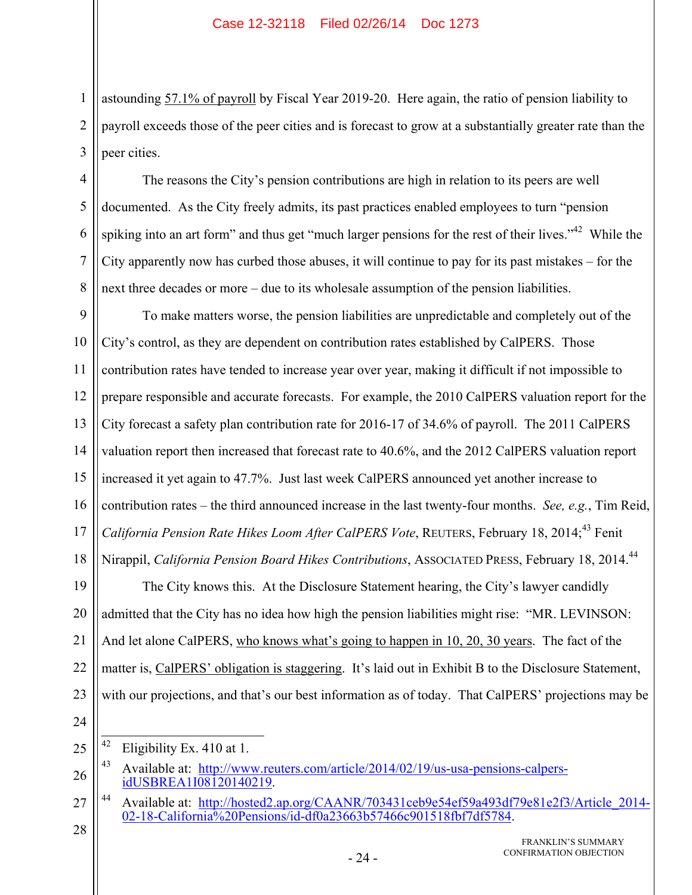astounding 57.1% of payroll by Fiscal Year 2019-20. Here again, the ratio of pension liability to payroll exceeds those of the peer cities and is forecast to grow at a substantially greater rate than the peer cities.

The reasons the City's pension contributions are high in relation to its peers are well documented. As the City freely admits, its past practices enabled employees to turn "pension spiking into an art form" and thus get "much larger pensions for the rest of their lives."<sup>42</sup> While the City apparently now has curbed those abuses, it will continue to pay for its past mistakes – for the next three decades or more – due to its wholesale assumption of the pension liabilities.

9 10 11 12 13 14 15 16 17 18 To make matters worse, the pension liabilities are unpredictable and completely out of the City's control, as they are dependent on contribution rates established by CalPERS. Those contribution rates have tended to increase year over year, making it difficult if not impossible to prepare responsible and accurate forecasts. For example, the 2010 CalPERS valuation report for the City forecast a safety plan contribution rate for 2016-17 of 34.6% of payroll. The 2011 CalPERS valuation report then increased that forecast rate to 40.6%, and the 2012 CalPERS valuation report increased it yet again to 47.7%. Just last week CalPERS announced yet another increase to contribution rates – the third announced increase in the last twenty-four months. *See, e.g.*, Tim Reid, *California Pension Rate Hikes Loom After CalPERS Vote*, REUTERS, February 18, 2014;<sup>43</sup> Fenit Nirappil, *California Pension Board Hikes Contributions*, ASSOCIATED PRESS, February 18, 2014.44

19 20 21 22 23 The City knows this. At the Disclosure Statement hearing, the City's lawyer candidly admitted that the City has no idea how high the pension liabilities might rise: "MR. LEVINSON: And let alone CalPERS, who knows what's going to happen in 10, 20, 30 years. The fact of the matter is, CalPERS' obligation is staggering. It's laid out in Exhibit B to the Disclosure Statement, with our projections, and that's our best information as of today. That CalPERS' projections may be

24

28

1

2

3

4

5

6

7

8

FRANKLIN'S SUMMARY CONFIRMATION OBJECTION

<sup>25</sup> 42 Eligibility Ex. 410 at 1.

<sup>26</sup> 43 Available at: http://www.reuters.com/article/2014/02/19/us-usa-pensions-calpersidUSBREA1I08120140219.

<sup>27</sup> 44 Available at: http://hosted2.ap.org/CAANR/703431ceb9e54ef59a493df79e81e2f3/Article\_2014-02-18-California%20Pensions/id-df0a23663b57466c901518fbf7df5784.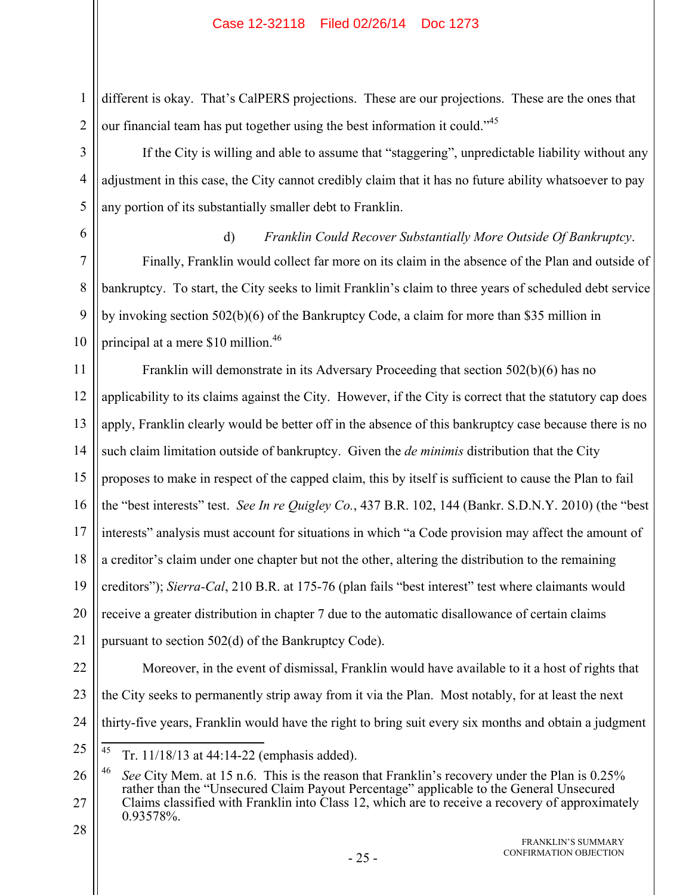different is okay. That's CalPERS projections. These are our projections. These are the ones that our financial team has put together using the best information it could."<sup>45</sup>

If the City is willing and able to assume that "staggering", unpredictable liability without any adjustment in this case, the City cannot credibly claim that it has no future ability whatsoever to pay any portion of its substantially smaller debt to Franklin.

6 7

1

2

3

4

5

d) *Franklin Could Recover Substantially More Outside Of Bankruptcy*. Finally, Franklin would collect far more on its claim in the absence of the Plan and outside of

8 9 10 bankruptcy. To start, the City seeks to limit Franklin's claim to three years of scheduled debt service by invoking section 502(b)(6) of the Bankruptcy Code, a claim for more than \$35 million in principal at a mere \$10 million.<sup>46</sup>

11 12 13 14 15 16 17 18 19 20 21 Franklin will demonstrate in its Adversary Proceeding that section 502(b)(6) has no applicability to its claims against the City. However, if the City is correct that the statutory cap does apply, Franklin clearly would be better off in the absence of this bankruptcy case because there is no such claim limitation outside of bankruptcy. Given the *de minimis* distribution that the City proposes to make in respect of the capped claim, this by itself is sufficient to cause the Plan to fail the "best interests" test. *See In re Quigley Co.*, 437 B.R. 102, 144 (Bankr. S.D.N.Y. 2010) (the "best interests" analysis must account for situations in which "a Code provision may affect the amount of a creditor's claim under one chapter but not the other, altering the distribution to the remaining creditors"); *Sierra-Cal*, 210 B.R. at 175-76 (plan fails "best interest" test where claimants would receive a greater distribution in chapter 7 due to the automatic disallowance of certain claims pursuant to section 502(d) of the Bankruptcy Code).

22

23 24 Moreover, in the event of dismissal, Franklin would have available to it a host of rights that the City seeks to permanently strip away from it via the Plan. Most notably, for at least the next thirty-five years, Franklin would have the right to bring suit every six months and obtain a judgment

25 45 45 Tr. 11/18/13 at 44:14-22 (emphasis added).

FRANKLIN'S SUMMARY CONFIRMATION OBJECTION

<sup>26</sup> 27 28 46 *See* City Mem. at 15 n.6. This is the reason that Franklin's recovery under the Plan is 0.25% rather than the "Unsecured Claim Payout Percentage" applicable to the General Unsecured Claims classified with Franklin into Class 12, which are to receive a recovery of approximately 0.93578%.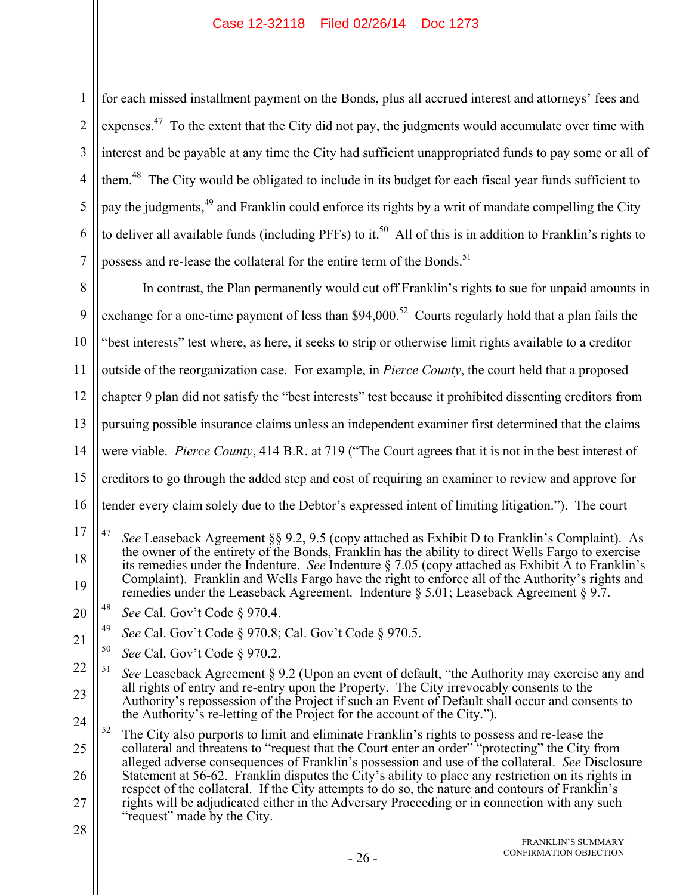1 2 3 4 5 6 7 for each missed installment payment on the Bonds, plus all accrued interest and attorneys' fees and expenses.<sup>47</sup> To the extent that the City did not pay, the judgments would accumulate over time with interest and be payable at any time the City had sufficient unappropriated funds to pay some or all of them.<sup>48</sup> The City would be obligated to include in its budget for each fiscal year funds sufficient to pay the judgments,<sup>49</sup> and Franklin could enforce its rights by a writ of mandate compelling the City to deliver all available funds (including PFFs) to it.<sup>50</sup> All of this is in addition to Franklin's rights to possess and re-lease the collateral for the entire term of the Bonds.<sup>51</sup>

8 9 10 11 12 13 14 15 16 In contrast, the Plan permanently would cut off Franklin's rights to sue for unpaid amounts in exchange for a one-time payment of less than  $$94,000$ .<sup>52</sup> Courts regularly hold that a plan fails the "best interests" test where, as here, it seeks to strip or otherwise limit rights available to a creditor outside of the reorganization case. For example, in *Pierce County*, the court held that a proposed chapter 9 plan did not satisfy the "best interests" test because it prohibited dissenting creditors from pursuing possible insurance claims unless an independent examiner first determined that the claims were viable. *Pierce County*, 414 B.R. at 719 ("The Court agrees that it is not in the best interest of creditors to go through the added step and cost of requiring an examiner to review and approve for tender every claim solely due to the Debtor's expressed intent of limiting litigation."). The court

<sup>17</sup> 18 19 47 47 *See* Leaseback Agreement §§ 9.2, 9.5 (copy attached as Exhibit D to Franklin's Complaint). As the owner of the entirety of the Bonds, Franklin has the ability to direct Wells Fargo to exercise its remedies under the Indenture. *See* Indenture § 7.05 (copy attached as Exhibit A to Franklin's Complaint). Franklin and Wells Fargo have the right to enforce all of the Authority's rights and remedies under the Leaseback Agreement. Indenture § 5.01; Leaseback Agreement § 9.7.

<sup>20</sup> 48 *See* Cal. Gov't Code § 970.4.

<sup>21</sup> 49 *See* Cal. Gov't Code § 970.8; Cal. Gov't Code § 970.5.

<sup>50</sup> *See* Cal. Gov't Code § 970.2.

<sup>22</sup> 23 24 51 *See* Leaseback Agreement § 9.2 (Upon an event of default, "the Authority may exercise any and all rights of entry and re-entry upon the Property. The City irrevocably consents to the Authority's repossession of the Project if such an Event of Default shall occur and consents to the Authority's re-letting of the Project for the account of the City.").

<sup>25</sup> 26 27  $52$  The City also purports to limit and eliminate Franklin's rights to possess and re-lease the collateral and threatens to "request that the Court enter an order" "protecting" the City from alleged adverse consequences of Franklin's possession and use of the collateral. *See* Disclosure Statement at 56-62. Franklin disputes the City's ability to place any restriction on its rights in respect of the collateral. If the City attempts to do so, the nature and contours of Franklin's rights will be adjudicated either in the Adversary Proceeding or in connection with any such "request" made by the City.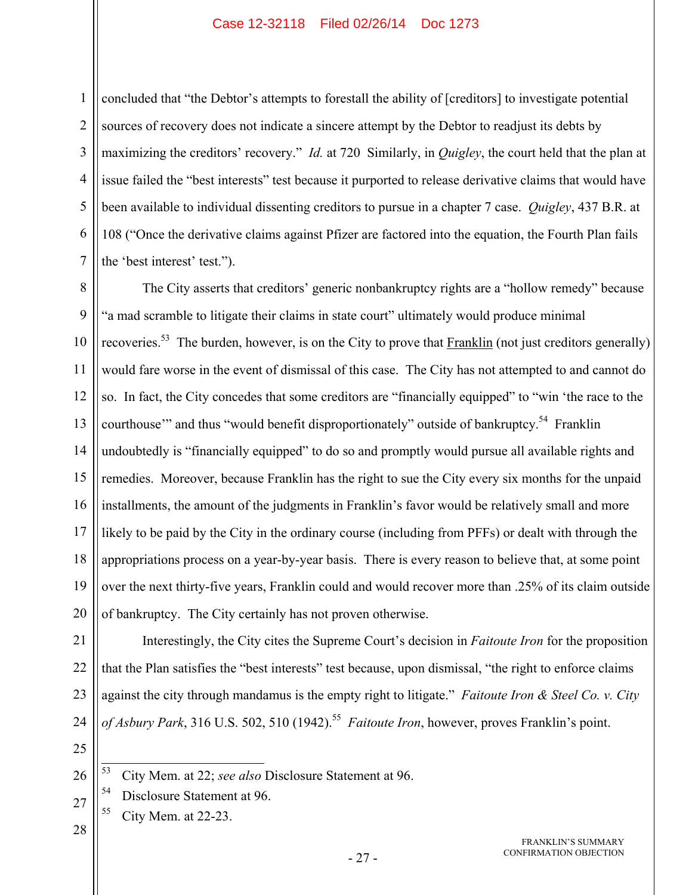concluded that "the Debtor's attempts to forestall the ability of [creditors] to investigate potential sources of recovery does not indicate a sincere attempt by the Debtor to readjust its debts by maximizing the creditors' recovery." *Id.* at 720 Similarly, in *Quigley*, the court held that the plan at issue failed the "best interests" test because it purported to release derivative claims that would have been available to individual dissenting creditors to pursue in a chapter 7 case. *Quigley*, 437 B.R. at 108 ("Once the derivative claims against Pfizer are factored into the equation, the Fourth Plan fails the 'best interest' test.").

8 9 10 11 12 13 14 15 16 17 18 The City asserts that creditors' generic nonbankruptcy rights are a "hollow remedy" because "a mad scramble to litigate their claims in state court" ultimately would produce minimal recoveries.<sup>53</sup> The burden, however, is on the City to prove that Franklin (not just creditors generally) would fare worse in the event of dismissal of this case. The City has not attempted to and cannot do so. In fact, the City concedes that some creditors are "financially equipped" to "win 'the race to the courthouse" and thus "would benefit disproportionately" outside of bankruptcy.<sup>54</sup> Franklin undoubtedly is "financially equipped" to do so and promptly would pursue all available rights and remedies. Moreover, because Franklin has the right to sue the City every six months for the unpaid installments, the amount of the judgments in Franklin's favor would be relatively small and more likely to be paid by the City in the ordinary course (including from PFFs) or dealt with through the appropriations process on a year-by-year basis. There is every reason to believe that, at some point over the next thirty-five years, Franklin could and would recover more than .25% of its claim outside of bankruptcy. The City certainly has not proven otherwise.

1

2

3

4

5

6

7

Interestingly, the City cites the Supreme Court's decision in *Faitoute Iron* for the proposition that the Plan satisfies the "best interests" test because, upon dismissal, "the right to enforce claims against the city through mandamus is the empty right to litigate." *Faitoute Iron & Steel Co. v. City of Asbury Park*, 316 U.S. 502, 510 (1942).<sup>55</sup> *Faitoute Iron*, however, proves Franklin's point.

- 54 Disclosure Statement at 96.
- 55 City Mem. at 22-23.

<sup>53</sup> 53 City Mem. at 22; *see also* Disclosure Statement at 96.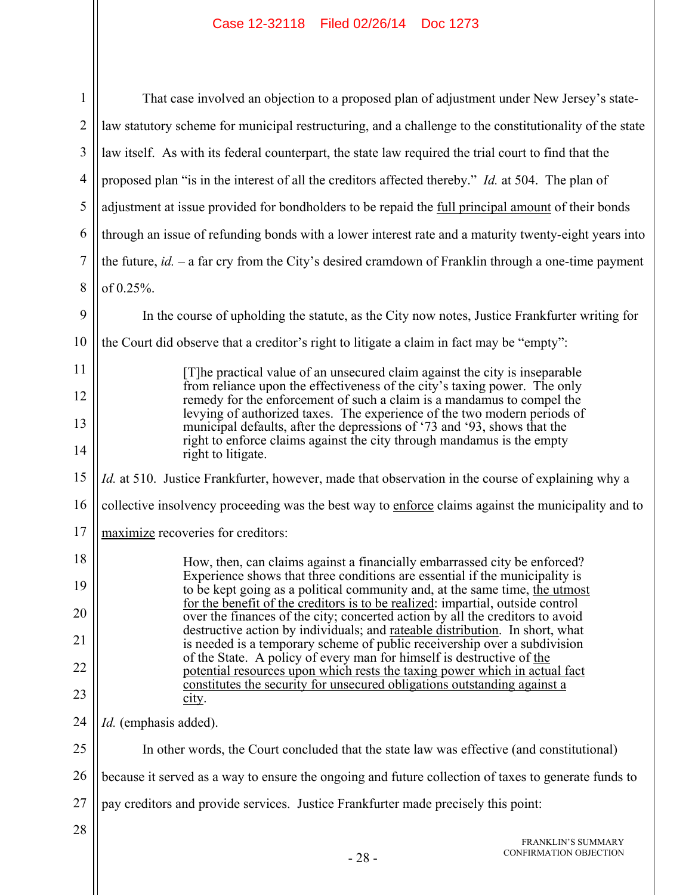| 1              | That case involved an objection to a proposed plan of adjustment under New Jersey's state-                                                                                                                                                                                                                                                                                                                                                                                                  |  |
|----------------|---------------------------------------------------------------------------------------------------------------------------------------------------------------------------------------------------------------------------------------------------------------------------------------------------------------------------------------------------------------------------------------------------------------------------------------------------------------------------------------------|--|
| $\overline{2}$ | law statutory scheme for municipal restructuring, and a challenge to the constitutionality of the state                                                                                                                                                                                                                                                                                                                                                                                     |  |
| 3              | law itself. As with its federal counterpart, the state law required the trial court to find that the                                                                                                                                                                                                                                                                                                                                                                                        |  |
| $\overline{4}$ | proposed plan "is in the interest of all the creditors affected thereby." <i>Id.</i> at 504. The plan of                                                                                                                                                                                                                                                                                                                                                                                    |  |
| 5              | adjustment at issue provided for bondholders to be repaid the full principal amount of their bonds                                                                                                                                                                                                                                                                                                                                                                                          |  |
| 6              | through an issue of refunding bonds with a lower interest rate and a maturity twenty-eight years into                                                                                                                                                                                                                                                                                                                                                                                       |  |
| 7              | the future, $id. -a$ far cry from the City's desired cramdown of Franklin through a one-time payment                                                                                                                                                                                                                                                                                                                                                                                        |  |
| 8              | of 0.25%.                                                                                                                                                                                                                                                                                                                                                                                                                                                                                   |  |
| 9              | In the course of upholding the statute, as the City now notes, Justice Frankfurter writing for                                                                                                                                                                                                                                                                                                                                                                                              |  |
| 10             | the Court did observe that a creditor's right to litigate a claim in fact may be "empty":                                                                                                                                                                                                                                                                                                                                                                                                   |  |
| 11             | [T] he practical value of an unsecured claim against the city is inseparable<br>from reliance upon the effectiveness of the city's taxing power. The only<br>remedy for the enforcement of such a claim is a mandamus to compel the<br>levying of authorized taxes. The experience of the two modern periods of<br>municipal defaults, after the depressions of '73 and '93, shows that the<br>right to enforce claims against the city through mandamus is the empty<br>right to litigate. |  |
| 12             |                                                                                                                                                                                                                                                                                                                                                                                                                                                                                             |  |
| 13             |                                                                                                                                                                                                                                                                                                                                                                                                                                                                                             |  |
| 14             |                                                                                                                                                                                                                                                                                                                                                                                                                                                                                             |  |
| 15             | <i>Id.</i> at 510. Justice Frankfurter, however, made that observation in the course of explaining why a                                                                                                                                                                                                                                                                                                                                                                                    |  |
| 16             | collective insolvency proceeding was the best way to enforce claims against the municipality and to                                                                                                                                                                                                                                                                                                                                                                                         |  |
| 17             | maximize recoveries for creditors:                                                                                                                                                                                                                                                                                                                                                                                                                                                          |  |
| 18             | How, then, can claims against a financially embarrassed city be enforced?                                                                                                                                                                                                                                                                                                                                                                                                                   |  |
| 19             | Experience shows that three conditions are essential if the municipality is<br>to be kept going as a political community and, at the same time, the utmost                                                                                                                                                                                                                                                                                                                                  |  |
| 20             | for the benefit of the creditors is to be realized: impartial, outside control<br>over the finances of the city; concerted action by all the creditors to avoid<br>destructive action by individuals; and rateable distribution. In short, what                                                                                                                                                                                                                                             |  |
| 21             | is needed is a temporary scheme of public receivership over a subdivision                                                                                                                                                                                                                                                                                                                                                                                                                   |  |
| 22             | of the State. A policy of every man for himself is destructive of the<br>potential resources upon which rests the taxing power which in actual fact<br>constitutes the security for unsecured obligations outstanding against a                                                                                                                                                                                                                                                             |  |
| 23             | city.                                                                                                                                                                                                                                                                                                                                                                                                                                                                                       |  |
| 24             | <i>Id.</i> (emphasis added).                                                                                                                                                                                                                                                                                                                                                                                                                                                                |  |
| 25             | In other words, the Court concluded that the state law was effective (and constitutional)                                                                                                                                                                                                                                                                                                                                                                                                   |  |
| 26             | because it served as a way to ensure the ongoing and future collection of taxes to generate funds to                                                                                                                                                                                                                                                                                                                                                                                        |  |
| 27             | pay creditors and provide services. Justice Frankfurter made precisely this point:                                                                                                                                                                                                                                                                                                                                                                                                          |  |
| 28             | <b>FRANKLIN'S SUMMARY</b><br>CONFIRMATION OBJECTION<br>$-28-$                                                                                                                                                                                                                                                                                                                                                                                                                               |  |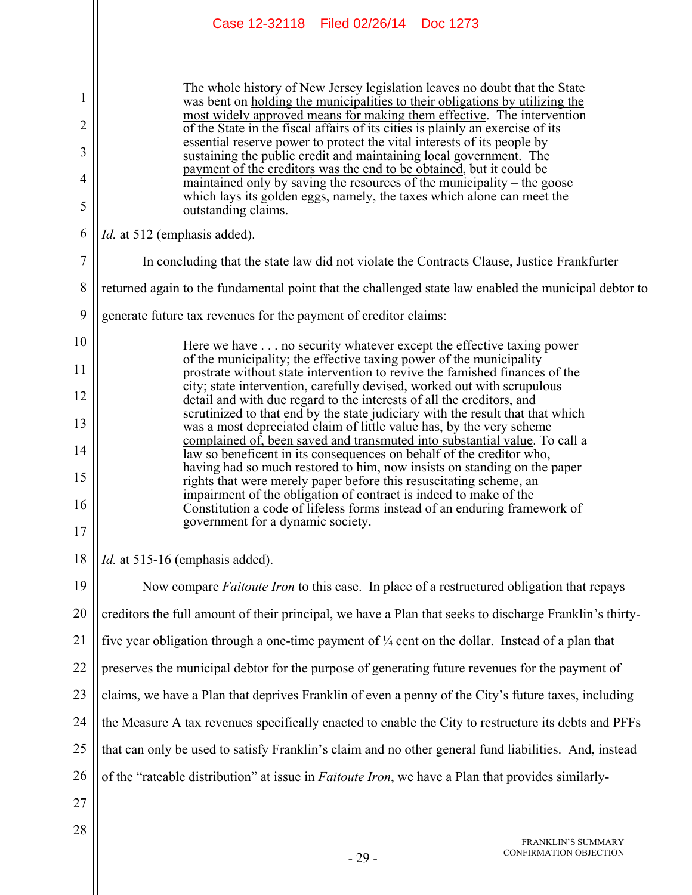|                                    | Case 12-32118 Filed 02/26/14 Doc 1273                                                                                                                                                                                                                                                                                                                                                                                                                                                                                                                                                                                                                                                                                              |  |  |  |  |
|------------------------------------|------------------------------------------------------------------------------------------------------------------------------------------------------------------------------------------------------------------------------------------------------------------------------------------------------------------------------------------------------------------------------------------------------------------------------------------------------------------------------------------------------------------------------------------------------------------------------------------------------------------------------------------------------------------------------------------------------------------------------------|--|--|--|--|
| 1<br>$\overline{2}$<br>3<br>4<br>5 | The whole history of New Jersey legislation leaves no doubt that the State<br>was bent on <u>holding the municipalities</u> to their obligations by utilizing the<br>most widely approved means for making them effective. The intervention<br>of the State in the fiscal affairs of its cities is plainly an exercise of its<br>essential reserve power to protect the vital interests of its people by<br>sustaining the public credit and maintaining local government. The<br>payment of the creditors was the end to be obtained, but it could be<br>maintained only by saving the resources of the municipality – the goose<br>which lays its golden eggs, namely, the taxes which alone can meet the<br>outstanding claims. |  |  |  |  |
| 6                                  | <i>Id.</i> at 512 (emphasis added).                                                                                                                                                                                                                                                                                                                                                                                                                                                                                                                                                                                                                                                                                                |  |  |  |  |
| 7                                  | In concluding that the state law did not violate the Contracts Clause, Justice Frankfurter                                                                                                                                                                                                                                                                                                                                                                                                                                                                                                                                                                                                                                         |  |  |  |  |
| 8                                  | returned again to the fundamental point that the challenged state law enabled the municipal debtor to                                                                                                                                                                                                                                                                                                                                                                                                                                                                                                                                                                                                                              |  |  |  |  |
| 9                                  | generate future tax revenues for the payment of creditor claims:                                                                                                                                                                                                                                                                                                                                                                                                                                                                                                                                                                                                                                                                   |  |  |  |  |
| 10                                 | Here we have no security whatever except the effective taxing power                                                                                                                                                                                                                                                                                                                                                                                                                                                                                                                                                                                                                                                                |  |  |  |  |
| 11                                 | of the municipality; the effective taxing power of the municipality<br>prostrate without state intervention to revive the famished finances of the                                                                                                                                                                                                                                                                                                                                                                                                                                                                                                                                                                                 |  |  |  |  |
| 12                                 | city; state intervention, carefully devised, worked out with scrupulous<br>detail and with due regard to the interests of all the creditors, and<br>scrutinized to that end by the state judiciary with the result that that which                                                                                                                                                                                                                                                                                                                                                                                                                                                                                                 |  |  |  |  |
| 13                                 | was a most depreciated claim of little value has, by the very scheme<br>complained of, been saved and transmuted into substantial value. To call a                                                                                                                                                                                                                                                                                                                                                                                                                                                                                                                                                                                 |  |  |  |  |
| 14                                 | law so beneficent in its consequences on behalf of the creditor who,<br>having had so much restored to him, now insists on standing on the paper                                                                                                                                                                                                                                                                                                                                                                                                                                                                                                                                                                                   |  |  |  |  |
| 15                                 | rights that were merely paper before this resuscitating scheme, an<br>impairment of the obligation of contract is indeed to make of the                                                                                                                                                                                                                                                                                                                                                                                                                                                                                                                                                                                            |  |  |  |  |
| 16<br>17                           | Constitution a code of lifeless forms instead of an enduring framework of<br>government for a dynamic society.                                                                                                                                                                                                                                                                                                                                                                                                                                                                                                                                                                                                                     |  |  |  |  |
| 18                                 |                                                                                                                                                                                                                                                                                                                                                                                                                                                                                                                                                                                                                                                                                                                                    |  |  |  |  |
|                                    | Id. at 515-16 (emphasis added).                                                                                                                                                                                                                                                                                                                                                                                                                                                                                                                                                                                                                                                                                                    |  |  |  |  |
| 19                                 | Now compare <i>Faitoute Iron</i> to this case. In place of a restructured obligation that repays                                                                                                                                                                                                                                                                                                                                                                                                                                                                                                                                                                                                                                   |  |  |  |  |
| 20                                 | creditors the full amount of their principal, we have a Plan that seeks to discharge Franklin's thirty-                                                                                                                                                                                                                                                                                                                                                                                                                                                                                                                                                                                                                            |  |  |  |  |
| 21                                 | five year obligation through a one-time payment of $\frac{1}{4}$ cent on the dollar. Instead of a plan that                                                                                                                                                                                                                                                                                                                                                                                                                                                                                                                                                                                                                        |  |  |  |  |
| 22                                 | preserves the municipal debtor for the purpose of generating future revenues for the payment of                                                                                                                                                                                                                                                                                                                                                                                                                                                                                                                                                                                                                                    |  |  |  |  |
| 23                                 | claims, we have a Plan that deprives Franklin of even a penny of the City's future taxes, including                                                                                                                                                                                                                                                                                                                                                                                                                                                                                                                                                                                                                                |  |  |  |  |
| 24                                 | the Measure A tax revenues specifically enacted to enable the City to restructure its debts and PFFs                                                                                                                                                                                                                                                                                                                                                                                                                                                                                                                                                                                                                               |  |  |  |  |
| 25                                 | that can only be used to satisfy Franklin's claim and no other general fund liabilities. And, instead                                                                                                                                                                                                                                                                                                                                                                                                                                                                                                                                                                                                                              |  |  |  |  |
| 26                                 | of the "rateable distribution" at issue in <i>Faitoute Iron</i> , we have a Plan that provides similarly-                                                                                                                                                                                                                                                                                                                                                                                                                                                                                                                                                                                                                          |  |  |  |  |
| 27                                 |                                                                                                                                                                                                                                                                                                                                                                                                                                                                                                                                                                                                                                                                                                                                    |  |  |  |  |
| 28                                 |                                                                                                                                                                                                                                                                                                                                                                                                                                                                                                                                                                                                                                                                                                                                    |  |  |  |  |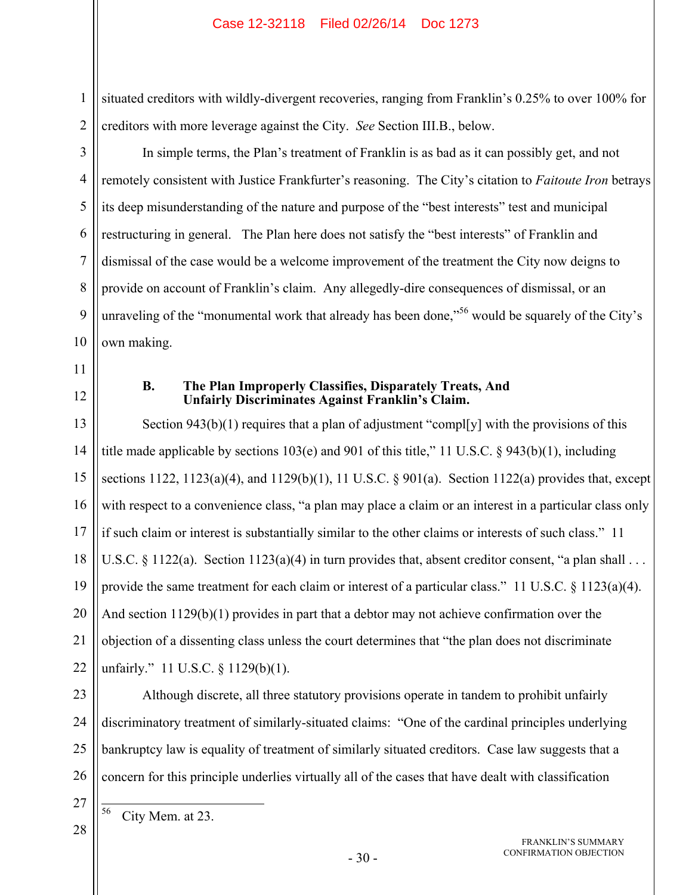2 situated creditors with wildly-divergent recoveries, ranging from Franklin's 0.25% to over 100% for creditors with more leverage against the City. *See* Section III.B., below.

In simple terms, the Plan's treatment of Franklin is as bad as it can possibly get, and not remotely consistent with Justice Frankfurter's reasoning. The City's citation to *Faitoute Iron* betrays its deep misunderstanding of the nature and purpose of the "best interests" test and municipal restructuring in general. The Plan here does not satisfy the "best interests" of Franklin and dismissal of the case would be a welcome improvement of the treatment the City now deigns to provide on account of Franklin's claim. Any allegedly-dire consequences of dismissal, or an unraveling of the "monumental work that already has been done,"<sup>56</sup> would be squarely of the City's own making.

11

10

1

3

4

5

6

7

8

9

12

## **B. The Plan Improperly Classifies, Disparately Treats, And Unfairly Discriminates Against Franklin's Claim.**

13 14 15 16 17 18 19 20 21 22 Section 943(b)(1) requires that a plan of adjustment "compl[y] with the provisions of this title made applicable by sections 103(e) and 901 of this title," 11 U.S.C. § 943(b)(1), including sections 1122, 1123(a)(4), and 1129(b)(1), 11 U.S.C. § 901(a). Section 1122(a) provides that, except with respect to a convenience class, "a plan may place a claim or an interest in a particular class only if such claim or interest is substantially similar to the other claims or interests of such class." 11 U.S.C. § 1122(a). Section 1123(a)(4) in turn provides that, absent creditor consent, "a plan shall . . . provide the same treatment for each claim or interest of a particular class." 11 U.S.C.  $\S$  1123(a)(4). And section 1129(b)(1) provides in part that a debtor may not achieve confirmation over the objection of a dissenting class unless the court determines that "the plan does not discriminate unfairly." 11 U.S.C. § 1129(b)(1).

Although discrete, all three statutory provisions operate in tandem to prohibit unfairly

23

24

25

26

discriminatory treatment of similarly-situated claims: "One of the cardinal principles underlying bankruptcy law is equality of treatment of similarly situated creditors. Case law suggests that a concern for this principle underlies virtually all of the cases that have dealt with classification

27 28

56

City Mem. at 23.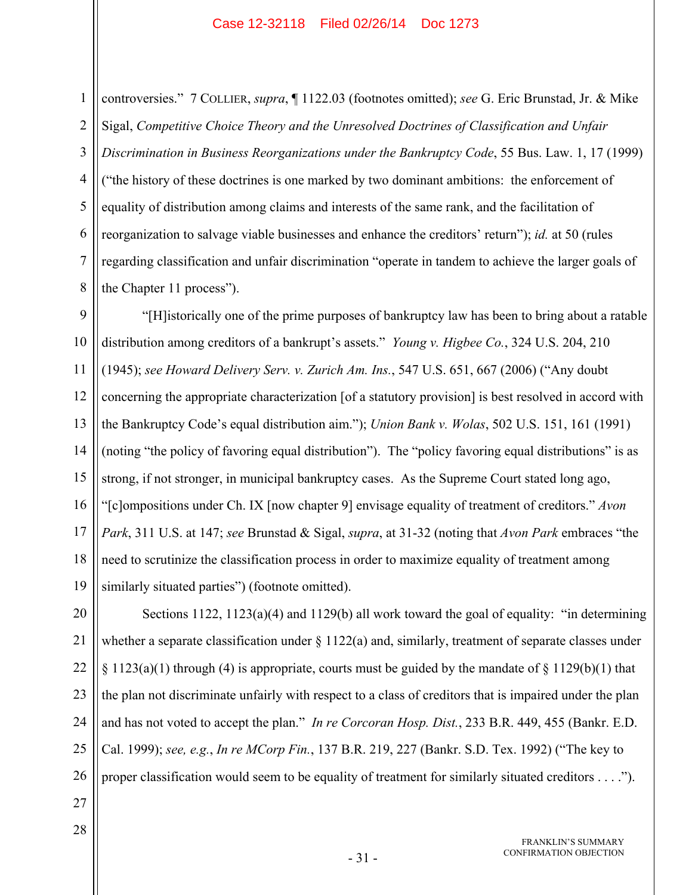2 3 4 5 6 7 8 controversies." 7 COLLIER, *supra*, ¶ 1122.03 (footnotes omitted); *see* G. Eric Brunstad, Jr. & Mike Sigal, *Competitive Choice Theory and the Unresolved Doctrines of Classification and Unfair Discrimination in Business Reorganizations under the Bankruptcy Code*, 55 Bus. Law. 1, 17 (1999) ("the history of these doctrines is one marked by two dominant ambitions: the enforcement of equality of distribution among claims and interests of the same rank, and the facilitation of reorganization to salvage viable businesses and enhance the creditors' return"); *id.* at 50 (rules regarding classification and unfair discrimination "operate in tandem to achieve the larger goals of the Chapter 11 process").

9 10 11 12 13 14 15 16 17 18 19 "[H]istorically one of the prime purposes of bankruptcy law has been to bring about a ratable distribution among creditors of a bankrupt's assets." *Young v. Higbee Co.*, 324 U.S. 204, 210 (1945); *see Howard Delivery Serv. v. Zurich Am. Ins.*, 547 U.S. 651, 667 (2006) ("Any doubt concerning the appropriate characterization [of a statutory provision] is best resolved in accord with the Bankruptcy Code's equal distribution aim."); *Union Bank v. Wolas*, 502 U.S. 151, 161 (1991) (noting "the policy of favoring equal distribution"). The "policy favoring equal distributions" is as strong, if not stronger, in municipal bankruptcy cases. As the Supreme Court stated long ago, "[c]ompositions under Ch. IX [now chapter 9] envisage equality of treatment of creditors." *Avon Park*, 311 U.S. at 147; *see* Brunstad & Sigal, *supra*, at 31-32 (noting that *Avon Park* embraces "the need to scrutinize the classification process in order to maximize equality of treatment among similarly situated parties") (footnote omitted).

20 21 22 23 24 25 26 Sections 1122, 1123(a)(4) and 1129(b) all work toward the goal of equality: "in determining whether a separate classification under  $\S 1122(a)$  and, similarly, treatment of separate classes under  $\S 1123(a)(1)$  through (4) is appropriate, courts must be guided by the mandate of  $\S 1129(b)(1)$  that the plan not discriminate unfairly with respect to a class of creditors that is impaired under the plan and has not voted to accept the plan." *In re Corcoran Hosp. Dist.*, 233 B.R. 449, 455 (Bankr. E.D. Cal. 1999); *see, e.g.*, *In re MCorp Fin.*, 137 B.R. 219, 227 (Bankr. S.D. Tex. 1992) ("The key to proper classification would seem to be equality of treatment for similarly situated creditors . . . .").

27 28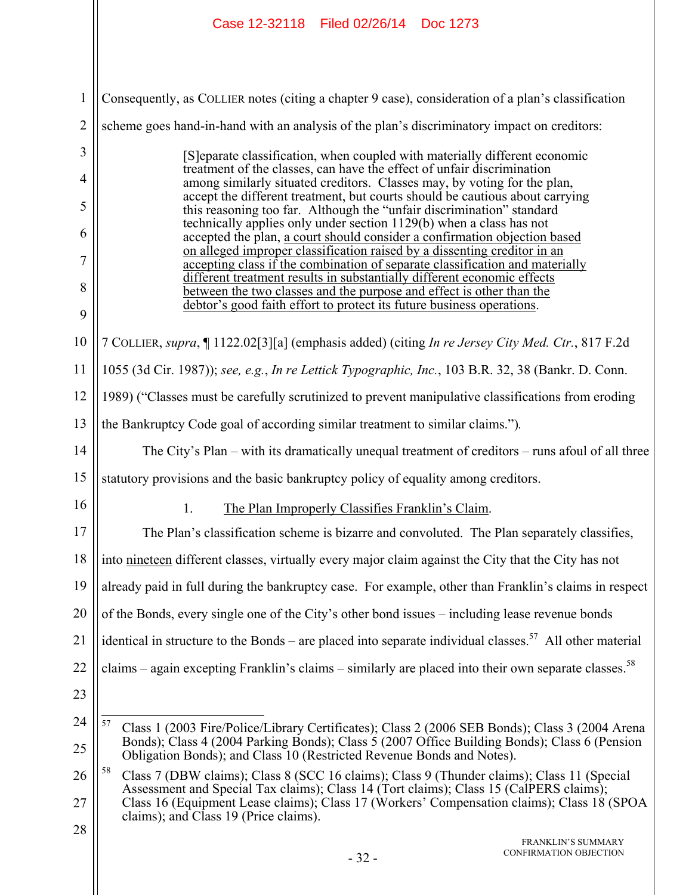|                | Case 12-32118   Filed 02/26/14   Doc 1273                                                                                                                                                                                                                                                                                         |  |  |  |  |
|----------------|-----------------------------------------------------------------------------------------------------------------------------------------------------------------------------------------------------------------------------------------------------------------------------------------------------------------------------------|--|--|--|--|
| $\mathbf{1}$   | Consequently, as COLLIER notes (citing a chapter 9 case), consideration of a plan's classification                                                                                                                                                                                                                                |  |  |  |  |
| $\overline{2}$ | scheme goes hand-in-hand with an analysis of the plan's discriminatory impact on creditors:                                                                                                                                                                                                                                       |  |  |  |  |
| 3              | [S] eparate classification, when coupled with materially different economic                                                                                                                                                                                                                                                       |  |  |  |  |
| 4              | treatment of the classes, can have the effect of unfair discrimination<br>among similarly situated creditors. Classes may, by voting for the plan,                                                                                                                                                                                |  |  |  |  |
| 5              | accept the different treatment, but courts should be cautious about carrying<br>this reasoning too far. Although the "unfair discrimination" standard                                                                                                                                                                             |  |  |  |  |
| 6              | technically applies only under section 1129(b) when a class has not<br>accepted the plan, a court should consider a confirmation objection based                                                                                                                                                                                  |  |  |  |  |
| 7              | on alleged improper classification raised by a dissenting creditor in an<br>accepting class if the combination of separate classification and materially                                                                                                                                                                          |  |  |  |  |
| 8              | different treatment results in substantially different economic effects<br>between the two classes and the purpose and effect is other than the                                                                                                                                                                                   |  |  |  |  |
| 9              | debtor's good faith effort to protect its future business operations.                                                                                                                                                                                                                                                             |  |  |  |  |
| 10             | 7 COLLIER, supra, 1122.02[3][a] (emphasis added) (citing In re Jersey City Med. Ctr., 817 F.2d                                                                                                                                                                                                                                    |  |  |  |  |
| 11             | 1055 (3d Cir. 1987)); see, e.g., In re Lettick Typographic, Inc., 103 B.R. 32, 38 (Bankr. D. Conn.                                                                                                                                                                                                                                |  |  |  |  |
| 12             | 1989) ("Classes must be carefully scrutinized to prevent manipulative classifications from eroding                                                                                                                                                                                                                                |  |  |  |  |
| 13             | the Bankruptcy Code goal of according similar treatment to similar claims.").                                                                                                                                                                                                                                                     |  |  |  |  |
| 14             | The City's Plan – with its dramatically unequal treatment of creditors – runs afoul of all three                                                                                                                                                                                                                                  |  |  |  |  |
| 15             | statutory provisions and the basic bankruptcy policy of equality among creditors.                                                                                                                                                                                                                                                 |  |  |  |  |
| 16             | 1. The Plan Improperly Classifies Franklin's Claim.                                                                                                                                                                                                                                                                               |  |  |  |  |
| 17             | The Plan's classification scheme is bizarre and convoluted. The Plan separately classifies,                                                                                                                                                                                                                                       |  |  |  |  |
| 18             | into nineteen different classes, virtually every major claim against the City that the City has not                                                                                                                                                                                                                               |  |  |  |  |
| 19             | already paid in full during the bankruptcy case. For example, other than Franklin's claims in respect                                                                                                                                                                                                                             |  |  |  |  |
| 20             | of the Bonds, every single one of the City's other bond issues – including lease revenue bonds                                                                                                                                                                                                                                    |  |  |  |  |
| 21             | identical in structure to the Bonds – are placed into separate individual classes. <sup>57</sup> All other material                                                                                                                                                                                                               |  |  |  |  |
| 22             | claims – again excepting Franklin's claims – similarly are placed into their own separate classes. <sup>58</sup>                                                                                                                                                                                                                  |  |  |  |  |
| 23             |                                                                                                                                                                                                                                                                                                                                   |  |  |  |  |
| 24             | 57<br>Class 1 (2003 Fire/Police/Library Certificates); Class 2 (2006 SEB Bonds); Class 3 (2004 Arena                                                                                                                                                                                                                              |  |  |  |  |
| 25             | Bonds); Class 4 (2004 Parking Bonds); Class 5 (2007 Office Building Bonds); Class 6 (Pension<br>Obligation Bonds); and Class 10 (Restricted Revenue Bonds and Notes).                                                                                                                                                             |  |  |  |  |
| 26<br>27       | 58<br>Class 7 (DBW claims); Class 8 (SCC 16 claims); Class 9 (Thunder claims); Class 11 (Special<br>Assessment and Special Tax claims); Class 14 (Tort claims); Class 15 (CalPERS claims);<br>Class 16 (Equipment Lease claims); Class 17 (Workers' Compensation claims); Class 18 (SPOA<br>claims); and Class 19 (Price claims). |  |  |  |  |
| 28             | <b>FRANKLIN'S SUMMARY</b><br>CONFIRMATION OBJECTION<br>$-32-$                                                                                                                                                                                                                                                                     |  |  |  |  |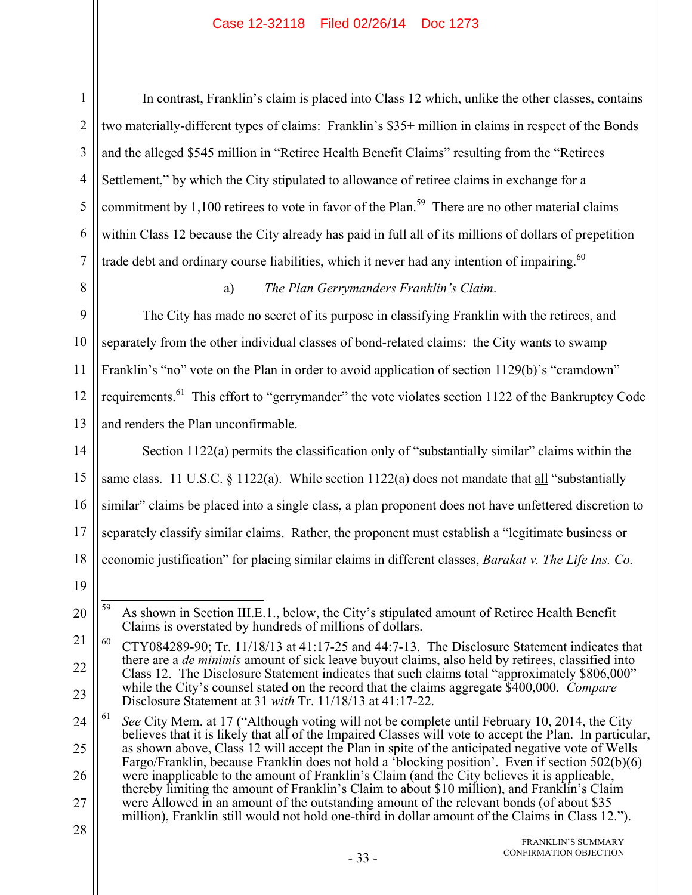2 3 4 5 6 7 In contrast, Franklin's claim is placed into Class 12 which, unlike the other classes, contains two materially-different types of claims: Franklin's \$35+ million in claims in respect of the Bonds and the alleged \$545 million in "Retiree Health Benefit Claims" resulting from the "Retirees Settlement," by which the City stipulated to allowance of retiree claims in exchange for a commitment by  $1,100$  retirees to vote in favor of the Plan.<sup>59</sup> There are no other material claims within Class 12 because the City already has paid in full all of its millions of dollars of prepetition trade debt and ordinary course liabilities, which it never had any intention of impairing.<sup>60</sup>

# 8

1

## a) *The Plan Gerrymanders Franklin's Claim*.

9 10 11 12 13 The City has made no secret of its purpose in classifying Franklin with the retirees, and separately from the other individual classes of bond-related claims: the City wants to swamp Franklin's "no" vote on the Plan in order to avoid application of section 1129(b)'s "cramdown" requirements.<sup>61</sup> This effort to "gerrymander" the vote violates section 1122 of the Bankruptcy Code and renders the Plan unconfirmable.

14 15 16 17 18 Section 1122(a) permits the classification only of "substantially similar" claims within the same class. 11 U.S.C. § 1122(a). While section 1122(a) does not mandate that all "substantially similar" claims be placed into a single class, a plan proponent does not have unfettered discretion to separately classify similar claims. Rather, the proponent must establish a "legitimate business or economic justification" for placing similar claims in different classes, *Barakat v. The Life Ins. Co.* 

19

24 25 26 27 61 *See* City Mem. at 17 ("Although voting will not be complete until February 10, 2014, the City believes that it is likely that all of the Impaired Classes will vote to accept the Plan. In particular, as shown above, Class 12 will accept the Plan in spite of the anticipated negative vote of Wells Fargo/Franklin, because Franklin does not hold a 'blocking position'. Even if section 502(b)(6) were inapplicable to the amount of Franklin's Claim (and the City believes it is applicable, thereby limiting the amount of Franklin's Claim to about \$10 million), and Franklin's Claim were Allowed in an amount of the outstanding amount of the relevant bonds (of about \$35 million), Franklin still would not hold one-third in dollar amount of the Claims in Class 12.").

<sup>20</sup> 59 59 As shown in Section III.E.1., below, the City's stipulated amount of Retiree Health Benefit Claims is overstated by hundreds of millions of dollars.

<sup>21</sup> 22 23  $60$  CTY084289-90; Tr. 11/18/13 at 41:17-25 and 44:7-13. The Disclosure Statement indicates that there are a *de minimis* amount of sick leave buyout claims, also held by retirees, classified into Class 12. The Disclosure Statement indicates that such claims total "approximately \$806,000" while the City's counsel stated on the record that the claims aggregate \$400,000. *Compare* Disclosure Statement at 31 *with* Tr. 11/18/13 at 41:17-22.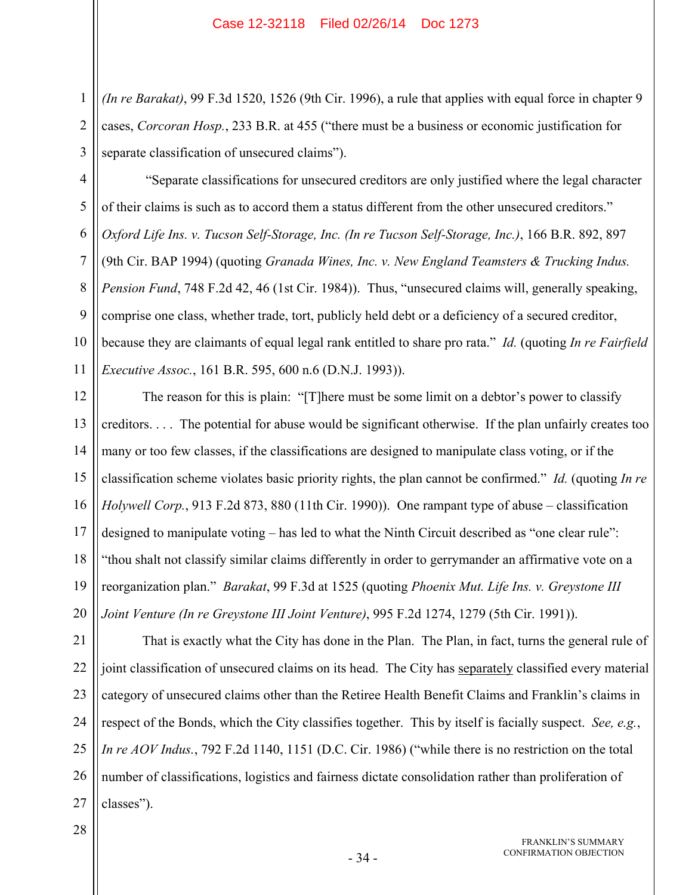2 3 *(In re Barakat)*, 99 F.3d 1520, 1526 (9th Cir. 1996), a rule that applies with equal force in chapter 9 cases, *Corcoran Hosp.*, 233 B.R. at 455 ("there must be a business or economic justification for separate classification of unsecured claims").

4 5 6 7 8 9 10 11 "Separate classifications for unsecured creditors are only justified where the legal character of their claims is such as to accord them a status different from the other unsecured creditors." *Oxford Life Ins. v. Tucson Self-Storage, Inc. (In re Tucson Self-Storage, Inc.)*, 166 B.R. 892, 897 (9th Cir. BAP 1994) (quoting *Granada Wines, Inc. v. New England Teamsters & Trucking Indus. Pension Fund*, 748 F.2d 42, 46 (1st Cir. 1984)). Thus, "unsecured claims will, generally speaking, comprise one class, whether trade, tort, publicly held debt or a deficiency of a secured creditor, because they are claimants of equal legal rank entitled to share pro rata." *Id.* (quoting *In re Fairfield Executive Assoc.*, 161 B.R. 595, 600 n.6 (D.N.J. 1993)).

12 13 14 15 16 17 18 19 20 The reason for this is plain: "[T]here must be some limit on a debtor's power to classify creditors. . . . The potential for abuse would be significant otherwise. If the plan unfairly creates too many or too few classes, if the classifications are designed to manipulate class voting, or if the classification scheme violates basic priority rights, the plan cannot be confirmed." *Id.* (quoting *In re Holywell Corp.*, 913 F.2d 873, 880 (11th Cir. 1990)). One rampant type of abuse – classification designed to manipulate voting – has led to what the Ninth Circuit described as "one clear rule": "thou shalt not classify similar claims differently in order to gerrymander an affirmative vote on a reorganization plan." *Barakat*, 99 F.3d at 1525 (quoting *Phoenix Mut. Life Ins. v. Greystone III Joint Venture (In re Greystone III Joint Venture)*, 995 F.2d 1274, 1279 (5th Cir. 1991)).

21 22 23 24 25 26 27 That is exactly what the City has done in the Plan. The Plan, in fact, turns the general rule of joint classification of unsecured claims on its head. The City has separately classified every material category of unsecured claims other than the Retiree Health Benefit Claims and Franklin's claims in respect of the Bonds, which the City classifies together. This by itself is facially suspect. *See, e.g.*, *In re AOV Indus.*, 792 F.2d 1140, 1151 (D.C. Cir. 1986) ("while there is no restriction on the total number of classifications, logistics and fairness dictate consolidation rather than proliferation of classes").

28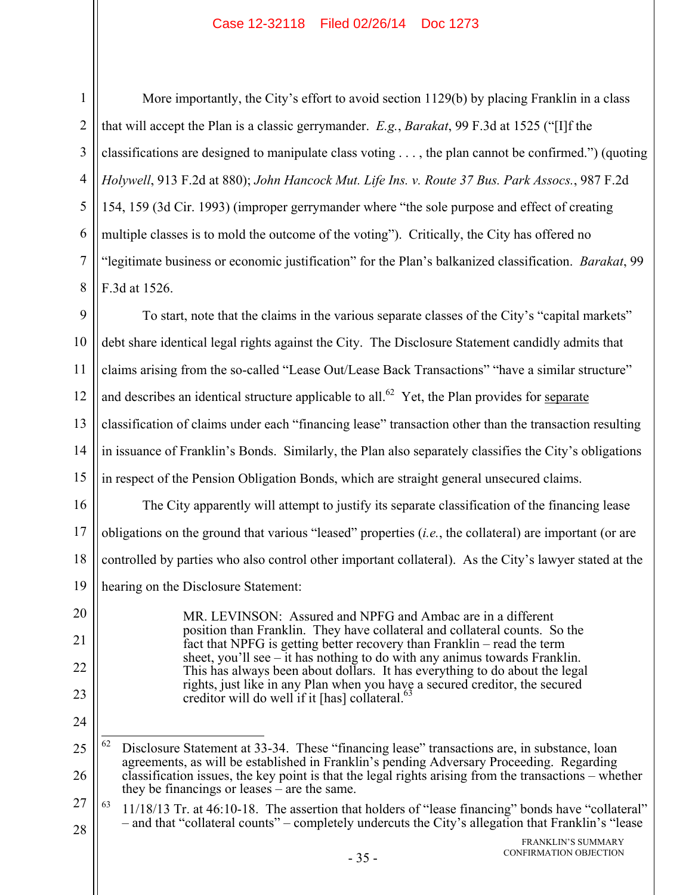More importantly, the City's effort to avoid section 1129(b) by placing Franklin in a class that will accept the Plan is a classic gerrymander. *E.g.*, *Barakat*, 99 F.3d at 1525 ("[I]f the classifications are designed to manipulate class voting . . . , the plan cannot be confirmed.") (quoting *Holywell*, 913 F.2d at 880); *John Hancock Mut. Life Ins. v. Route 37 Bus. Park Assocs.*, 987 F.2d 154, 159 (3d Cir. 1993) (improper gerrymander where "the sole purpose and effect of creating multiple classes is to mold the outcome of the voting"). Critically, the City has offered no "legitimate business or economic justification" for the Plan's balkanized classification. *Barakat*, 99 F.3d at 1526.

9 10 11 12 13 14 15 To start, note that the claims in the various separate classes of the City's "capital markets" debt share identical legal rights against the City. The Disclosure Statement candidly admits that claims arising from the so-called "Lease Out/Lease Back Transactions" "have a similar structure" and describes an identical structure applicable to all.<sup>62</sup> Yet, the Plan provides for separate classification of claims under each "financing lease" transaction other than the transaction resulting in issuance of Franklin's Bonds. Similarly, the Plan also separately classifies the City's obligations in respect of the Pension Obligation Bonds, which are straight general unsecured claims.

16 17 18 19 The City apparently will attempt to justify its separate classification of the financing lease obligations on the ground that various "leased" properties (*i.e.*, the collateral) are important (or are controlled by parties who also control other important collateral). As the City's lawyer stated at the hearing on the Disclosure Statement:

> MR. LEVINSON: Assured and NPFG and Ambac are in a different position than Franklin. They have collateral and collateral counts. So the fact that NPFG is getting better recovery than Franklin – read the term sheet, you'll see – it has nothing to do with any animus towards Franklin. This has always been about dollars. It has everything to do about the legal rights, just like in any Plan when you have a secured creditor, the secured creditor will do well if it  $[has]$  collateral.<sup>63</sup>

24 62

20

21

22

<sup>25</sup> 26 62 Disclosure Statement at 33-34. These "financing lease" transactions are, in substance, loan agreements, as will be established in Franklin's pending Adversary Proceeding. Regarding classification issues, the key point is that the legal rights arising from the transactions – whether they be financings or leases – are the same.

<sup>27</sup> 28  $63$  11/18/13 Tr. at 46:10-18. The assertion that holders of "lease financing" bonds have "collateral" – and that "collateral counts" – completely undercuts the City's allegation that Franklin's "lease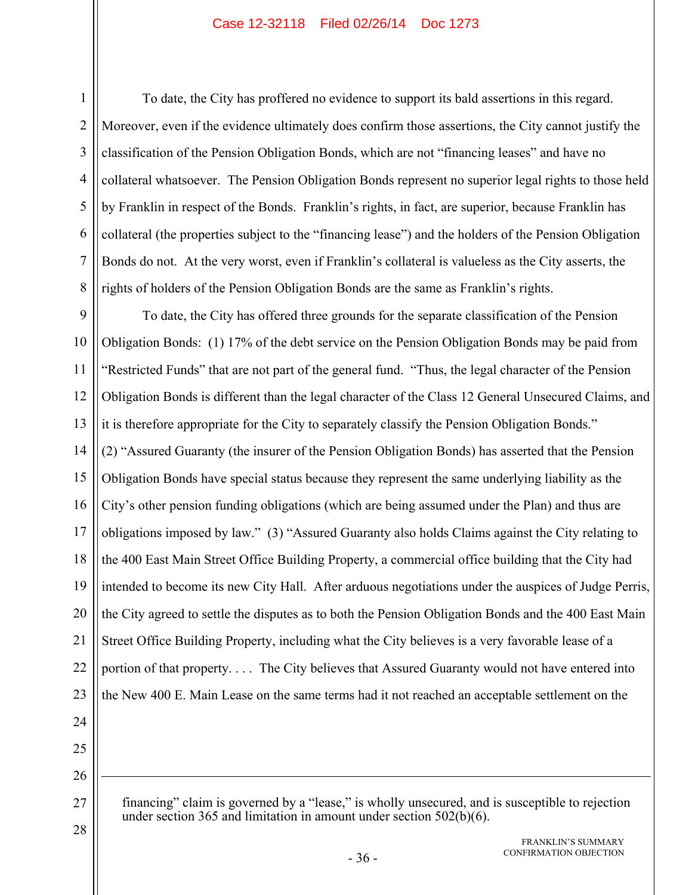1

To date, the City has proffered no evidence to support its bald assertions in this regard. Moreover, even if the evidence ultimately does confirm those assertions, the City cannot justify the classification of the Pension Obligation Bonds, which are not "financing leases" and have no collateral whatsoever. The Pension Obligation Bonds represent no superior legal rights to those held by Franklin in respect of the Bonds. Franklin's rights, in fact, are superior, because Franklin has collateral (the properties subject to the "financing lease") and the holders of the Pension Obligation Bonds do not. At the very worst, even if Franklin's collateral is valueless as the City asserts, the rights of holders of the Pension Obligation Bonds are the same as Franklin's rights.

9 To date, the City has offered three grounds for the separate classification of the Pension Obligation Bonds: (1) 17% of the debt service on the Pension Obligation Bonds may be paid from "Restricted Funds" that are not part of the general fund. "Thus, the legal character of the Pension Obligation Bonds is different than the legal character of the Class 12 General Unsecured Claims, and it is therefore appropriate for the City to separately classify the Pension Obligation Bonds." (2) "Assured Guaranty (the insurer of the Pension Obligation Bonds) has asserted that the Pension Obligation Bonds have special status because they represent the same underlying liability as the City's other pension funding obligations (which are being assumed under the Plan) and thus are obligations imposed by law." (3) "Assured Guaranty also holds Claims against the City relating to the 400 East Main Street Office Building Property, a commercial office building that the City had intended to become its new City Hall. After arduous negotiations under the auspices of Judge Perris, the City agreed to settle the disputes as to both the Pension Obligation Bonds and the 400 East Main Street Office Building Property, including what the City believes is a very favorable lease of a portion of that property. . . . The City believes that Assured Guaranty would not have entered into the New 400 E. Main Lease on the same terms had it not reached an acceptable settlement on the

1

28

financing" claim is governed by a "lease," is wholly unsecured, and is susceptible to rejection under section 365 and limitation in amount under section 502(b)(6).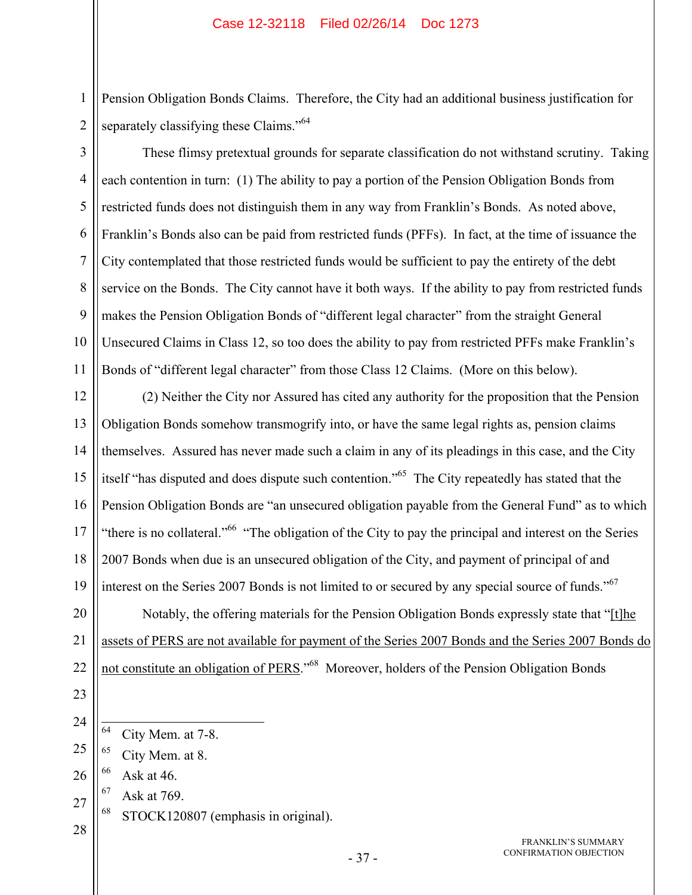Pension Obligation Bonds Claims. Therefore, the City had an additional business justification for separately classifying these Claims."<sup>64</sup>

3 4 5 6 7 8 9 10 11 These flimsy pretextual grounds for separate classification do not withstand scrutiny. Taking each contention in turn: (1) The ability to pay a portion of the Pension Obligation Bonds from restricted funds does not distinguish them in any way from Franklin's Bonds. As noted above, Franklin's Bonds also can be paid from restricted funds (PFFs). In fact, at the time of issuance the City contemplated that those restricted funds would be sufficient to pay the entirety of the debt service on the Bonds. The City cannot have it both ways. If the ability to pay from restricted funds makes the Pension Obligation Bonds of "different legal character" from the straight General Unsecured Claims in Class 12, so too does the ability to pay from restricted PFFs make Franklin's Bonds of "different legal character" from those Class 12 Claims. (More on this below).

12 13 14 15 16 17 18 19 (2) Neither the City nor Assured has cited any authority for the proposition that the Pension Obligation Bonds somehow transmogrify into, or have the same legal rights as, pension claims themselves. Assured has never made such a claim in any of its pleadings in this case, and the City itself "has disputed and does dispute such contention."65 The City repeatedly has stated that the Pension Obligation Bonds are "an unsecured obligation payable from the General Fund" as to which "there is no collateral."<sup>66</sup> "The obligation of the City to pay the principal and interest on the Series" 2007 Bonds when due is an unsecured obligation of the City, and payment of principal of and interest on the Series 2007 Bonds is not limited to or secured by any special source of funds."<sup>67</sup>

20 21 22 Notably, the offering materials for the Pension Obligation Bonds expressly state that "[t]he assets of PERS are not available for payment of the Series 2007 Bonds and the Series 2007 Bonds do not constitute an obligation of PERS."<sup>68</sup> Moreover, holders of the Pension Obligation Bonds

23

1

2

- 24
- 64 City Mem. at 7-8.
- 25 65 City Mem. at 8.
- 26  $66$  Ask at 46.
- 27 67 Ask at 769.
	- 68 STOCK120807 (emphasis in original).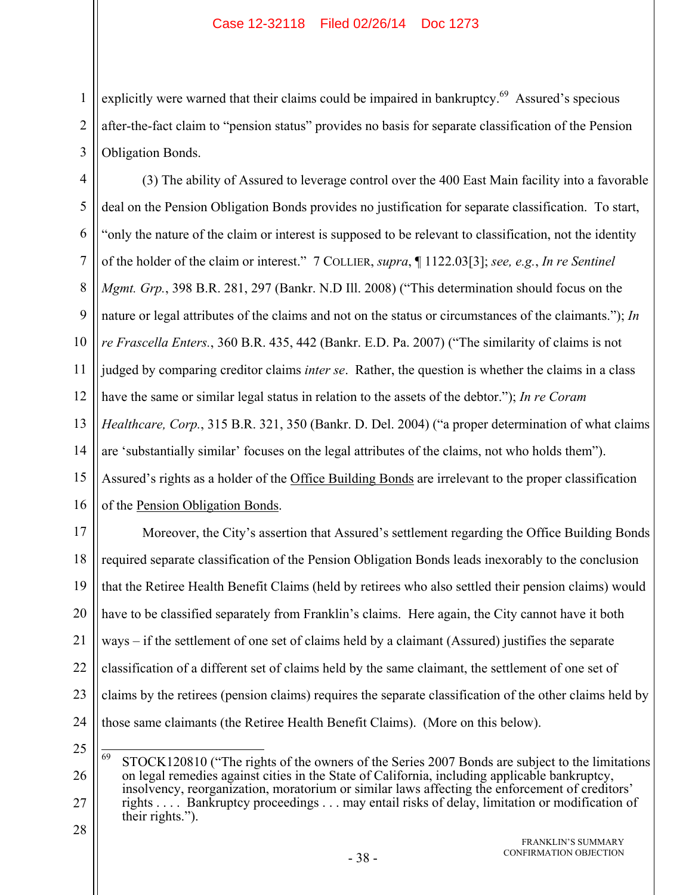1 2 3 explicitly were warned that their claims could be impaired in bankruptcy.<sup>69</sup> Assured's specious after-the-fact claim to "pension status" provides no basis for separate classification of the Pension Obligation Bonds.

4 5 6 7 8 9 10 11 12 13 14 15 16 (3) The ability of Assured to leverage control over the 400 East Main facility into a favorable deal on the Pension Obligation Bonds provides no justification for separate classification. To start, "only the nature of the claim or interest is supposed to be relevant to classification, not the identity of the holder of the claim or interest." 7 COLLIER, *supra*, ¶ 1122.03[3]; *see, e.g.*, *In re Sentinel Mgmt. Grp.*, 398 B.R. 281, 297 (Bankr. N.D Ill. 2008) ("This determination should focus on the nature or legal attributes of the claims and not on the status or circumstances of the claimants."); *In re Frascella Enters.*, 360 B.R. 435, 442 (Bankr. E.D. Pa. 2007) ("The similarity of claims is not judged by comparing creditor claims *inter se*. Rather, the question is whether the claims in a class have the same or similar legal status in relation to the assets of the debtor."); *In re Coram Healthcare, Corp.*, 315 B.R. 321, 350 (Bankr. D. Del. 2004) ("a proper determination of what claims are 'substantially similar' focuses on the legal attributes of the claims, not who holds them"). Assured's rights as a holder of the Office Building Bonds are irrelevant to the proper classification of the Pension Obligation Bonds.

17 18 19 20 21 22 23 24 Moreover, the City's assertion that Assured's settlement regarding the Office Building Bonds required separate classification of the Pension Obligation Bonds leads inexorably to the conclusion that the Retiree Health Benefit Claims (held by retirees who also settled their pension claims) would have to be classified separately from Franklin's claims. Here again, the City cannot have it both ways – if the settlement of one set of claims held by a claimant (Assured) justifies the separate classification of a different set of claims held by the same claimant, the settlement of one set of claims by the retirees (pension claims) requires the separate classification of the other claims held by those same claimants (the Retiree Health Benefit Claims). (More on this below).

<sup>25</sup> 26 27 28 69 STOCK120810 ("The rights of the owners of the Series 2007 Bonds are subject to the limitations on legal remedies against cities in the State of California, including applicable bankruptcy, insolvency, reorganization, moratorium or similar laws affecting the enforcement of creditors' rights . . . . Bankruptcy proceedings . . . may entail risks of delay, limitation or modification of their rights.").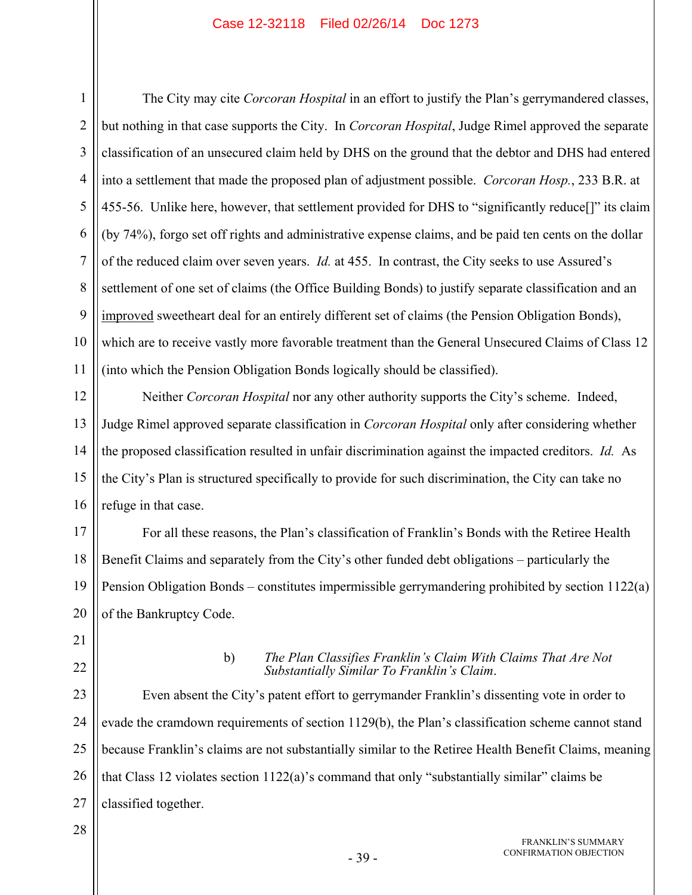1 2 3 4 5 6 7 8 9 10 11 The City may cite *Corcoran Hospital* in an effort to justify the Plan's gerrymandered classes, but nothing in that case supports the City. In *Corcoran Hospital*, Judge Rimel approved the separate classification of an unsecured claim held by DHS on the ground that the debtor and DHS had entered into a settlement that made the proposed plan of adjustment possible. *Corcoran Hosp.*, 233 B.R. at 455-56. Unlike here, however, that settlement provided for DHS to "significantly reduce[]" its claim (by 74%), forgo set off rights and administrative expense claims, and be paid ten cents on the dollar of the reduced claim over seven years. *Id.* at 455. In contrast, the City seeks to use Assured's settlement of one set of claims (the Office Building Bonds) to justify separate classification and an improved sweetheart deal for an entirely different set of claims (the Pension Obligation Bonds), which are to receive vastly more favorable treatment than the General Unsecured Claims of Class 12 (into which the Pension Obligation Bonds logically should be classified).

12 13 14 15 16 Neither *Corcoran Hospital* nor any other authority supports the City's scheme. Indeed, Judge Rimel approved separate classification in *Corcoran Hospital* only after considering whether the proposed classification resulted in unfair discrimination against the impacted creditors. *Id.* As the City's Plan is structured specifically to provide for such discrimination, the City can take no refuge in that case.

17 18 19 20 For all these reasons, the Plan's classification of Franklin's Bonds with the Retiree Health Benefit Claims and separately from the City's other funded debt obligations – particularly the Pension Obligation Bonds – constitutes impermissible gerrymandering prohibited by section 1122(a) of the Bankruptcy Code.

- 21
- 22

## b) *The Plan Classifies Franklin's Claim With Claims That Are Not Substantially Similar To Franklin's Claim*.

23 24 25 26 27 Even absent the City's patent effort to gerrymander Franklin's dissenting vote in order to evade the cramdown requirements of section 1129(b), the Plan's classification scheme cannot stand because Franklin's claims are not substantially similar to the Retiree Health Benefit Claims, meaning that Class 12 violates section 1122(a)'s command that only "substantially similar" claims be classified together.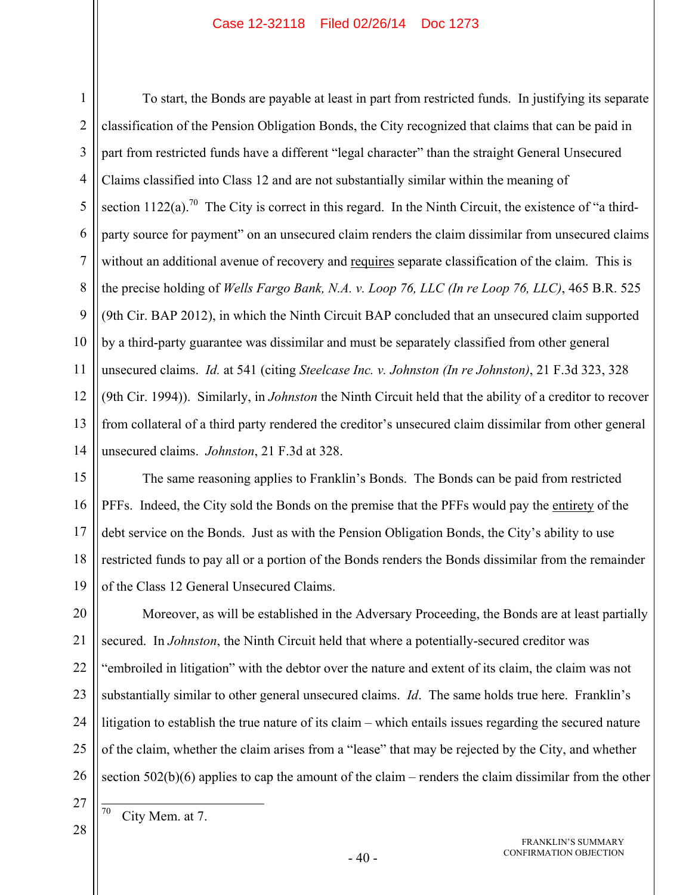1 2 3 4 5 6 7 8 9 10 11 12 13 14 To start, the Bonds are payable at least in part from restricted funds. In justifying its separate classification of the Pension Obligation Bonds, the City recognized that claims that can be paid in part from restricted funds have a different "legal character" than the straight General Unsecured Claims classified into Class 12 and are not substantially similar within the meaning of section  $1122(a)$ .<sup>70</sup> The City is correct in this regard. In the Ninth Circuit, the existence of "a thirdparty source for payment" on an unsecured claim renders the claim dissimilar from unsecured claims without an additional avenue of recovery and requires separate classification of the claim. This is the precise holding of *Wells Fargo Bank, N.A. v. Loop 76, LLC (In re Loop 76, LLC)*, 465 B.R. 525 (9th Cir. BAP 2012), in which the Ninth Circuit BAP concluded that an unsecured claim supported by a third-party guarantee was dissimilar and must be separately classified from other general unsecured claims. *Id.* at 541 (citing *Steelcase Inc. v. Johnston (In re Johnston)*, 21 F.3d 323, 328 (9th Cir. 1994)). Similarly, in *Johnston* the Ninth Circuit held that the ability of a creditor to recover from collateral of a third party rendered the creditor's unsecured claim dissimilar from other general unsecured claims. *Johnston*, 21 F.3d at 328.

15 16 17 18 19 The same reasoning applies to Franklin's Bonds. The Bonds can be paid from restricted PFFs. Indeed, the City sold the Bonds on the premise that the PFFs would pay the entirety of the debt service on the Bonds. Just as with the Pension Obligation Bonds, the City's ability to use restricted funds to pay all or a portion of the Bonds renders the Bonds dissimilar from the remainder of the Class 12 General Unsecured Claims.

20 21 22 23 24 25 26 Moreover, as will be established in the Adversary Proceeding, the Bonds are at least partially secured. In *Johnston*, the Ninth Circuit held that where a potentially-secured creditor was "embroiled in litigation" with the debtor over the nature and extent of its claim, the claim was not substantially similar to other general unsecured claims. *Id*. The same holds true here. Franklin's litigation to establish the true nature of its claim – which entails issues regarding the secured nature of the claim, whether the claim arises from a "lease" that may be rejected by the City, and whether section 502(b)(6) applies to cap the amount of the claim – renders the claim dissimilar from the other

27 28

City Mem. at 7.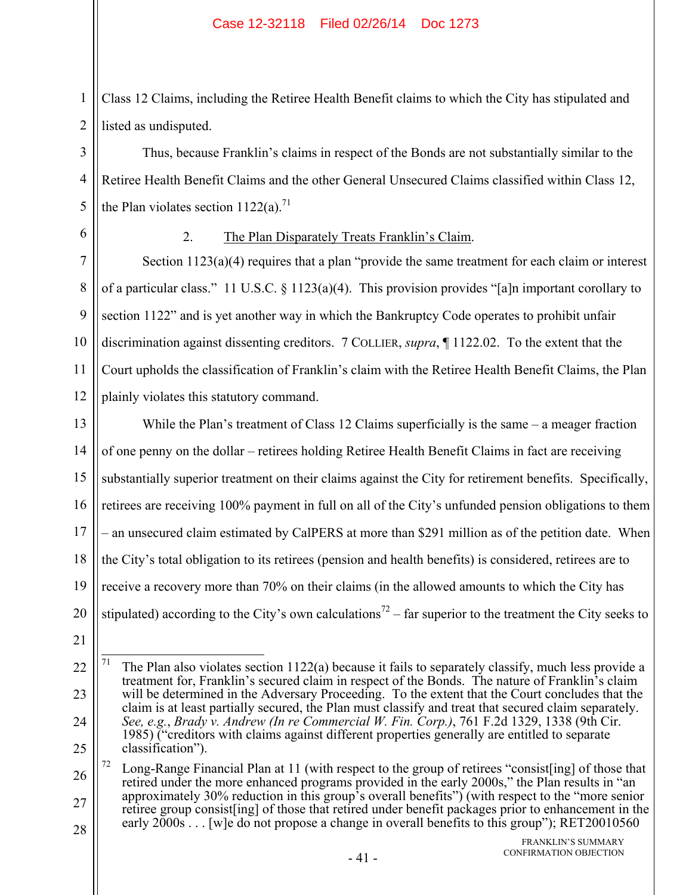Class 12 Claims, including the Retiree Health Benefit claims to which the City has stipulated and listed as undisputed.

Thus, because Franklin's claims in respect of the Bonds are not substantially similar to the Retiree Health Benefit Claims and the other General Unsecured Claims classified within Class 12, the Plan violates section  $1122(a)$ .<sup>71</sup>

6

1

2

3

4

5

## 2. The Plan Disparately Treats Franklin's Claim.

7 8 9 10 11 12 Section 1123(a)(4) requires that a plan "provide the same treatment for each claim or interest of a particular class." 11 U.S.C. § 1123(a)(4). This provision provides "[a]n important corollary to section 1122" and is yet another way in which the Bankruptcy Code operates to prohibit unfair discrimination against dissenting creditors. 7 COLLIER, *supra*, ¶ 1122.02. To the extent that the Court upholds the classification of Franklin's claim with the Retiree Health Benefit Claims, the Plan plainly violates this statutory command.

13 14 15 16 17 18 19 20 While the Plan's treatment of Class 12 Claims superficially is the same – a meager fraction of one penny on the dollar – retirees holding Retiree Health Benefit Claims in fact are receiving substantially superior treatment on their claims against the City for retirement benefits. Specifically, retirees are receiving 100% payment in full on all of the City's unfunded pension obligations to them – an unsecured claim estimated by CalPERS at more than \$291 million as of the petition date. When the City's total obligation to its retirees (pension and health benefits) is considered, retirees are to receive a recovery more than 70% on their claims (in the allowed amounts to which the City has stipulated) according to the City's own calculations<sup>72</sup> – far superior to the treatment the City seeks to

<sup>22</sup> 23 24 25  $71\,$ The Plan also violates section 1122(a) because it fails to separately classify, much less provide a treatment for, Franklin's secured claim in respect of the Bonds. The nature of Franklin's claim will be determined in the Adversary Proceeding. To the extent that the Court concludes that the claim is at least partially secured, the Plan must classify and treat that secured claim separately. *See, e.g.*, *Brady v. Andrew (In re Commercial W. Fin. Corp.)*, 761 F.2d 1329, 1338 (9th Cir. 1985) ("creditors with claims against different properties generally are entitled to separate classification").

<sup>26</sup> 27 28 <sup>72</sup> Long-Range Financial Plan at 11 (with respect to the group of retirees "consist[ing] of those that retired under the more enhanced programs provided in the early 2000s," the Plan results in "an approximately 30% reduction in this group's overall benefits") (with respect to the "more senior retiree group consist[ing] of those that retired under benefit packages prior to enhancement in the early 2000s . . . [w]e do not propose a change in overall benefits to this group"); RET20010560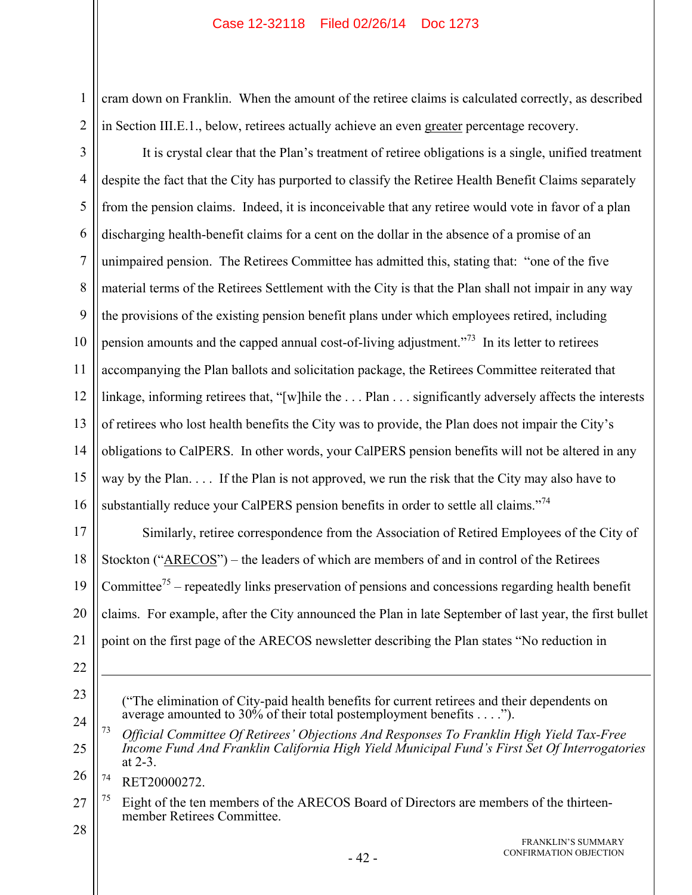cram down on Franklin. When the amount of the retiree claims is calculated correctly, as described in Section III.E.1., below, retirees actually achieve an even greater percentage recovery.

3 4 5 6 7 8 9 10 11 12 13 14 15 16 It is crystal clear that the Plan's treatment of retiree obligations is a single, unified treatment despite the fact that the City has purported to classify the Retiree Health Benefit Claims separately from the pension claims. Indeed, it is inconceivable that any retiree would vote in favor of a plan discharging health-benefit claims for a cent on the dollar in the absence of a promise of an unimpaired pension. The Retirees Committee has admitted this, stating that: "one of the five material terms of the Retirees Settlement with the City is that the Plan shall not impair in any way the provisions of the existing pension benefit plans under which employees retired, including pension amounts and the capped annual cost-of-living adjustment.<sup> $73$ </sup> In its letter to retirees accompanying the Plan ballots and solicitation package, the Retirees Committee reiterated that linkage, informing retirees that, "[w]hile the . . . Plan . . . significantly adversely affects the interests of retirees who lost health benefits the City was to provide, the Plan does not impair the City's obligations to CalPERS. In other words, your CalPERS pension benefits will not be altered in any way by the Plan. . . . If the Plan is not approved, we run the risk that the City may also have to substantially reduce your CalPERS pension benefits in order to settle all claims."<sup>74</sup>

17 18 19 20 21 Similarly, retiree correspondence from the Association of Retired Employees of the City of Stockton ("ARECOS") – the leaders of which are members of and in control of the Retirees Committee<sup>75</sup> – repeatedly links preservation of pensions and concessions regarding health benefit claims. For example, after the City announced the Plan in late September of last year, the first bullet point on the first page of the ARECOS newsletter describing the Plan states "No reduction in

22

 $\overline{a}$ 

1

2

23

("The elimination of City-paid health benefits for current retirees and their dependents on average amounted to 30% of their total postemployment benefits . . . .").

24 25 26 73 *Official Committee Of Retirees' Objections And Responses To Franklin High Yield Tax-Free Income Fund And Franklin California High Yield Municipal Fund's First Set Of Interrogatories* at 2-3.

74 RET20000272.

27  $75$  Eight of the ten members of the ARECOS Board of Directors are members of the thirteenmember Retirees Committee.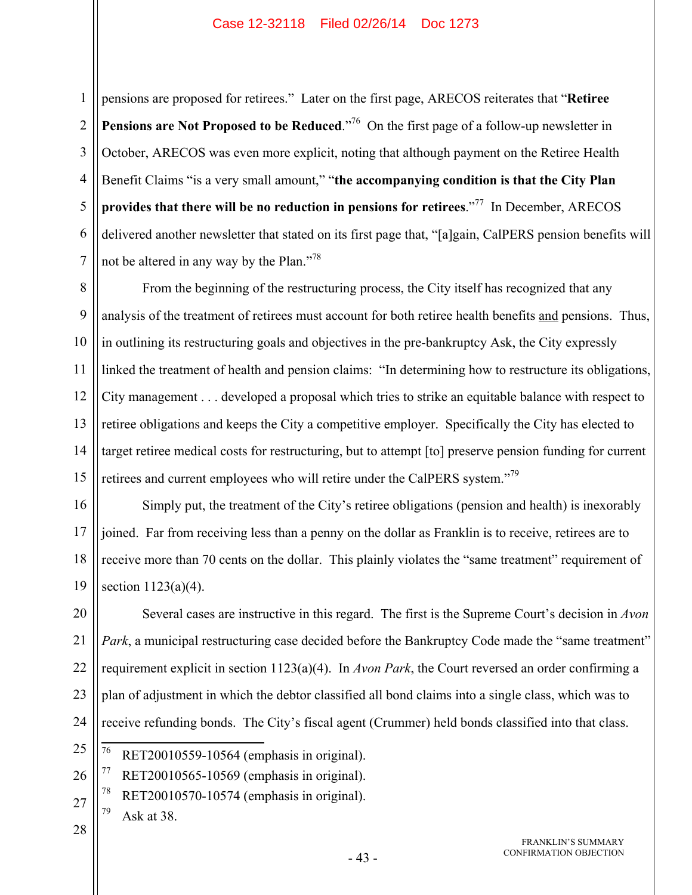1 2 3 4 5 6 7 pensions are proposed for retirees." Later on the first page, ARECOS reiterates that "**Retiree Pensions are Not Proposed to be Reduced.**"<sup>76</sup> On the first page of a follow-up newsletter in October, ARECOS was even more explicit, noting that although payment on the Retiree Health Benefit Claims "is a very small amount," "**the accompanying condition is that the City Plan provides that there will be no reduction in pensions for retirees**."77 In December, ARECOS delivered another newsletter that stated on its first page that, "[a]gain, CalPERS pension benefits will not be altered in any way by the Plan."<sup>78</sup>

8 9 10 11 12 13 14 15 From the beginning of the restructuring process, the City itself has recognized that any analysis of the treatment of retirees must account for both retiree health benefits and pensions. Thus, in outlining its restructuring goals and objectives in the pre-bankruptcy Ask, the City expressly linked the treatment of health and pension claims: "In determining how to restructure its obligations, City management . . . developed a proposal which tries to strike an equitable balance with respect to retiree obligations and keeps the City a competitive employer. Specifically the City has elected to target retiree medical costs for restructuring, but to attempt [to] preserve pension funding for current retirees and current employees who will retire under the CalPERS system."<sup>79</sup>

16 17 18 19 Simply put, the treatment of the City's retiree obligations (pension and health) is inexorably joined. Far from receiving less than a penny on the dollar as Franklin is to receive, retirees are to receive more than 70 cents on the dollar. This plainly violates the "same treatment" requirement of section  $1123(a)(4)$ .

20 21 22 23 24 Several cases are instructive in this regard. The first is the Supreme Court's decision in *Avon Park*, a municipal restructuring case decided before the Bankruptcy Code made the "same treatment" requirement explicit in section 1123(a)(4). In *Avon Park*, the Court reversed an order confirming a plan of adjustment in which the debtor classified all bond claims into a single class, which was to receive refunding bonds. The City's fiscal agent (Crummer) held bonds classified into that class.

- 25 76 RET20010559-10564 (emphasis in original).
- 26  $77$  RET20010565-10569 (emphasis in original).
- 27  $78$  RET20010570-10574 (emphasis in original).
	- $79$  Ask at 38.
- 28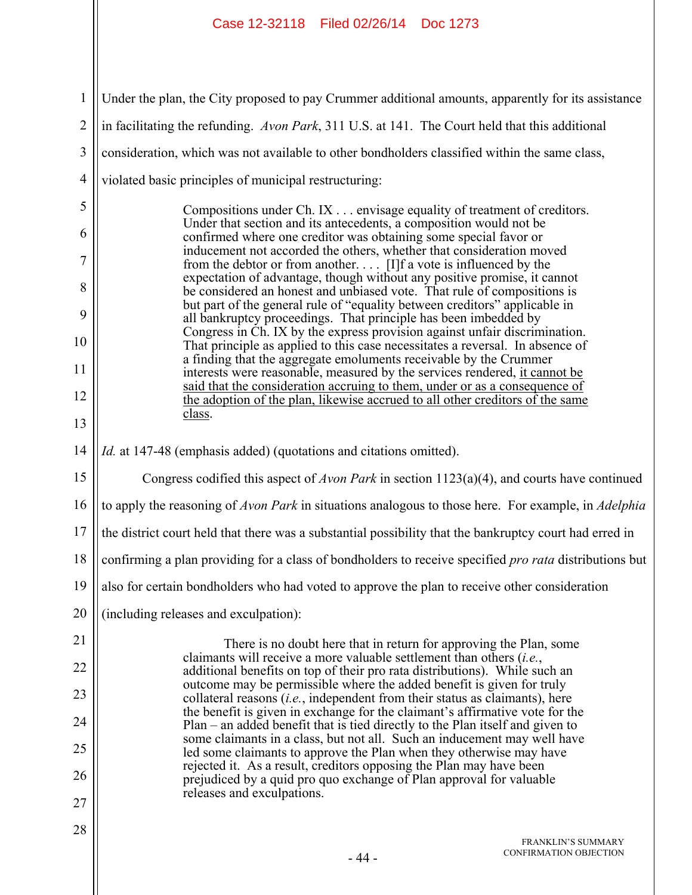| Under the plan, the City proposed to pay Crummer additional amounts, apparently for its assistance                                                                                                                   |  |  |
|----------------------------------------------------------------------------------------------------------------------------------------------------------------------------------------------------------------------|--|--|
| in facilitating the refunding. Avon Park, 311 U.S. at 141. The Court held that this additional                                                                                                                       |  |  |
| consideration, which was not available to other bondholders classified within the same class,                                                                                                                        |  |  |
| violated basic principles of municipal restructuring:                                                                                                                                                                |  |  |
| Compositions under Ch. IX envisage equality of treatment of creditors.                                                                                                                                               |  |  |
| Under that section and its antecedents, a composition would not be<br>confirmed where one creditor was obtaining some special favor or                                                                               |  |  |
| inducement not accorded the others, whether that consideration moved<br>from the debtor or from another [I]f a vote is influenced by the<br>expectation of advantage, though without any positive promise, it cannot |  |  |
| be considered an honest and unbiased vote. That rule of compositions is<br>but part of the general rule of "equality between creditors" applicable in                                                                |  |  |
| all bankruptcy proceedings. That principle has been imbedded by<br>Congress in Ch. IX by the express provision against unfair discrimination.                                                                        |  |  |
| That principle as applied to this case necessitates a reversal. In absence of<br>a finding that the aggregate emoluments receivable by the Crummer                                                                   |  |  |
| interests were reasonable, measured by the services rendered, it cannot be<br>said that the consideration accruing to them, under or as a consequence of                                                             |  |  |
| the adoption of the plan, likewise accrued to all other creditors of the same<br>class.                                                                                                                              |  |  |
|                                                                                                                                                                                                                      |  |  |
| <i>Id.</i> at 147-48 (emphasis added) (quotations and citations omitted).                                                                                                                                            |  |  |
| Congress codified this aspect of <i>Avon Park</i> in section $1123(a)(4)$ , and courts have continued                                                                                                                |  |  |
| to apply the reasoning of Avon Park in situations analogous to those here. For example, in Adelphia                                                                                                                  |  |  |
| the district court held that there was a substantial possibility that the bankruptcy court had erred in                                                                                                              |  |  |
| confirming a plan providing for a class of bondholders to receive specified pro rata distributions but                                                                                                               |  |  |
| also for certain bondholders who had voted to approve the plan to receive other consideration                                                                                                                        |  |  |
| (including releases and exculpation):                                                                                                                                                                                |  |  |
| There is no doubt here that in return for approving the Plan, some                                                                                                                                                   |  |  |
| claimants will receive a more valuable settlement than others $(i.e.,$<br>additional benefits on top of their pro rata distributions). While such an                                                                 |  |  |
| outcome may be permissible where the added benefit is given for truly<br>collateral reasons <i>(i.e., independent from their status as claimants)</i> , here                                                         |  |  |
| the benefit is given in exchange for the claimant's affirmative vote for the<br>Plan – an added benefit that is tied directly to the Plan itself and given to                                                        |  |  |
| some claimants in a class, but not all. Such an inducement may well have<br>led some claimants to approve the Plan when they otherwise may have                                                                      |  |  |
| rejected it. As a result, creditors opposing the Plan may have been<br>prejudiced by a quid pro quo exchange of Plan approval for valuable                                                                           |  |  |
| releases and exculpations.                                                                                                                                                                                           |  |  |
| <b>FRANKLIN'S SUMMARY</b><br>CONFIRMATION OBJECTION<br>$-44-$                                                                                                                                                        |  |  |
|                                                                                                                                                                                                                      |  |  |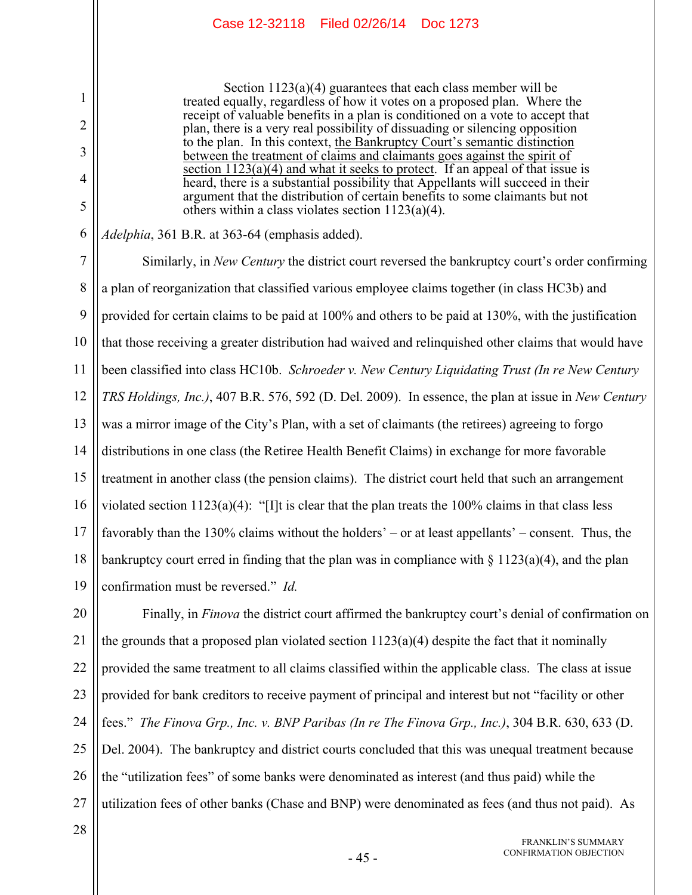Section 1123(a)(4) guarantees that each class member will be treated equally, regardless of how it votes on a proposed plan. Where the receipt of valuable benefits in a plan is conditioned on a vote to accept that plan, there is a very real possibility of dissuading or silencing opposition to the plan. In this context, the Bankruptcy Court's semantic distinction between the treatment of claims and claimants goes against the spirit of section 1123(a)(4) and what it seeks to protect. If an appeal of that issue is heard, there is a substantial possibility that Appellants will succeed in their argument that the distribution of certain benefits to some claimants but not others within a class violates section 1123(a)(4).

*Adelphia*, 361 B.R. at 363-64 (emphasis added).

7 8 9 10 11 12 13 14 15 16 17 18 19 Similarly, in *New Century* the district court reversed the bankruptcy court's order confirming a plan of reorganization that classified various employee claims together (in class HC3b) and provided for certain claims to be paid at 100% and others to be paid at 130%, with the justification that those receiving a greater distribution had waived and relinquished other claims that would have been classified into class HC10b. *Schroeder v. New Century Liquidating Trust (In re New Century TRS Holdings, Inc.)*, 407 B.R. 576, 592 (D. Del. 2009). In essence, the plan at issue in *New Century* was a mirror image of the City's Plan, with a set of claimants (the retirees) agreeing to forgo distributions in one class (the Retiree Health Benefit Claims) in exchange for more favorable treatment in another class (the pension claims). The district court held that such an arrangement violated section  $1123(a)(4)$ : "[I]t is clear that the plan treats the 100% claims in that class less favorably than the 130% claims without the holders' – or at least appellants' – consent. Thus, the bankruptcy court erred in finding that the plan was in compliance with  $\S 1123(a)(4)$ , and the plan confirmation must be reversed." *Id.*

20 21 22 23 24 25 26 27 Finally, in *Finova* the district court affirmed the bankruptcy court's denial of confirmation on the grounds that a proposed plan violated section  $1123(a)(4)$  despite the fact that it nominally provided the same treatment to all claims classified within the applicable class. The class at issue provided for bank creditors to receive payment of principal and interest but not "facility or other fees." *The Finova Grp., Inc. v. BNP Paribas (In re The Finova Grp., Inc.)*, 304 B.R. 630, 633 (D. Del. 2004). The bankruptcy and district courts concluded that this was unequal treatment because the "utilization fees" of some banks were denominated as interest (and thus paid) while the utilization fees of other banks (Chase and BNP) were denominated as fees (and thus not paid). As

28

1

2

3

4

5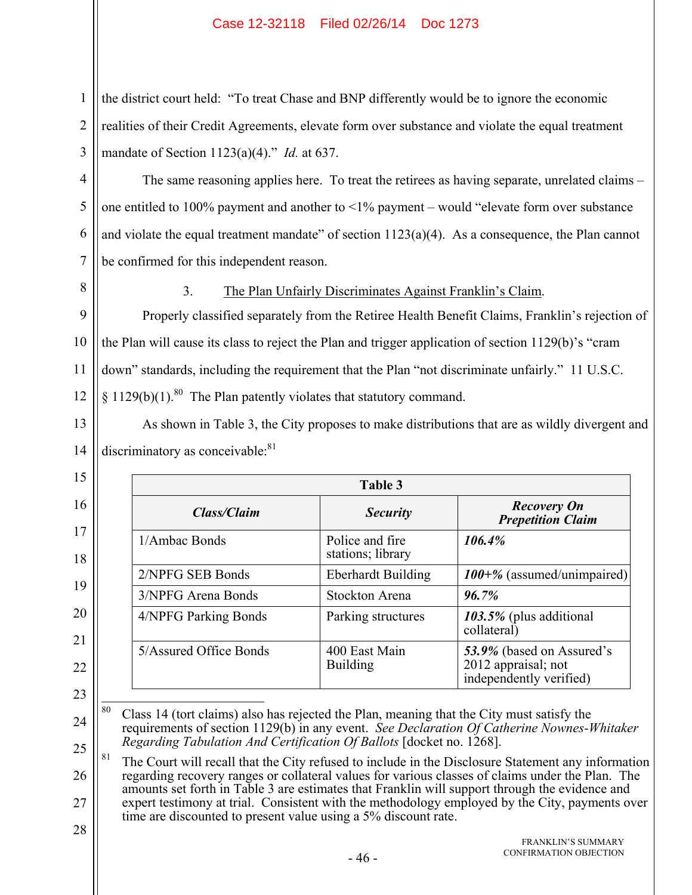the district court held: "To treat Chase and BNP differently would be to ignore the economic realities of their Credit Agreements, elevate form over substance and violate the equal treatment mandate of Section 1123(a)(4)." *Id.* at 637.

The same reasoning applies here. To treat the retirees as having separate, unrelated claims – one entitled to 100% payment and another to  $\leq$ 1% payment – would "elevate form over substance" and violate the equal treatment mandate" of section  $1123(a)(4)$ . As a consequence, the Plan cannot be confirmed for this independent reason.

8

11

13

14

15

16

17

18

19

20

21

22

23

1

2

3

4

5

6

7

3. The Plan Unfairly Discriminates Against Franklin's Claim.

9 10 12 Properly classified separately from the Retiree Health Benefit Claims, Franklin's rejection of the Plan will cause its class to reject the Plan and trigger application of section 1129(b)'s "cram down" standards, including the requirement that the Plan "not discriminate unfairly." 11 U.S.C.  $§ 1129(b)(1).$ <sup>80</sup> The Plan patently violates that statutory command.

As shown in Table 3, the City proposes to make distributions that are as wildly divergent and discriminatory as conceivable:<sup>81</sup>

| Table 3                |                                      |                                                                             |
|------------------------|--------------------------------------|-----------------------------------------------------------------------------|
| Class/Claim            | <b>Security</b>                      | <b>Recovery On</b><br><b>Prepetition Claim</b>                              |
| 1/Ambac Bonds          | Police and fire<br>stations; library | 106.4%                                                                      |
| 2/NPFG SEB Bonds       | <b>Eberhardt Building</b>            | $100 + \%$ (assumed/unimpaired)                                             |
| 3/NPFG Arena Bonds     | Stockton Arena                       | 96.7%                                                                       |
| 4/NPFG Parking Bonds   | Parking structures                   | $103.5\%$ (plus additional<br>collateral                                    |
| 5/Assured Office Bonds | 400 East Main<br><b>Building</b>     | 53.9% (based on Assured's<br>2012 appraisal; not<br>independently verified) |

<sup>24</sup> 80 Class 14 (tort claims) also has rejected the Plan, meaning that the City must satisfy the requirements of section 1129(b) in any event. *See Declaration Of Catherine Nownes-Whitaker Regarding Tabulation And Certification Of Ballots* [docket no. 1268].

25 26 27  $81$  The Court will recall that the City refused to include in the Disclosure Statement any information regarding recovery ranges or collateral values for various classes of claims under the Plan. The amounts set forth in Table 3 are estimates that Franklin will support through the evidence and expert testimony at trial. Consistent with the methodology employed by the City, payments over time are discounted to present value using a 5% discount rate.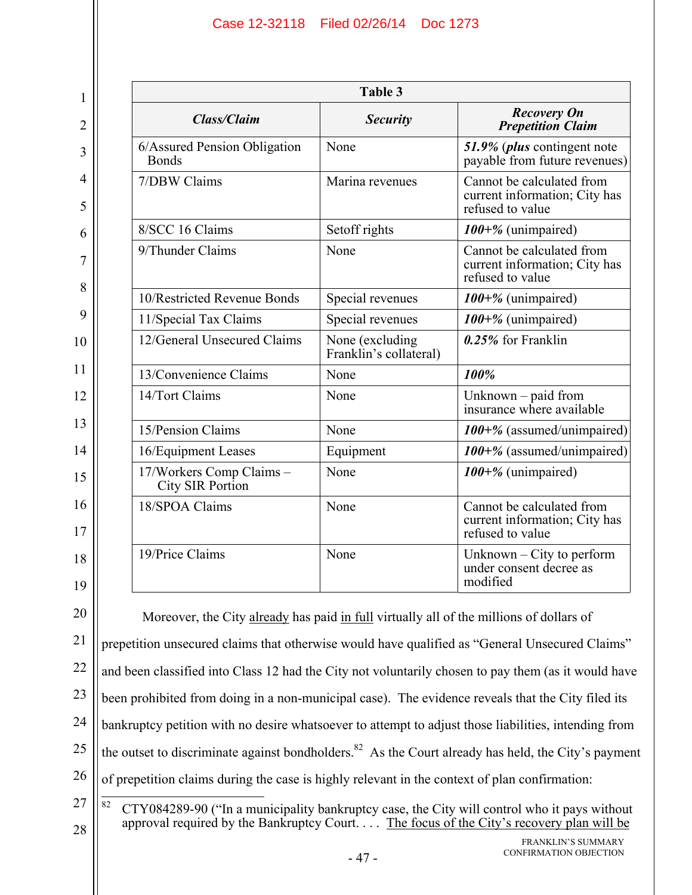20

21

22

23

24

25

26

27

| <b>Table 3</b>                               |                                           |                                                                                |  |  |
|----------------------------------------------|-------------------------------------------|--------------------------------------------------------------------------------|--|--|
| <b>Class/Claim</b>                           | <b>Security</b>                           | <b>Recovery On</b><br><b>Prepetition Claim</b>                                 |  |  |
| 6/Assured Pension Obligation<br><b>Bonds</b> | None                                      | 51.9% ( <i>plus</i> contingent note<br>payable from future revenues)           |  |  |
| 7/DBW Claims                                 | Marina revenues                           | Cannot be calculated from<br>current information; City has<br>refused to value |  |  |
| 8/SCC 16 Claims                              | Setoff rights                             | $100+%$ (unimpaired)                                                           |  |  |
| 9/Thunder Claims                             | None                                      | Cannot be calculated from<br>current information; City has<br>refused to value |  |  |
| 10/Restricted Revenue Bonds                  | Special revenues                          | $100+%$ (unimpaired)                                                           |  |  |
| 11/Special Tax Claims                        | Special revenues                          | 100+% (unimpaired)                                                             |  |  |
| 12/General Unsecured Claims                  | None (excluding<br>Franklin's collateral) | $0.25\%$ for Franklin                                                          |  |  |
| 13/Convenience Claims                        | None                                      | 100%                                                                           |  |  |
| 14/Tort Claims                               | None                                      | Unknown - paid from<br>insurance where available                               |  |  |
| 15/Pension Claims                            | None                                      | 100+% (assumed/unimpaired)                                                     |  |  |
| 16/Equipment Leases                          | Equipment                                 | 100+% (assumed/unimpaired)                                                     |  |  |
| 17/Workers Comp Claims -<br>City SIR Portion | None                                      | $100+%$ (unimpaired)                                                           |  |  |
| 18/SPOA Claims                               | None                                      | Cannot be calculated from<br>current information; City has<br>refused to value |  |  |
| 19/Price Claims                              | None                                      | Unknown $-$ City to perform<br>under consent decree as<br>modified             |  |  |

Moreover, the City already has paid in full virtually all of the millions of dollars of prepetition unsecured claims that otherwise would have qualified as "General Unsecured Claims" and been classified into Class 12 had the City not voluntarily chosen to pay them (as it would have been prohibited from doing in a non-municipal case). The evidence reveals that the City filed its bankruptcy petition with no desire whatsoever to attempt to adjust those liabilities, intending from the outset to discriminate against bondholders.<sup>82</sup> As the Court already has held, the City's payment of prepetition claims during the case is highly relevant in the context of plan confirmation:  $82$ 82 CTY084289-90 ("In a municipality bankruptcy case, the City will control who it pays without approval required by the Bankruptcy Court. . . . The focus of the City's recovery plan will be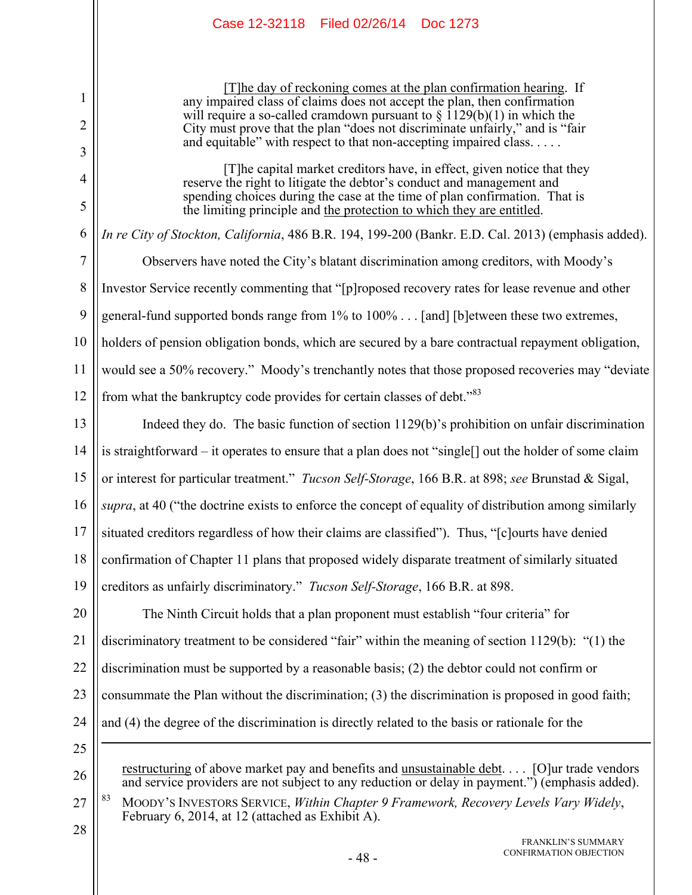[T]he day of reckoning comes at the plan confirmation hearing. If any impaired class of claims does not accept the plan, then confirmation will require a so-called cramdown pursuant to  $\S$  1129(b)(1) in which the City must prove that the plan "does not discriminate unfairly," and is "fair and equitable" with respect to that non-accepting impaired class. . . . . .

[T]he capital market creditors have, in effect, given notice that they reserve the right to litigate the debtor's conduct and management and spending choices during the case at the time of plan confirmation. That is the limiting principle and the protection to which they are entitled.

*In re City of Stockton, California*, 486 B.R. 194, 199-200 (Bankr. E.D. Cal. 2013) (emphasis added).

7 8 9 10 11 12 Observers have noted the City's blatant discrimination among creditors, with Moody's Investor Service recently commenting that "[p]roposed recovery rates for lease revenue and other general-fund supported bonds range from 1% to 100% . . . [and] [b]etween these two extremes, holders of pension obligation bonds, which are secured by a bare contractual repayment obligation, would see a 50% recovery." Moody's trenchantly notes that those proposed recoveries may "deviate from what the bankruptcy code provides for certain classes of debt."<sup>83</sup>

13 14 15 16 17 18 19 Indeed they do. The basic function of section 1129(b)'s prohibition on unfair discrimination is straightforward – it operates to ensure that a plan does not "single[] out the holder of some claim or interest for particular treatment." *Tucson Self-Storage*, 166 B.R. at 898; *see* Brunstad & Sigal, *supra*, at 40 ("the doctrine exists to enforce the concept of equality of distribution among similarly situated creditors regardless of how their claims are classified"). Thus, "[c]ourts have denied confirmation of Chapter 11 plans that proposed widely disparate treatment of similarly situated creditors as unfairly discriminatory." *Tucson Self-Storage*, 166 B.R. at 898.

20 21 22 23 24 The Ninth Circuit holds that a plan proponent must establish "four criteria" for discriminatory treatment to be considered "fair" within the meaning of section 1129(b): "(1) the discrimination must be supported by a reasonable basis; (2) the debtor could not confirm or consummate the Plan without the discrimination; (3) the discrimination is proposed in good faith; and (4) the degree of the discrimination is directly related to the basis or rationale for the

25

 $\overline{a}$ 

26

1

2

3

4

5

6

restructuring of above market pay and benefits and unsustainable debt. . . . [O]ur trade vendors and service providers are not subject to any reduction or delay in payment.") (emphasis added).

27 83 MOODY'S INVESTORS SERVICE, *Within Chapter 9 Framework, Recovery Levels Vary Widely*, February 6, 2014, at 12 (attached as Exhibit A).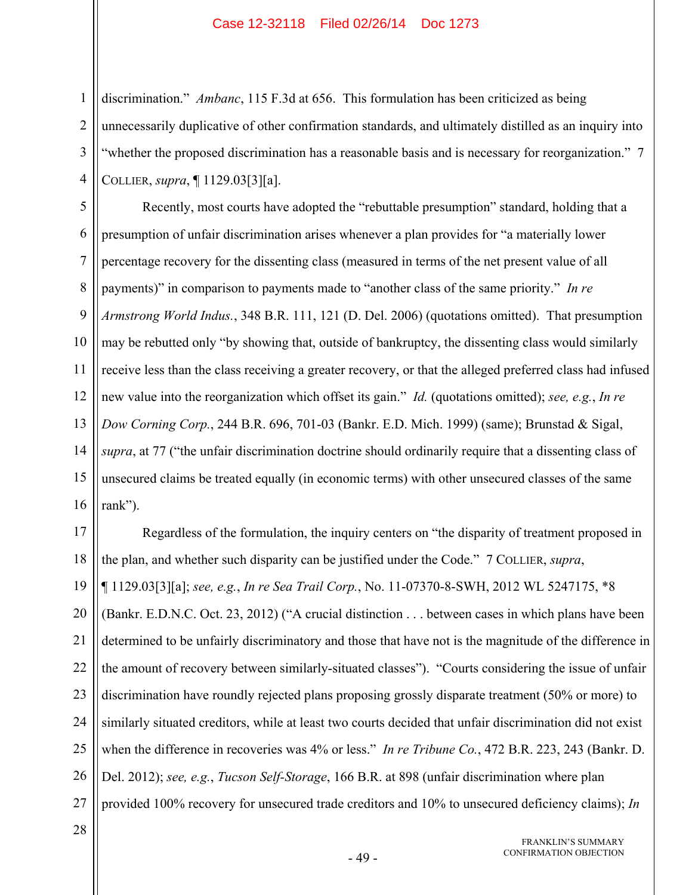discrimination." *Ambanc*, 115 F.3d at 656. This formulation has been criticized as being unnecessarily duplicative of other confirmation standards, and ultimately distilled as an inquiry into "whether the proposed discrimination has a reasonable basis and is necessary for reorganization." 7 COLLIER, *supra*, ¶ 1129.03[3][a].

5 6 7 8 9 10 11 12 13 14 15 16 Recently, most courts have adopted the "rebuttable presumption" standard, holding that a presumption of unfair discrimination arises whenever a plan provides for "a materially lower percentage recovery for the dissenting class (measured in terms of the net present value of all payments)" in comparison to payments made to "another class of the same priority." *In re Armstrong World Indus.*, 348 B.R. 111, 121 (D. Del. 2006) (quotations omitted). That presumption may be rebutted only "by showing that, outside of bankruptcy, the dissenting class would similarly receive less than the class receiving a greater recovery, or that the alleged preferred class had infused new value into the reorganization which offset its gain." *Id.* (quotations omitted); *see, e.g.*, *In re Dow Corning Corp.*, 244 B.R. 696, 701-03 (Bankr. E.D. Mich. 1999) (same); Brunstad & Sigal, *supra*, at 77 ("the unfair discrimination doctrine should ordinarily require that a dissenting class of unsecured claims be treated equally (in economic terms) with other unsecured classes of the same rank").

17 18 19 20 21 22 23 24 25 26 27 Regardless of the formulation, the inquiry centers on "the disparity of treatment proposed in the plan, and whether such disparity can be justified under the Code." 7 COLLIER, *supra*, ¶ 1129.03[3][a]; *see, e.g.*, *In re Sea Trail Corp.*, No. 11-07370-8-SWH, 2012 WL 5247175, \*8 (Bankr. E.D.N.C. Oct. 23, 2012) ("A crucial distinction . . . between cases in which plans have been determined to be unfairly discriminatory and those that have not is the magnitude of the difference in the amount of recovery between similarly-situated classes"). "Courts considering the issue of unfair discrimination have roundly rejected plans proposing grossly disparate treatment (50% or more) to similarly situated creditors, while at least two courts decided that unfair discrimination did not exist when the difference in recoveries was 4% or less." *In re Tribune Co.*, 472 B.R. 223, 243 (Bankr. D. Del. 2012); *see, e.g.*, *Tucson Self-Storage*, 166 B.R. at 898 (unfair discrimination where plan provided 100% recovery for unsecured trade creditors and 10% to unsecured deficiency claims); *In* 

28

1

2

3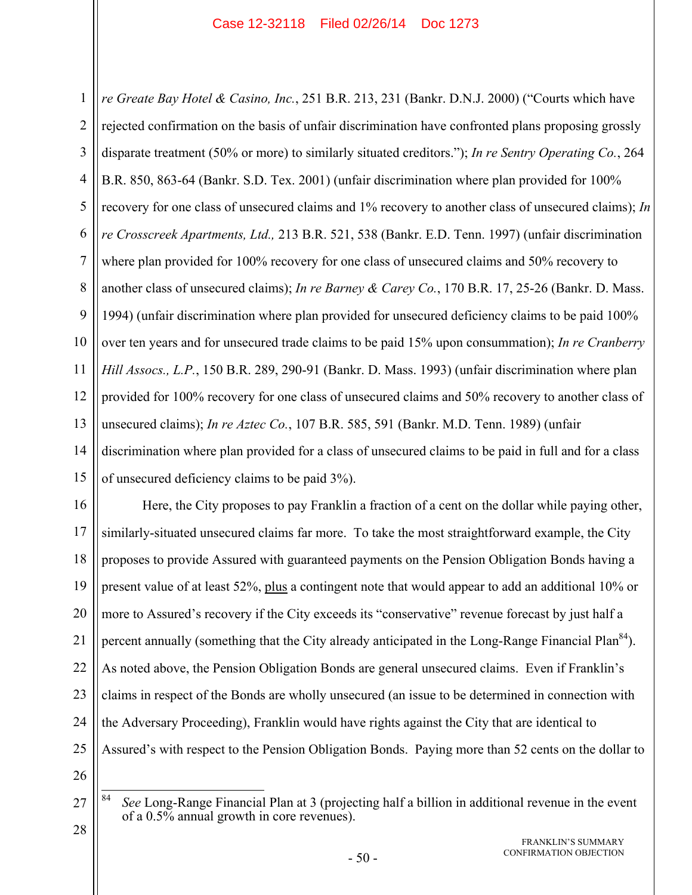1 2 3 4 5 6 7 8 9 10 11 12 13 14 15 *re Greate Bay Hotel & Casino, Inc.*, 251 B.R. 213, 231 (Bankr. D.N.J. 2000) ("Courts which have rejected confirmation on the basis of unfair discrimination have confronted plans proposing grossly disparate treatment (50% or more) to similarly situated creditors."); *In re Sentry Operating Co.*, 264 B.R. 850, 863-64 (Bankr. S.D. Tex. 2001) (unfair discrimination where plan provided for 100% recovery for one class of unsecured claims and 1% recovery to another class of unsecured claims); *In re Crosscreek Apartments, Ltd.,* 213 B.R. 521, 538 (Bankr. E.D. Tenn. 1997) (unfair discrimination where plan provided for 100% recovery for one class of unsecured claims and 50% recovery to another class of unsecured claims); *In re Barney & Carey Co.*, 170 B.R. 17, 25-26 (Bankr. D. Mass. 1994) (unfair discrimination where plan provided for unsecured deficiency claims to be paid 100% over ten years and for unsecured trade claims to be paid 15% upon consummation); *In re Cranberry Hill Assocs., L.P.*, 150 B.R. 289, 290-91 (Bankr. D. Mass. 1993) (unfair discrimination where plan provided for 100% recovery for one class of unsecured claims and 50% recovery to another class of unsecured claims); *In re Aztec Co.*, 107 B.R. 585, 591 (Bankr. M.D. Tenn. 1989) (unfair discrimination where plan provided for a class of unsecured claims to be paid in full and for a class of unsecured deficiency claims to be paid 3%).

16 17 18 19 20 21 22 23 24 25 26 Here, the City proposes to pay Franklin a fraction of a cent on the dollar while paying other, similarly-situated unsecured claims far more. To take the most straightforward example, the City proposes to provide Assured with guaranteed payments on the Pension Obligation Bonds having a present value of at least 52%, plus a contingent note that would appear to add an additional 10% or more to Assured's recovery if the City exceeds its "conservative" revenue forecast by just half a percent annually (something that the City already anticipated in the Long-Range Financial Plan<sup>84</sup>). As noted above, the Pension Obligation Bonds are general unsecured claims. Even if Franklin's claims in respect of the Bonds are wholly unsecured (an issue to be determined in connection with the Adversary Proceeding), Franklin would have rights against the City that are identical to Assured's with respect to the Pension Obligation Bonds. Paying more than 52 cents on the dollar to

FRANKLIN'S SUMMARY CONFIRMATION OBJECTION

<sup>27</sup> 28 84 84 *See* Long-Range Financial Plan at 3 (projecting half a billion in additional revenue in the event of a 0.5% annual growth in core revenues).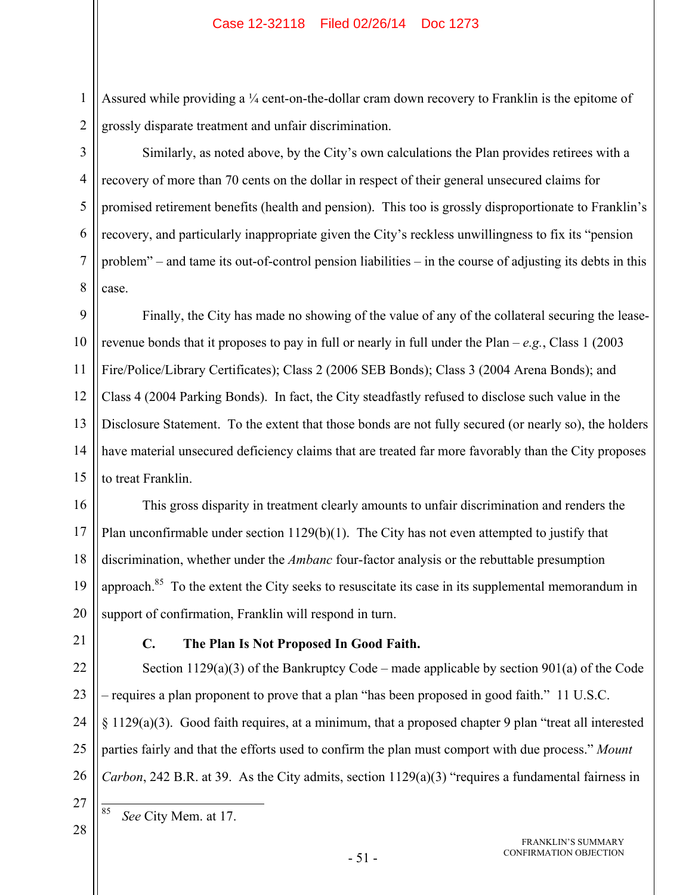Assured while providing a  $\frac{1}{4}$  cent-on-the-dollar cram down recovery to Franklin is the epitome of grossly disparate treatment and unfair discrimination.

Similarly, as noted above, by the City's own calculations the Plan provides retirees with a recovery of more than 70 cents on the dollar in respect of their general unsecured claims for promised retirement benefits (health and pension). This too is grossly disproportionate to Franklin's recovery, and particularly inappropriate given the City's reckless unwillingness to fix its "pension problem" – and tame its out-of-control pension liabilities – in the course of adjusting its debts in this case.

9 10 11 12 13 14 15 Finally, the City has made no showing of the value of any of the collateral securing the leaserevenue bonds that it proposes to pay in full or nearly in full under the Plan –  $e.g., Class 1 (2003)$ Fire/Police/Library Certificates); Class 2 (2006 SEB Bonds); Class 3 (2004 Arena Bonds); and Class 4 (2004 Parking Bonds). In fact, the City steadfastly refused to disclose such value in the Disclosure Statement. To the extent that those bonds are not fully secured (or nearly so), the holders have material unsecured deficiency claims that are treated far more favorably than the City proposes to treat Franklin.

16 17 18 19 20 This gross disparity in treatment clearly amounts to unfair discrimination and renders the Plan unconfirmable under section 1129(b)(1). The City has not even attempted to justify that discrimination, whether under the *Ambanc* four-factor analysis or the rebuttable presumption approach.<sup>85</sup> To the extent the City seeks to resuscitate its case in its supplemental memorandum in support of confirmation, Franklin will respond in turn.

21

1

2

3

4

5

6

7

8

## **C. The Plan Is Not Proposed In Good Faith.**

22 23 24 25 26 Section 1129(a)(3) of the Bankruptcy Code – made applicable by section 901(a) of the Code – requires a plan proponent to prove that a plan "has been proposed in good faith." 11 U.S.C.  $§$  1129(a)(3). Good faith requires, at a minimum, that a proposed chapter 9 plan "treat all interested parties fairly and that the efforts used to confirm the plan must comport with due process." *Mount Carbon*, 242 B.R. at 39. As the City admits, section 1129(a)(3) "requires a fundamental fairness in

<sup>27</sup> 28

See City Mem. at 17.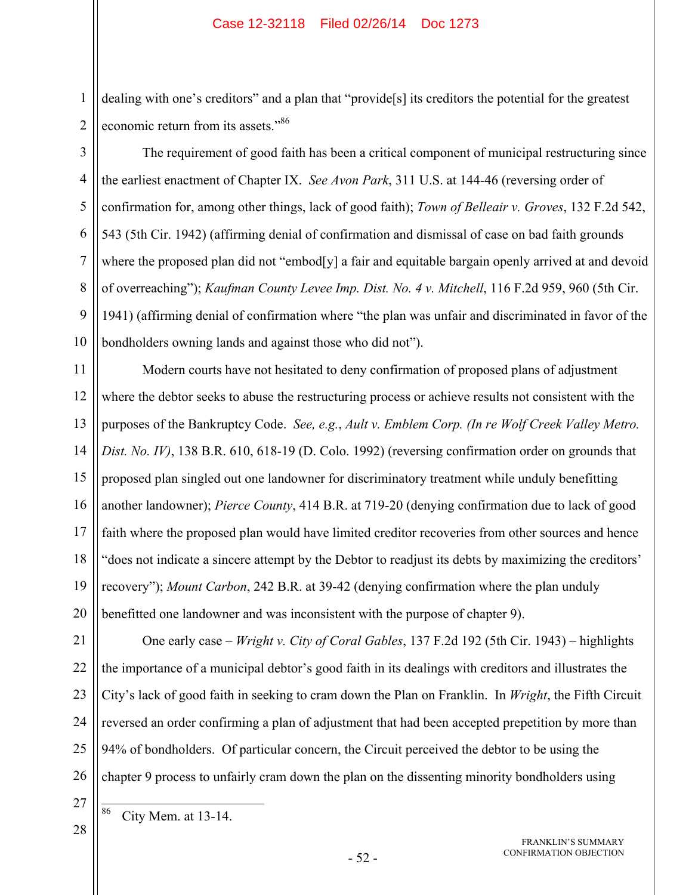dealing with one's creditors" and a plan that "provide[s] its creditors the potential for the greatest economic return from its assets."<sup>86</sup>

The requirement of good faith has been a critical component of municipal restructuring since the earliest enactment of Chapter IX. *See Avon Park*, 311 U.S. at 144-46 (reversing order of confirmation for, among other things, lack of good faith); *Town of Belleair v. Groves*, 132 F.2d 542, 543 (5th Cir. 1942) (affirming denial of confirmation and dismissal of case on bad faith grounds where the proposed plan did not "embod[y] a fair and equitable bargain openly arrived at and devoid of overreaching"); *Kaufman County Levee Imp. Dist. No. 4 v. Mitchell*, 116 F.2d 959, 960 (5th Cir. 1941) (affirming denial of confirmation where "the plan was unfair and discriminated in favor of the bondholders owning lands and against those who did not").

11 12 13 14 15 16 17 18 19 20 Modern courts have not hesitated to deny confirmation of proposed plans of adjustment where the debtor seeks to abuse the restructuring process or achieve results not consistent with the purposes of the Bankruptcy Code. *See, e.g.*, *Ault v. Emblem Corp. (In re Wolf Creek Valley Metro. Dist. No. IV)*, 138 B.R. 610, 618-19 (D. Colo. 1992) (reversing confirmation order on grounds that proposed plan singled out one landowner for discriminatory treatment while unduly benefitting another landowner); *Pierce County*, 414 B.R. at 719-20 (denying confirmation due to lack of good faith where the proposed plan would have limited creditor recoveries from other sources and hence "does not indicate a sincere attempt by the Debtor to readjust its debts by maximizing the creditors' recovery"); *Mount Carbon*, 242 B.R. at 39-42 (denying confirmation where the plan unduly benefitted one landowner and was inconsistent with the purpose of chapter 9).

21 22 23 24 25 26 One early case – *Wright v. City of Coral Gables*, 137 F.2d 192 (5th Cir. 1943) – highlights the importance of a municipal debtor's good faith in its dealings with creditors and illustrates the City's lack of good faith in seeking to cram down the Plan on Franklin. In *Wright*, the Fifth Circuit reversed an order confirming a plan of adjustment that had been accepted prepetition by more than 94% of bondholders. Of particular concern, the Circuit perceived the debtor to be using the chapter 9 process to unfairly cram down the plan on the dissenting minority bondholders using

27 28

86

1

2

3

4

5

6

7

8

9

City Mem. at 13-14.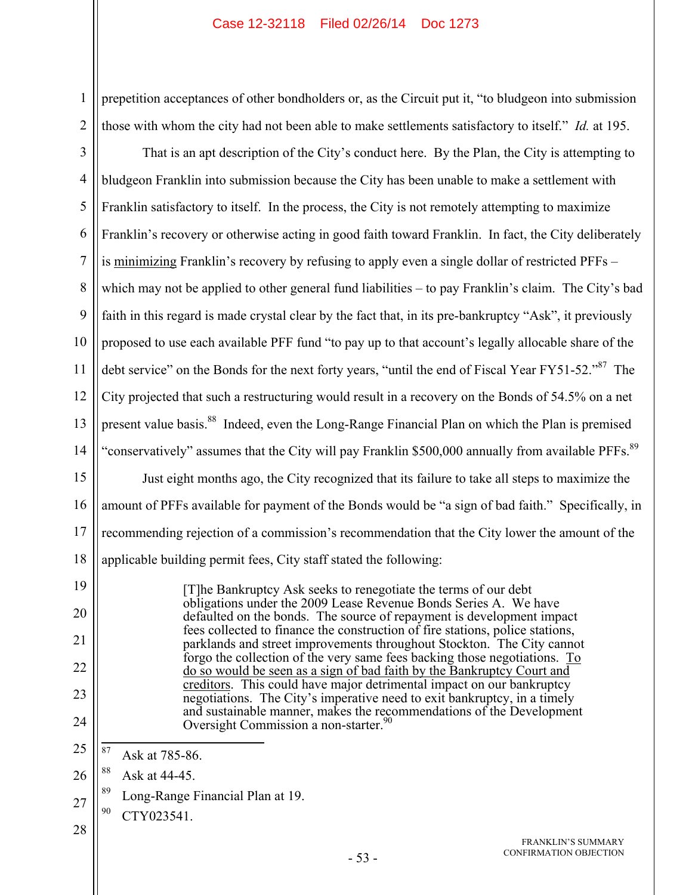prepetition acceptances of other bondholders or, as the Circuit put it, "to bludgeon into submission those with whom the city had not been able to make settlements satisfactory to itself." *Id.* at 195.

3 4 5 6 7 8 9 10 11 12 13 14 15 16 17 18 19 That is an apt description of the City's conduct here. By the Plan, the City is attempting to bludgeon Franklin into submission because the City has been unable to make a settlement with Franklin satisfactory to itself. In the process, the City is not remotely attempting to maximize Franklin's recovery or otherwise acting in good faith toward Franklin. In fact, the City deliberately is minimizing Franklin's recovery by refusing to apply even a single dollar of restricted PFFs – which may not be applied to other general fund liabilities – to pay Franklin's claim. The City's bad faith in this regard is made crystal clear by the fact that, in its pre-bankruptcy "Ask", it previously proposed to use each available PFF fund "to pay up to that account's legally allocable share of the debt service" on the Bonds for the next forty years, "until the end of Fiscal Year FY51-52."<sup>87</sup> The City projected that such a restructuring would result in a recovery on the Bonds of 54.5% on a net present value basis.<sup>88</sup> Indeed, even the Long-Range Financial Plan on which the Plan is premised "conservatively" assumes that the City will pay Franklin \$500,000 annually from available PFFs.<sup>89</sup> Just eight months ago, the City recognized that its failure to take all steps to maximize the amount of PFFs available for payment of the Bonds would be "a sign of bad faith." Specifically, in recommending rejection of a commission's recommendation that the City lower the amount of the applicable building permit fees, City staff stated the following:

[T]he Bankruptcy Ask seeks to renegotiate the terms of our debt obligations under the 2009 Lease Revenue Bonds Series A. We have defaulted on the bonds. The source of repayment is development impact fees collected to finance the construction of fire stations, police stations, parklands and street improvements throughout Stockton. The City cannot forgo the collection of the very same fees backing those negotiations. To do so would be seen as a sign of bad faith by the Bankruptcy Court and creditors. This could have major detrimental impact on our bankruptcy negotiations. The City's imperative need to exit bankruptcy, in a timely and sustainable manner, makes the recommendations of the Development Oversight Commission a non-starter.<sup>9</sup>

25 87 Ask at 785-86.

26 88 Ask at 44-45.

89 Long-Range Financial Plan at 19.

27  $90$  CTY023541

20

21

22

23

24

1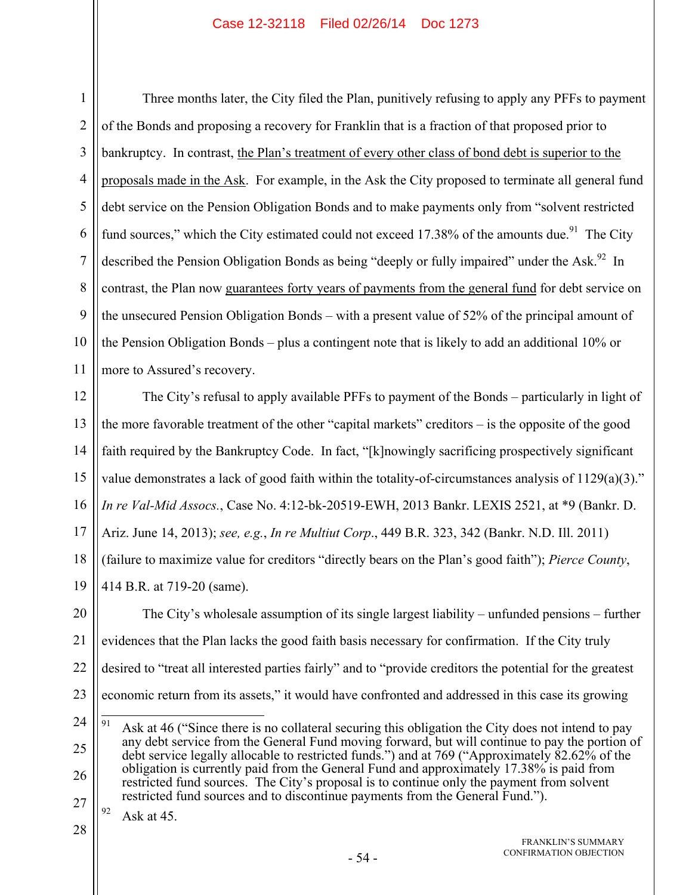1 2 3 4 5 6 7 8 9 10 11 Three months later, the City filed the Plan, punitively refusing to apply any PFFs to payment of the Bonds and proposing a recovery for Franklin that is a fraction of that proposed prior to bankruptcy. In contrast, the Plan's treatment of every other class of bond debt is superior to the proposals made in the Ask. For example, in the Ask the City proposed to terminate all general fund debt service on the Pension Obligation Bonds and to make payments only from "solvent restricted fund sources," which the City estimated could not exceed 17.38% of the amounts due.<sup>91</sup> The City described the Pension Obligation Bonds as being "deeply or fully impaired" under the Ask.<sup>92</sup> In contrast, the Plan now guarantees forty years of payments from the general fund for debt service on the unsecured Pension Obligation Bonds – with a present value of 52% of the principal amount of the Pension Obligation Bonds – plus a contingent note that is likely to add an additional 10% or more to Assured's recovery.

12 13 14 15 16 17 18 19 The City's refusal to apply available PFFs to payment of the Bonds – particularly in light of the more favorable treatment of the other "capital markets" creditors – is the opposite of the good faith required by the Bankruptcy Code. In fact, "[k]nowingly sacrificing prospectively significant value demonstrates a lack of good faith within the totality-of-circumstances analysis of 1129(a)(3)." *In re Val-Mid Assocs.*, Case No. 4:12-bk-20519-EWH, 2013 Bankr. LEXIS 2521, at \*9 (Bankr. D. Ariz. June 14, 2013); *see, e.g.*, *In re Multiut Corp*., 449 B.R. 323, 342 (Bankr. N.D. Ill. 2011) (failure to maximize value for creditors "directly bears on the Plan's good faith"); *Pierce County*, 414 B.R. at 719-20 (same).

20 21 22 23 The City's wholesale assumption of its single largest liability – unfunded pensions – further evidences that the Plan lacks the good faith basis necessary for confirmation. If the City truly desired to "treat all interested parties fairly" and to "provide creditors the potential for the greatest economic return from its assets," it would have confronted and addressed in this case its growing

<sup>24</sup> 25 26 27 91 Ask at 46 ("Since there is no collateral securing this obligation the City does not intend to pay any debt service from the General Fund moving forward, but will continue to pay the portion of debt service legally allocable to restricted funds.") and at 769 ("Approximately 82.62% of the obligation is currently paid from the General Fund and approximately 17.38% is paid from restricted fund sources. The City's proposal is to continue only the payment from solvent restricted fund sources and to discontinue payments from the General Fund.").

 $92$  Ask at 45.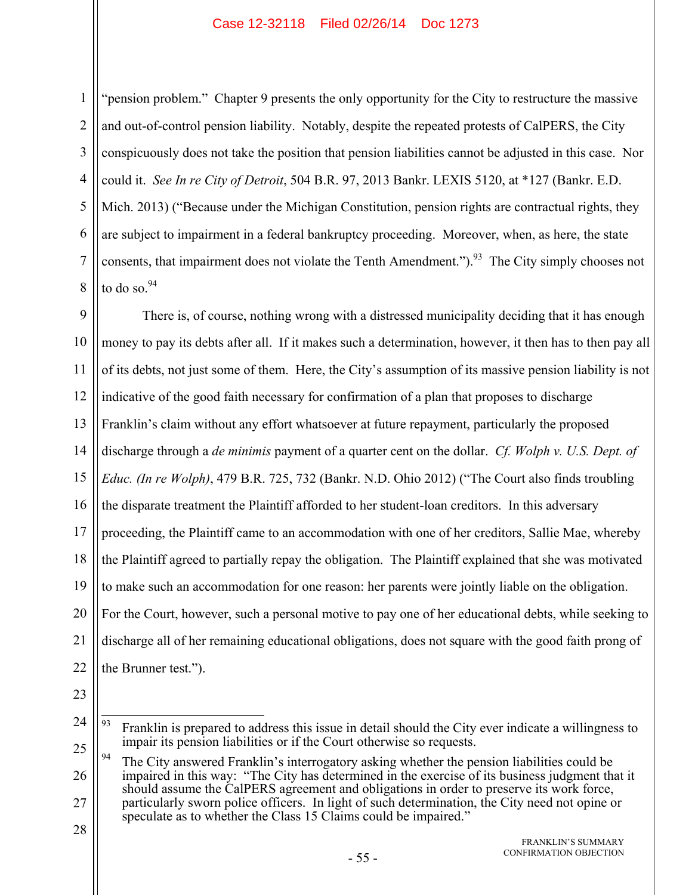"pension problem." Chapter 9 presents the only opportunity for the City to restructure the massive and out-of-control pension liability. Notably, despite the repeated protests of CalPERS, the City conspicuously does not take the position that pension liabilities cannot be adjusted in this case. Nor could it. *See In re City of Detroit*, 504 B.R. 97, 2013 Bankr. LEXIS 5120, at \*127 (Bankr. E.D. Mich. 2013) ("Because under the Michigan Constitution, pension rights are contractual rights, they are subject to impairment in a federal bankruptcy proceeding. Moreover, when, as here, the state consents, that impairment does not violate the Tenth Amendment."). <sup>93</sup> The City simply chooses not to do so. $94$ 

9 10 11 12 13 14 15 16 17 18 19 20 21 22 There is, of course, nothing wrong with a distressed municipality deciding that it has enough money to pay its debts after all. If it makes such a determination, however, it then has to then pay all of its debts, not just some of them. Here, the City's assumption of its massive pension liability is not indicative of the good faith necessary for confirmation of a plan that proposes to discharge Franklin's claim without any effort whatsoever at future repayment, particularly the proposed discharge through a *de minimis* payment of a quarter cent on the dollar. *Cf. Wolph v. U.S. Dept. of Educ. (In re Wolph)*, 479 B.R. 725, 732 (Bankr. N.D. Ohio 2012) ("The Court also finds troubling the disparate treatment the Plaintiff afforded to her student-loan creditors. In this adversary proceeding, the Plaintiff came to an accommodation with one of her creditors, Sallie Mae, whereby the Plaintiff agreed to partially repay the obligation. The Plaintiff explained that she was motivated to make such an accommodation for one reason: her parents were jointly liable on the obligation. For the Court, however, such a personal motive to pay one of her educational debts, while seeking to discharge all of her remaining educational obligations, does not square with the good faith prong of the Brunner test.").

23

1

2

3

4

5

6

7

8

<sup>24</sup>

<sup>93</sup> Franklin is prepared to address this issue in detail should the City ever indicate a willingness to impair its pension liabilities or if the Court otherwise so requests.

<sup>25</sup> 26 27 <sup>94</sup> The City answered Franklin's interrogatory asking whether the pension liabilities could be impaired in this way: "The City has determined in the exercise of its business judgment that it should assume the CalPERS agreement and obligations in order to preserve its work force, particularly sworn police officers. In light of such determination, the City need not opine or speculate as to whether the Class 15 Claims could be impaired."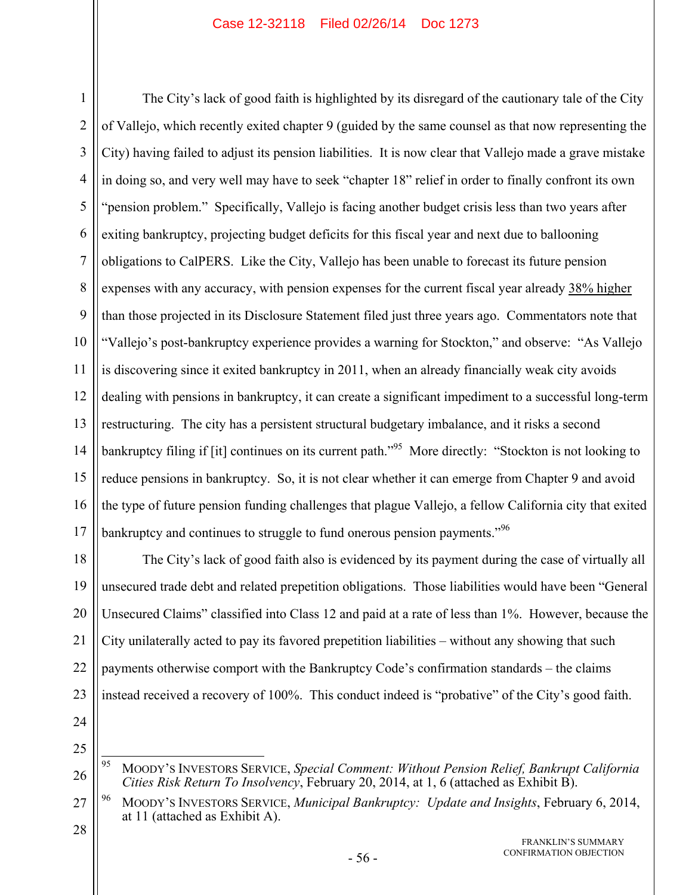1 2 3 4 5 6 7 8 9 10 11 12 13 14 15 16 17 The City's lack of good faith is highlighted by its disregard of the cautionary tale of the City of Vallejo, which recently exited chapter 9 (guided by the same counsel as that now representing the City) having failed to adjust its pension liabilities. It is now clear that Vallejo made a grave mistake in doing so, and very well may have to seek "chapter 18" relief in order to finally confront its own "pension problem." Specifically, Vallejo is facing another budget crisis less than two years after exiting bankruptcy, projecting budget deficits for this fiscal year and next due to ballooning obligations to CalPERS. Like the City, Vallejo has been unable to forecast its future pension expenses with any accuracy, with pension expenses for the current fiscal year already 38% higher than those projected in its Disclosure Statement filed just three years ago. Commentators note that "Vallejo's post-bankruptcy experience provides a warning for Stockton," and observe: "As Vallejo is discovering since it exited bankruptcy in 2011, when an already financially weak city avoids dealing with pensions in bankruptcy, it can create a significant impediment to a successful long-term restructuring. The city has a persistent structural budgetary imbalance, and it risks a second bankruptcy filing if [it] continues on its current path.<sup>"95</sup> More directly: "Stockton is not looking to reduce pensions in bankruptcy. So, it is not clear whether it can emerge from Chapter 9 and avoid the type of future pension funding challenges that plague Vallejo, a fellow California city that exited bankruptcy and continues to struggle to fund onerous pension payments.<sup>"96</sup>

18 19 20 21 22 23 The City's lack of good faith also is evidenced by its payment during the case of virtually all unsecured trade debt and related prepetition obligations. Those liabilities would have been "General Unsecured Claims" classified into Class 12 and paid at a rate of less than 1%. However, because the City unilaterally acted to pay its favored prepetition liabilities – without any showing that such payments otherwise comport with the Bankruptcy Code's confirmation standards – the claims instead received a recovery of 100%. This conduct indeed is "probative" of the City's good faith.

24

<sup>26</sup> 95 95 MOODY'S INVESTORS SERVICE, *Special Comment: Without Pension Relief, Bankrupt California Cities Risk Return To Insolvency*, February 20, 2014, at 1, 6 (attached as Exhibit B).

<sup>27</sup> 96 MOODY'S INVESTORS SERVICE, *Municipal Bankruptcy: Update and Insights*, February 6, 2014, at 11 (attached as Exhibit A).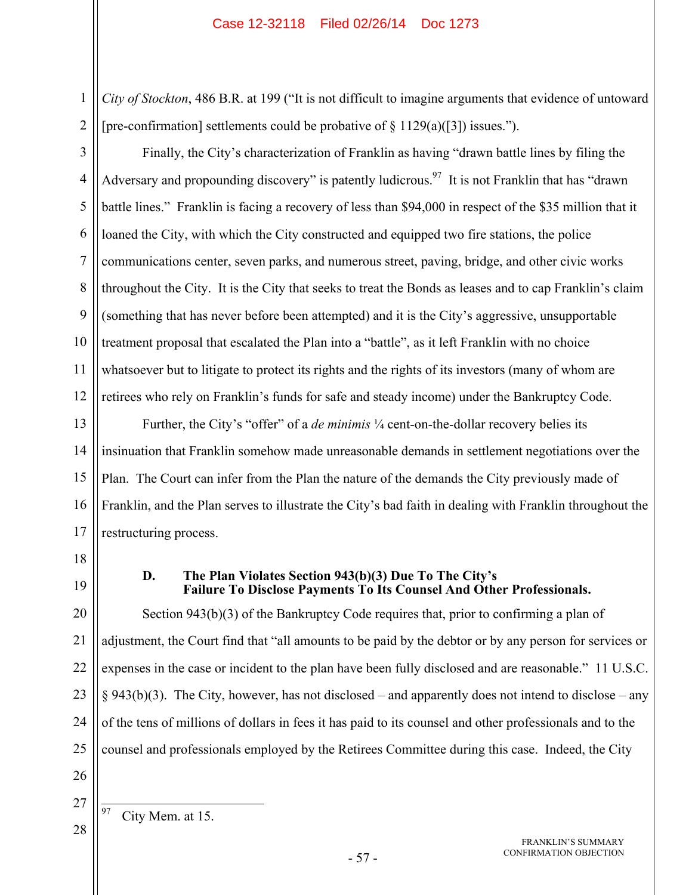*City of Stockton*, 486 B.R. at 199 ("It is not difficult to imagine arguments that evidence of untoward [pre-confirmation] settlements could be probative of  $\S 1129(a)(3)$ ] issues.").

3 4 5 6 7 8 9 10 11 12 Finally, the City's characterization of Franklin as having "drawn battle lines by filing the Adversary and propounding discovery" is patently ludicrous.<sup>97</sup> It is not Franklin that has "drawn" battle lines." Franklin is facing a recovery of less than \$94,000 in respect of the \$35 million that it loaned the City, with which the City constructed and equipped two fire stations, the police communications center, seven parks, and numerous street, paving, bridge, and other civic works throughout the City. It is the City that seeks to treat the Bonds as leases and to cap Franklin's claim (something that has never before been attempted) and it is the City's aggressive, unsupportable treatment proposal that escalated the Plan into a "battle", as it left Franklin with no choice whatsoever but to litigate to protect its rights and the rights of its investors (many of whom are retirees who rely on Franklin's funds for safe and steady income) under the Bankruptcy Code.

13 14 15 16 17 Further, the City's "offer" of a *de minimis* ¼ cent-on-the-dollar recovery belies its insinuation that Franklin somehow made unreasonable demands in settlement negotiations over the Plan. The Court can infer from the Plan the nature of the demands the City previously made of Franklin, and the Plan serves to illustrate the City's bad faith in dealing with Franklin throughout the restructuring process.

18

1

2

19

## **D. The Plan Violates Section 943(b)(3) Due To The City's Failure To Disclose Payments To Its Counsel And Other Professionals.**

20 21 22 23 24 25 Section 943(b)(3) of the Bankruptcy Code requires that, prior to confirming a plan of adjustment, the Court find that "all amounts to be paid by the debtor or by any person for services or expenses in the case or incident to the plan have been fully disclosed and are reasonable." 11 U.S.C.  $§$  943(b)(3). The City, however, has not disclosed – and apparently does not intend to disclose – any of the tens of millions of dollars in fees it has paid to its counsel and other professionals and to the counsel and professionals employed by the Retirees Committee during this case. Indeed, the City

26

97 City Mem. at 15.

<sup>27</sup> 28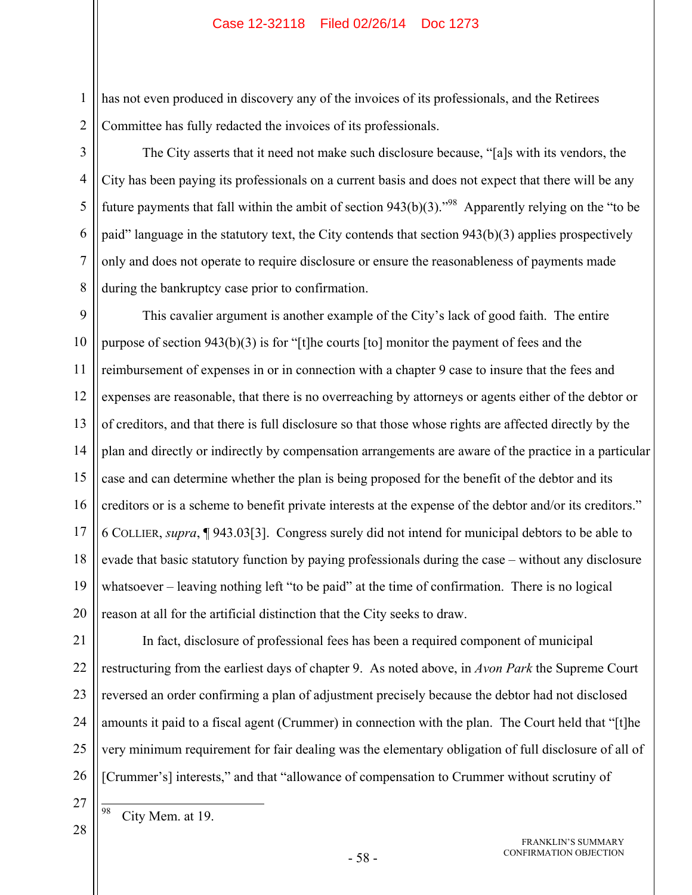has not even produced in discovery any of the invoices of its professionals, and the Retirees Committee has fully redacted the invoices of its professionals.

The City asserts that it need not make such disclosure because, "[a]s with its vendors, the City has been paying its professionals on a current basis and does not expect that there will be any future payments that fall within the ambit of section  $943(b)(3)$ .<sup>98</sup> Apparently relying on the "to be" paid" language in the statutory text, the City contends that section 943(b)(3) applies prospectively only and does not operate to require disclosure or ensure the reasonableness of payments made during the bankruptcy case prior to confirmation.

9 10 11 12 13 14 15 16 17 18 19 20 This cavalier argument is another example of the City's lack of good faith. The entire purpose of section 943(b)(3) is for "[t]he courts [to] monitor the payment of fees and the reimbursement of expenses in or in connection with a chapter 9 case to insure that the fees and expenses are reasonable, that there is no overreaching by attorneys or agents either of the debtor or of creditors, and that there is full disclosure so that those whose rights are affected directly by the plan and directly or indirectly by compensation arrangements are aware of the practice in a particular case and can determine whether the plan is being proposed for the benefit of the debtor and its creditors or is a scheme to benefit private interests at the expense of the debtor and/or its creditors." 6 COLLIER, *supra*, ¶ 943.03[3]. Congress surely did not intend for municipal debtors to be able to evade that basic statutory function by paying professionals during the case – without any disclosure whatsoever – leaving nothing left "to be paid" at the time of confirmation. There is no logical reason at all for the artificial distinction that the City seeks to draw.

1

2

3

4

5

6

7

8

City Mem. at 19.

98

In fact, disclosure of professional fees has been a required component of municipal restructuring from the earliest days of chapter 9. As noted above, in *Avon Park* the Supreme Court reversed an order confirming a plan of adjustment precisely because the debtor had not disclosed amounts it paid to a fiscal agent (Crummer) in connection with the plan. The Court held that "[t]he very minimum requirement for fair dealing was the elementary obligation of full disclosure of all of [Crummer's] interests," and that "allowance of compensation to Crummer without scrutiny of

> FRANKLIN'S SUMMARY CONFIRMATION OBJECTION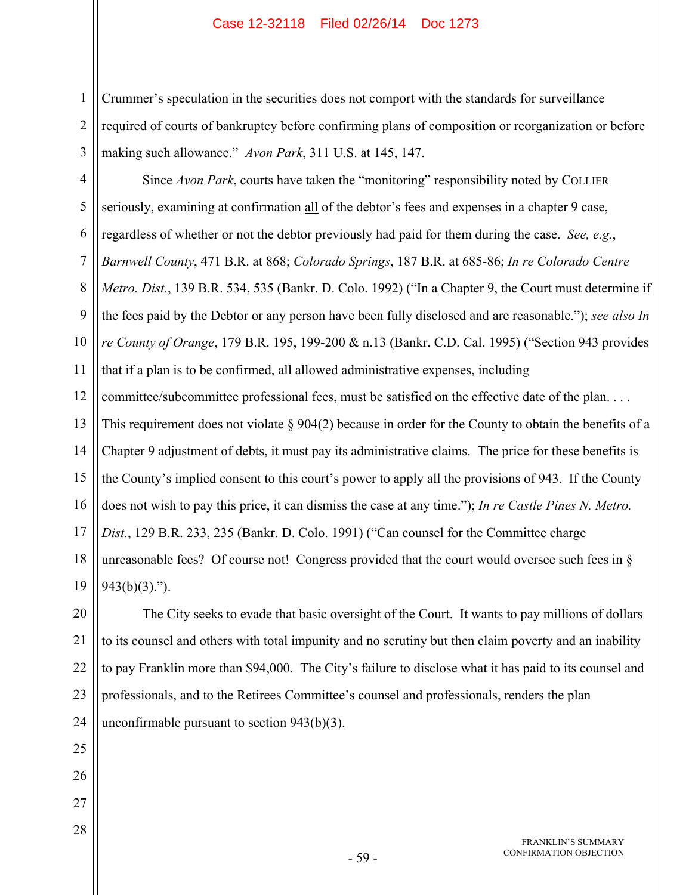1 2 3 Crummer's speculation in the securities does not comport with the standards for surveillance required of courts of bankruptcy before confirming plans of composition or reorganization or before making such allowance." *Avon Park*, 311 U.S. at 145, 147.

4 5 6 7 8 9 10 11 12 13 14 15 16 17 18 19 Since *Avon Park*, courts have taken the "monitoring" responsibility noted by COLLIER seriously, examining at confirmation all of the debtor's fees and expenses in a chapter 9 case, regardless of whether or not the debtor previously had paid for them during the case. *See, e.g.*, *Barnwell County*, 471 B.R. at 868; *Colorado Springs*, 187 B.R. at 685-86; *In re Colorado Centre Metro. Dist.*, 139 B.R. 534, 535 (Bankr. D. Colo. 1992) ("In a Chapter 9, the Court must determine if the fees paid by the Debtor or any person have been fully disclosed and are reasonable."); *see also In re County of Orange*, 179 B.R. 195, 199-200 & n.13 (Bankr. C.D. Cal. 1995) ("Section 943 provides that if a plan is to be confirmed, all allowed administrative expenses, including committee/subcommittee professional fees, must be satisfied on the effective date of the plan. . . . This requirement does not violate  $\S 904(2)$  because in order for the County to obtain the benefits of a Chapter 9 adjustment of debts, it must pay its administrative claims. The price for these benefits is the County's implied consent to this court's power to apply all the provisions of 943. If the County does not wish to pay this price, it can dismiss the case at any time."); *In re Castle Pines N. Metro. Dist.*, 129 B.R. 233, 235 (Bankr. D. Colo. 1991) ("Can counsel for the Committee charge unreasonable fees? Of course not! Congress provided that the court would oversee such fees in  $\S$  $943(b)(3)$ .").

20 21 22 The City seeks to evade that basic oversight of the Court. It wants to pay millions of dollars to its counsel and others with total impunity and no scrutiny but then claim poverty and an inability to pay Franklin more than \$94,000. The City's failure to disclose what it has paid to its counsel and professionals, and to the Retirees Committee's counsel and professionals, renders the plan unconfirmable pursuant to section 943(b)(3).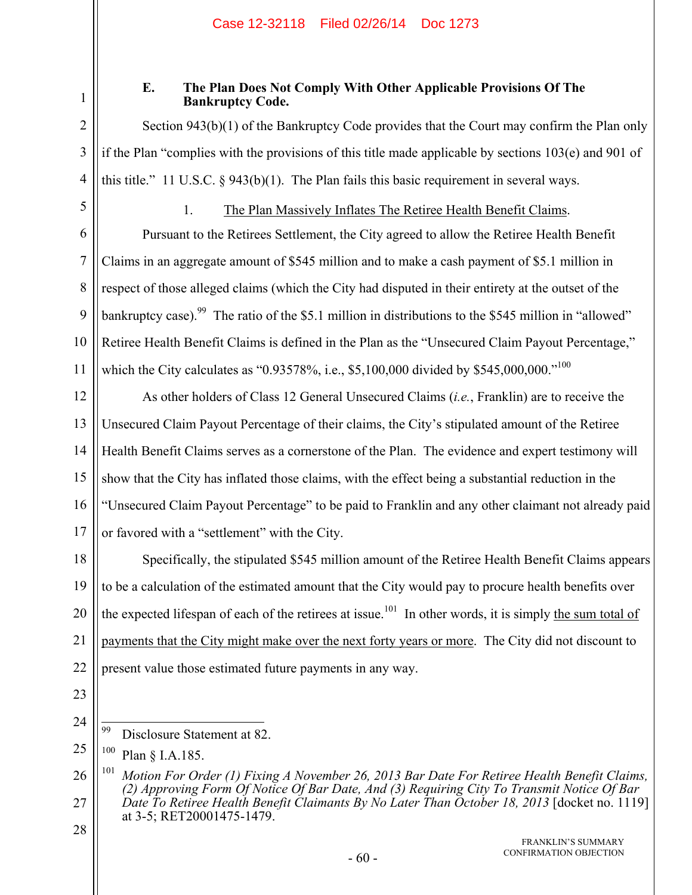1

2

3

4

5

## **E. The Plan Does Not Comply With Other Applicable Provisions Of The Bankruptcy Code.**

Section 943(b)(1) of the Bankruptcy Code provides that the Court may confirm the Plan only if the Plan "complies with the provisions of this title made applicable by sections  $103(e)$  and  $901$  of this title." 11 U.S.C. § 943(b)(1). The Plan fails this basic requirement in several ways.

## 1. The Plan Massively Inflates The Retiree Health Benefit Claims.

6 7 8 9 10 11 Pursuant to the Retirees Settlement, the City agreed to allow the Retiree Health Benefit Claims in an aggregate amount of \$545 million and to make a cash payment of \$5.1 million in respect of those alleged claims (which the City had disputed in their entirety at the outset of the bankruptcy case).<sup>99</sup> The ratio of the \$5.1 million in distributions to the \$545 million in "allowed" Retiree Health Benefit Claims is defined in the Plan as the "Unsecured Claim Payout Percentage," which the City calculates as "0.93578%, i.e., \$5,100,000 divided by \$545,000,000."<sup>100</sup>

12 13 14 15 16 17 As other holders of Class 12 General Unsecured Claims (*i.e.*, Franklin) are to receive the Unsecured Claim Payout Percentage of their claims, the City's stipulated amount of the Retiree Health Benefit Claims serves as a cornerstone of the Plan. The evidence and expert testimony will show that the City has inflated those claims, with the effect being a substantial reduction in the "Unsecured Claim Payout Percentage" to be paid to Franklin and any other claimant not already paid or favored with a "settlement" with the City.

18 19 20 21 22 Specifically, the stipulated \$545 million amount of the Retiree Health Benefit Claims appears to be a calculation of the estimated amount that the City would pay to procure health benefits over the expected lifespan of each of the retirees at issue.<sup>101</sup> In other words, it is simply the sum total of payments that the City might make over the next forty years or more. The City did not discount to present value those estimated future payments in any way.

- 23
- 24

<sup>99</sup> Disclosure Statement at 82.

<sup>25</sup> 100 Plan § I.A.185.

<sup>26</sup> 27 101 *Motion For Order (1) Fixing A November 26, 2013 Bar Date For Retiree Health Benefit Claims, (2) Approving Form Of Notice Of Bar Date, And (3) Requiring City To Transmit Notice Of Bar Date To Retiree Health Benefit Claimants By No Later Than October 18, 2013* [docket no. 1119] at 3-5; RET20001475-1479.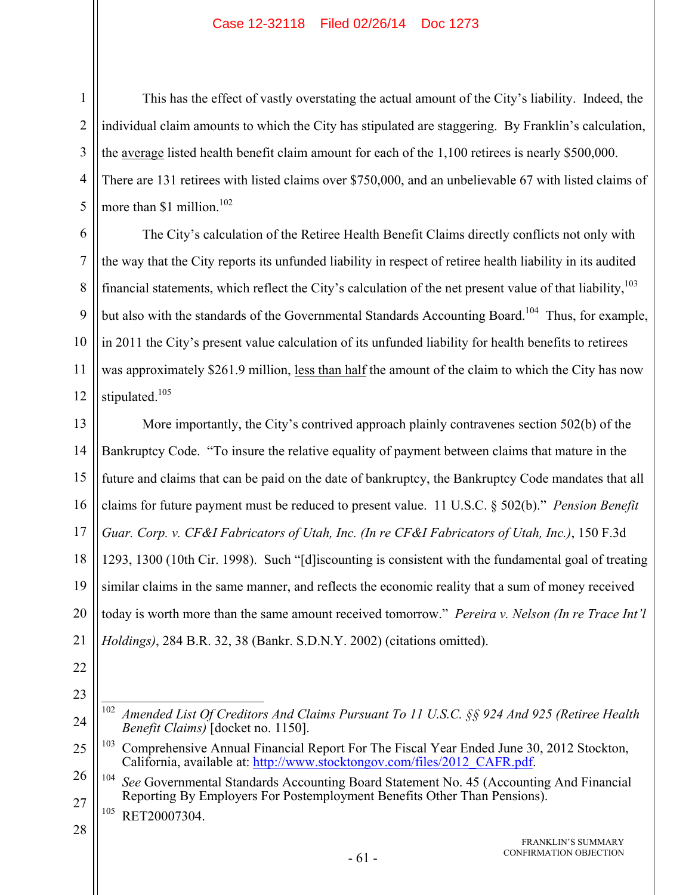This has the effect of vastly overstating the actual amount of the City's liability. Indeed, the individual claim amounts to which the City has stipulated are staggering. By Franklin's calculation, the average listed health benefit claim amount for each of the 1,100 retirees is nearly \$500,000. There are 131 retirees with listed claims over \$750,000, and an unbelievable 67 with listed claims of more than \$1 million.<sup>102</sup>

6 7 8 9 10 11 12 The City's calculation of the Retiree Health Benefit Claims directly conflicts not only with the way that the City reports its unfunded liability in respect of retiree health liability in its audited financial statements, which reflect the City's calculation of the net present value of that liability,<sup>103</sup> but also with the standards of the Governmental Standards Accounting Board.<sup>104</sup> Thus, for example, in 2011 the City's present value calculation of its unfunded liability for health benefits to retirees was approximately \$261.9 million, less than half the amount of the claim to which the City has now stipulated.<sup>105</sup>

13 14 15 16 17 18 19 20 21 More importantly, the City's contrived approach plainly contravenes section 502(b) of the Bankruptcy Code. "To insure the relative equality of payment between claims that mature in the future and claims that can be paid on the date of bankruptcy, the Bankruptcy Code mandates that all claims for future payment must be reduced to present value. 11 U.S.C. § 502(b)." *Pension Benefit Guar. Corp. v. CF&I Fabricators of Utah, Inc. (In re CF&I Fabricators of Utah, Inc.)*, 150 F.3d 1293, 1300 (10th Cir. 1998). Such "[d]iscounting is consistent with the fundamental goal of treating similar claims in the same manner, and reflects the economic reality that a sum of money received today is worth more than the same amount received tomorrow." *Pereira v. Nelson (In re Trace Int'l Holdings)*, 284 B.R. 32, 38 (Bankr. S.D.N.Y. 2002) (citations omitted).

22

1

2

3

4

5

23

<sup>105</sup> RET20007304.

<sup>24</sup>  $102\,$ 102 *Amended List Of Creditors And Claims Pursuant To 11 U.S.C. §§ 924 And 925 (Retiree Health Benefit Claims)* [docket no. 1150].

<sup>25</sup>  $103$  Comprehensive Annual Financial Report For The Fiscal Year Ended June 30, 2012 Stockton, California, available at: http://www.stocktongov.com/files/2012\_CAFR.pdf.

<sup>26</sup> 27 104 *See* Governmental Standards Accounting Board Statement No. 45 (Accounting And Financial Reporting By Employers For Postemployment Benefits Other Than Pensions).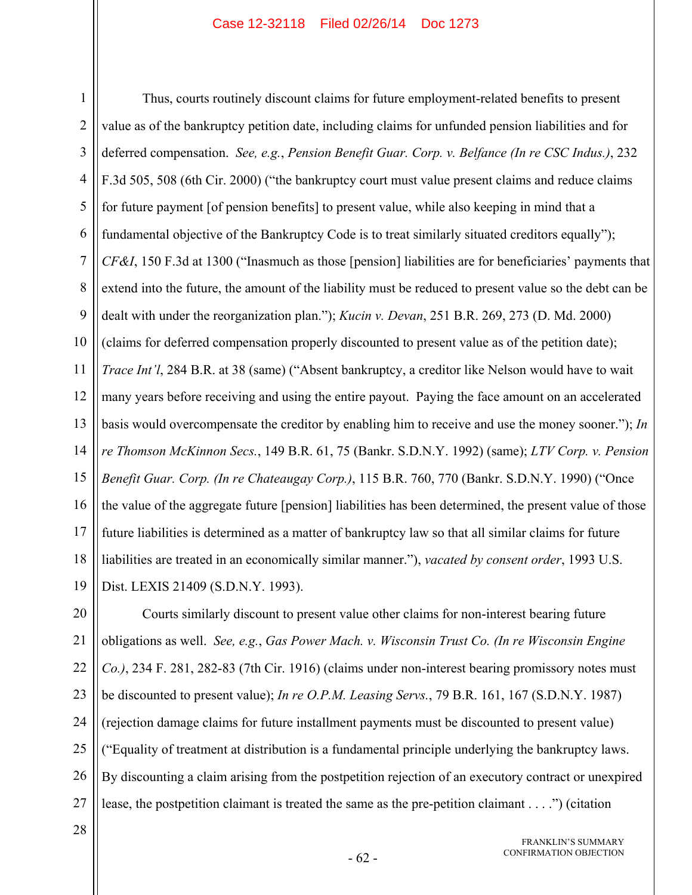1 2 3 4 5 6 7 8 9 10 11 12 13 14 15 16 17 18 19 Thus, courts routinely discount claims for future employment-related benefits to present value as of the bankruptcy petition date, including claims for unfunded pension liabilities and for deferred compensation. *See, e.g.*, *Pension Benefit Guar. Corp. v. Belfance (In re CSC Indus.)*, 232 F.3d 505, 508 (6th Cir. 2000) ("the bankruptcy court must value present claims and reduce claims for future payment [of pension benefits] to present value, while also keeping in mind that a fundamental objective of the Bankruptcy Code is to treat similarly situated creditors equally"); *CF&I*, 150 F.3d at 1300 ("Inasmuch as those [pension] liabilities are for beneficiaries' payments that extend into the future, the amount of the liability must be reduced to present value so the debt can be dealt with under the reorganization plan."); *Kucin v. Devan*, 251 B.R. 269, 273 (D. Md. 2000) (claims for deferred compensation properly discounted to present value as of the petition date); *Trace Int'l*, 284 B.R. at 38 (same) ("Absent bankruptcy, a creditor like Nelson would have to wait many years before receiving and using the entire payout. Paying the face amount on an accelerated basis would overcompensate the creditor by enabling him to receive and use the money sooner."); *In re Thomson McKinnon Secs.*, 149 B.R. 61, 75 (Bankr. S.D.N.Y. 1992) (same); *LTV Corp. v. Pension Benefit Guar. Corp. (In re Chateaugay Corp.)*, 115 B.R. 760, 770 (Bankr. S.D.N.Y. 1990) ("Once the value of the aggregate future [pension] liabilities has been determined, the present value of those future liabilities is determined as a matter of bankruptcy law so that all similar claims for future liabilities are treated in an economically similar manner."), *vacated by consent order*, 1993 U.S. Dist. LEXIS 21409 (S.D.N.Y. 1993).

20 21 22 23 24 25 26 27 Courts similarly discount to present value other claims for non-interest bearing future obligations as well. *See, e.g.*, *Gas Power Mach. v. Wisconsin Trust Co. (In re Wisconsin Engine Co.)*, 234 F. 281, 282-83 (7th Cir. 1916) (claims under non-interest bearing promissory notes must be discounted to present value); *In re O.P.M. Leasing Servs.*, 79 B.R. 161, 167 (S.D.N.Y. 1987) (rejection damage claims for future installment payments must be discounted to present value) ("Equality of treatment at distribution is a fundamental principle underlying the bankruptcy laws. By discounting a claim arising from the postpetition rejection of an executory contract or unexpired lease, the postpetition claimant is treated the same as the pre-petition claimant . . . .") (citation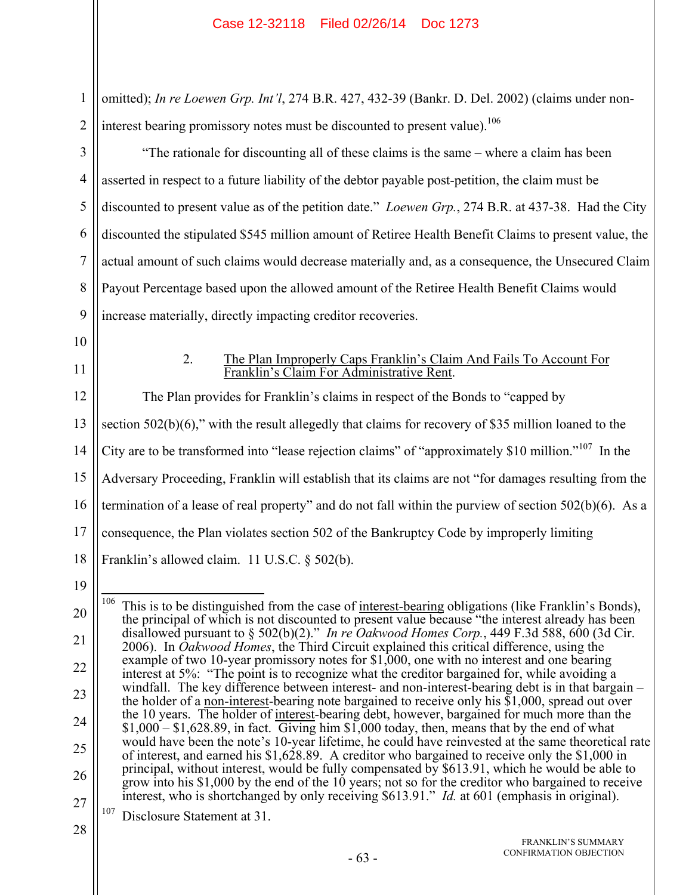2 omitted); *In re Loewen Grp. Int'l*, 274 B.R. 427, 432-39 (Bankr. D. Del. 2002) (claims under noninterest bearing promissory notes must be discounted to present value).<sup>106</sup>

"The rationale for discounting all of these claims is the same – where a claim has been asserted in respect to a future liability of the debtor payable post-petition, the claim must be discounted to present value as of the petition date." *Loewen Grp.*, 274 B.R. at 437-38. Had the City discounted the stipulated \$545 million amount of Retiree Health Benefit Claims to present value, the actual amount of such claims would decrease materially and, as a consequence, the Unsecured Claim Payout Percentage based upon the allowed amount of the Retiree Health Benefit Claims would increase materially, directly impacting creditor recoveries.

10

1

3

4

5

6

7

8

9

11

## 2. The Plan Improperly Caps Franklin's Claim And Fails To Account For Franklin's Claim For Administrative Rent.

12 13 14 15 16 17 18 The Plan provides for Franklin's claims in respect of the Bonds to "capped by section 502(b)(6)," with the result allegedly that claims for recovery of \$35 million loaned to the City are to be transformed into "lease rejection claims" of "approximately \$10 million."107 In the Adversary Proceeding, Franklin will establish that its claims are not "for damages resulting from the termination of a lease of real property" and do not fall within the purview of section 502(b)(6). As a consequence, the Plan violates section 502 of the Bankruptcy Code by improperly limiting Franklin's allowed claim. 11 U.S.C. § 502(b).

19

<sup>20</sup> 21 22 23 24 25 26 27 106 This is to be distinguished from the case of interest-bearing obligations (like Franklin's Bonds), the principal of which is not discounted to present value because "the interest already has been disallowed pursuant to § 502(b)(2)." *In re Oakwood Homes Corp.*, 449 F.3d 588, 600 (3d Cir. 2006). In *Oakwood Homes*, the Third Circuit explained this critical difference, using the example of two 10-year promissory notes for \$1,000, one with no interest and one bearing interest at 5%: "The point is to recognize what the creditor bargained for, while avoiding a windfall. The key difference between interest- and non-interest-bearing debt is in that bargain – the holder of a non-interest-bearing note bargained to receive only his  $$1,000$ , spread out over the 10 years. The holder of interest-bearing debt, however, bargained for much more than the  $$1,000 - $1,628.89$ , in fact. Giving him  $$1,000$  today, then, means that by the end of what would have been the note's 10-year lifetime, he could have reinvested at the same theoretical rate of interest, and earned his \$1,628.89. A creditor who bargained to receive only the \$1,000 in principal, without interest, would be fully compensated by \$613.91, which he would be able to grow into his \$1,000 by the end of the 10 years; not so for the creditor who bargained to receive interest, who is shortchanged by only receiving \$613.91." *Id.* at 601 (emphasis in original). 107 Disclosure Statement at 31.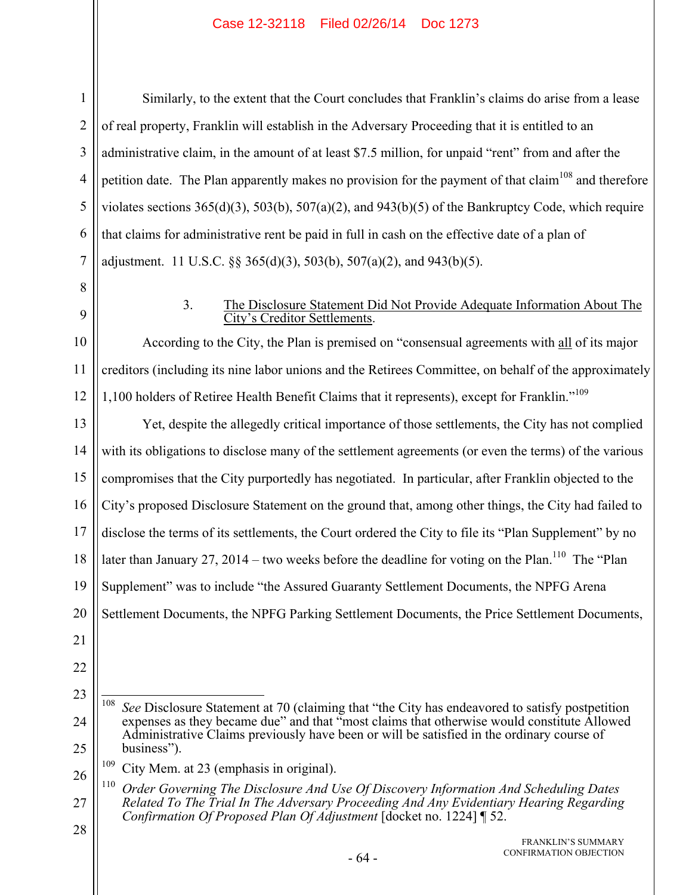1 2 3 4 5 6 7 Similarly, to the extent that the Court concludes that Franklin's claims do arise from a lease of real property, Franklin will establish in the Adversary Proceeding that it is entitled to an administrative claim, in the amount of at least \$7.5 million, for unpaid "rent" from and after the petition date. The Plan apparently makes no provision for the payment of that claim<sup>108</sup> and therefore violates sections  $365(d)(3)$ ,  $503(b)$ ,  $507(a)(2)$ , and  $943(b)(5)$  of the Bankruptcy Code, which require that claims for administrative rent be paid in full in cash on the effective date of a plan of adjustment. 11 U.S.C.  $\S$ § 365(d)(3), 503(b), 507(a)(2), and 943(b)(5).

8 9

## 3. The Disclosure Statement Did Not Provide Adequate Information About The City's Creditor Settlements.

10 11 12 According to the City, the Plan is premised on "consensual agreements with all of its major creditors (including its nine labor unions and the Retirees Committee, on behalf of the approximately 1,100 holders of Retiree Health Benefit Claims that it represents), except for Franklin."109

13 14 15 16 17 18 19 20 Yet, despite the allegedly critical importance of those settlements, the City has not complied with its obligations to disclose many of the settlement agreements (or even the terms) of the various compromises that the City purportedly has negotiated. In particular, after Franklin objected to the City's proposed Disclosure Statement on the ground that, among other things, the City had failed to disclose the terms of its settlements, the Court ordered the City to file its "Plan Supplement" by no later than January 27, 2014 – two weeks before the deadline for voting on the Plan.<sup>110</sup> The "Plan" Supplement" was to include "the Assured Guaranty Settlement Documents, the NPFG Arena Settlement Documents, the NPFG Parking Settlement Documents, the Price Settlement Documents,

- 21
- 22

26 <sup>109</sup> City Mem. at 23 (emphasis in original).

27 110 *Order Governing The Disclosure And Use Of Discovery Information And Scheduling Dates Related To The Trial In The Adversary Proceeding And Any Evidentiary Hearing Regarding Confirmation Of Proposed Plan Of Adjustment* [docket no. 1224] ¶ 52.

<sup>23</sup>

<sup>24</sup> 25 108 See Disclosure Statement at 70 (claiming that "the City has endeavored to satisfy postpetition expenses as they became due" and that "most claims that otherwise would constitute Allowed Administrative Claims previously have been or will be satisfied in the ordinary course of business").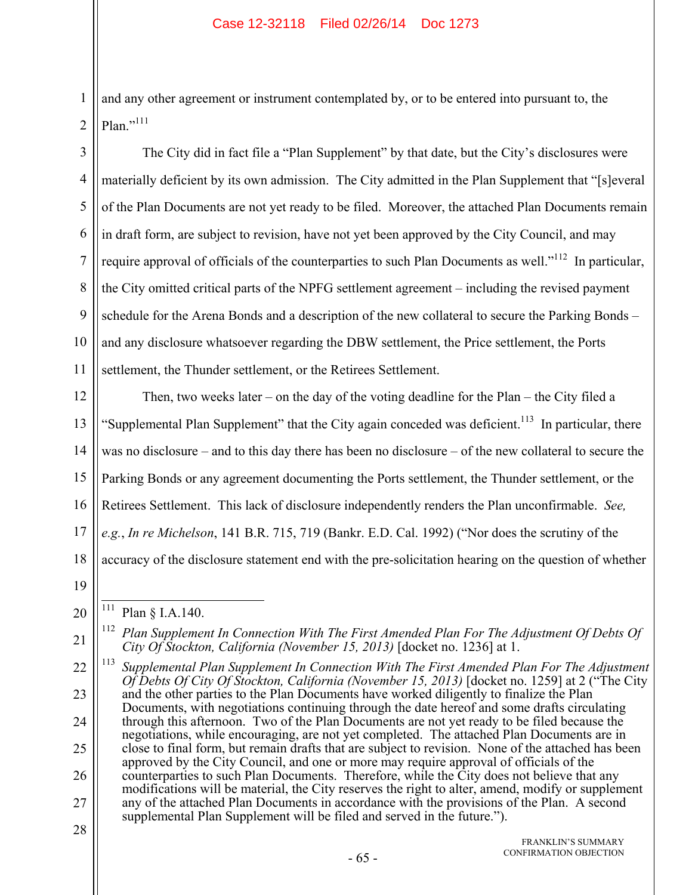and any other agreement or instrument contemplated by, or to be entered into pursuant to, the  $Plan.^{,111}$ 

3 4 5 6 7 8 9 10 11 The City did in fact file a "Plan Supplement" by that date, but the City's disclosures were materially deficient by its own admission. The City admitted in the Plan Supplement that "[s]everal of the Plan Documents are not yet ready to be filed. Moreover, the attached Plan Documents remain in draft form, are subject to revision, have not yet been approved by the City Council, and may require approval of officials of the counterparties to such Plan Documents as well."<sup>112</sup> In particular, the City omitted critical parts of the NPFG settlement agreement – including the revised payment schedule for the Arena Bonds and a description of the new collateral to secure the Parking Bonds – and any disclosure whatsoever regarding the DBW settlement, the Price settlement, the Ports settlement, the Thunder settlement, or the Retirees Settlement.

12 13 14 15 16 17 18 Then, two weeks later – on the day of the voting deadline for the Plan – the City filed a "Supplemental Plan Supplement" that the City again conceded was deficient.<sup>113</sup> In particular, there was no disclosure – and to this day there has been no disclosure – of the new collateral to secure the Parking Bonds or any agreement documenting the Ports settlement, the Thunder settlement, or the Retirees Settlement. This lack of disclosure independently renders the Plan unconfirmable. *See, e.g.*, *In re Michelson*, 141 B.R. 715, 719 (Bankr. E.D. Cal. 1992) ("Nor does the scrutiny of the accuracy of the disclosure statement end with the pre-solicitation hearing on the question of whether

19

1

2

28

<sup>20</sup>  $\overline{a}$ <sup>111</sup> Plan § I.A.140.

<sup>21</sup> <sup>112</sup> Plan Supplement In Connection With The First Amended Plan For The Adjustment Of Debts Of *City Of Stockton, California (November 15, 2013)* [docket no. 1236] at 1.

<sup>22</sup> 23 24 25 26 27 113 *Supplemental Plan Supplement In Connection With The First Amended Plan For The Adjustment Of Debts Of City Of Stockton, California (November 15, 2013)* [docket no. 1259] at 2 ("The City and the other parties to the Plan Documents have worked diligently to finalize the Plan Documents, with negotiations continuing through the date hereof and some drafts circulating through this afternoon. Two of the Plan Documents are not yet ready to be filed because the negotiations, while encouraging, are not yet completed. The attached Plan Documents are in close to final form, but remain drafts that are subject to revision. None of the attached has been approved by the City Council, and one or more may require approval of officials of the counterparties to such Plan Documents. Therefore, while the City does not believe that any modifications will be material, the City reserves the right to alter, amend, modify or supplement any of the attached Plan Documents in accordance with the provisions of the Plan. A second supplemental Plan Supplement will be filed and served in the future.").